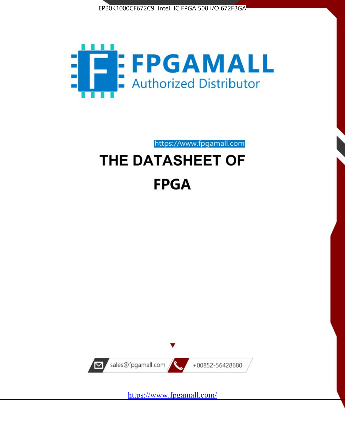



https://www.fpgamall.com

# THE DATASHEET OF **FPGA**



<https://www.fpgamall.com/>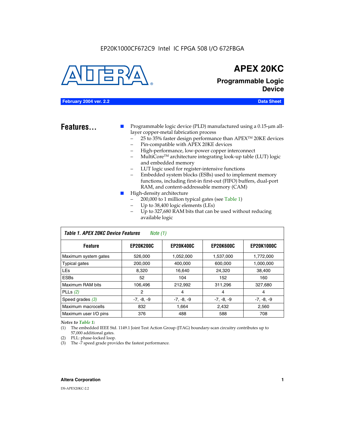#### EP20K1000CF672C9 Intel IC FPGA 508 I/O 672FBGA



### **APEX 20KC**

**Programmable Logic Device**

#### **February 2004 ver. 2.2 Data Sheet**

**Features...** ■ Programmable logic device (PLD) manufactured using a 0.15-µm alllayer copper-metal fabrication process

- 25 to 35% faster design performance than APEX<sup>™</sup> 20KE devices
- Pin-compatible with APEX 20KE devices
- High-performance, low-power copper interconnect
- MultiCoreTM architecture integrating look-up table (LUT) logic and embedded memory
- LUT logic used for register-intensive functions
- Embedded system blocks (ESBs) used to implement memory functions, including first-in first-out (FIFO) buffers, dual-port RAM, and content-addressable memory (CAM)
- High-density architecture
	- 200,000 to 1 million typical gates (see Table 1)
	- Up to 38,400 logic elements (LEs)
	- Up to 327,680 RAM bits that can be used without reducing available logic

| Table 1. APEX 20KC Device Features<br>Note $(1)$                                                |              |              |              |              |  |  |  |  |
|-------------------------------------------------------------------------------------------------|--------------|--------------|--------------|--------------|--|--|--|--|
| <b>EP20K400C</b><br><b>EP20K600C</b><br><b>EP20K1000C</b><br><b>EP20K200C</b><br><b>Feature</b> |              |              |              |              |  |  |  |  |
| Maximum system gates                                                                            | 526,000      | 1,052,000    | 1,537,000    | 1,772,000    |  |  |  |  |
| <b>Typical gates</b>                                                                            | 200,000      | 400.000      | 600,000      | 1,000,000    |  |  |  |  |
| <b>LEs</b>                                                                                      | 8.320        | 16,640       | 24,320       | 38,400       |  |  |  |  |
| <b>ESBs</b>                                                                                     | 52           | 104          | 152          | 160          |  |  |  |  |
| Maximum RAM bits                                                                                | 106,496      | 212,992      | 311,296      | 327,680      |  |  |  |  |
| PLLs $(2)$                                                                                      | 2            | 4            | 4            | 4            |  |  |  |  |
| Speed grades $(3)$                                                                              | $-7, -8, -9$ | $-7, -8, -9$ | $-7, -8, -9$ | $-7, -8, -9$ |  |  |  |  |
| Maximum macrocells                                                                              | 832          | 1.664        | 2,432        | 2,560        |  |  |  |  |
| Maximum user I/O pins                                                                           | 376          | 488          | 588          | 708          |  |  |  |  |

#### *Notes to Table 1:*

(1) The embedded IEEE Std. 1149.1 Joint Test Action Group (JTAG) boundary-scan circuitry contributes up to 57,000 additional gates.

- (2) PLL: phase-locked loop.
- (3) The -7 speed grade provides the fastest performance.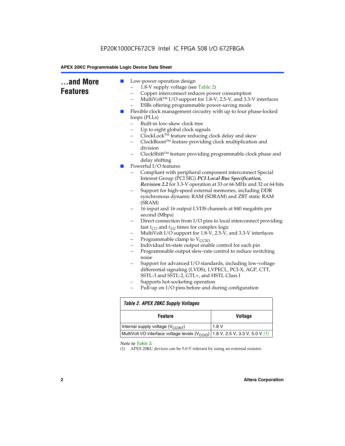| and More<br><b>Features</b> | Low-power operation design<br>$\blacksquare$<br>1.8-V supply voltage (see Table 2)<br>Copper interconnect reduces power consumption<br>$\overline{\phantom{0}}$<br>ESBs offering programmable power-saving mode<br>Flexible clock management circuitry with up to four phase-locked<br>a a s<br>loops (PLLs)<br>Built-in low-skew clock tree<br>Up to eight global clock signals<br>ClockLock™ feature reducing clock delay and skew<br>-<br>ClockBoost™ feature providing clock multiplication and<br>$\overline{\phantom{0}}$<br>division<br>delay shifting<br>Powerful I/O features<br>$\mathcal{L}_{\mathcal{A}}$<br>Interest Group (PCI SIG) PCI Local Bus Specification,<br>(SRAM)<br>second (Mbps)<br>fast $t_{CO}$ and $t_{SU}$ times for complex logic<br>-<br>Programmable clamp to $V_{\text{CCIO}}$<br>-<br>Individual tri-state output enable control for each pin<br>-<br>noise<br>differential signaling (LVDS), LVPECL, PCI-X, AGP, CTT,<br>SSTL-3 and SSTL-2, GTL+, and HSTL Class I<br>Supports hot-socketing operation<br>Pull-up on I/O pins before and during configuration | MultiVolt™ I/O support for 1.8-V, 2.5-V, and 3.3-V interfaces<br>ClockShift™ feature providing programmable clock phase and<br>Compliant with peripheral component interconnect Special<br>Revision 2.2 for 3.3-V operation at 33 or 66 MHz and 32 or 64 bits<br>Support for high-speed external memories, including DDR<br>synchronous dynamic RAM (SDRAM) and ZBT static RAM<br>16 input and 16 output LVDS channels at 840 megabits per<br>Direct connection from I/O pins to local interconnect providing<br>MultiVolt I/O support for 1.8-V, 2.5-V, and 3.3-V interfaces<br>Programmable output slew-rate control to reduce switching<br>Support for advanced I/O standards, including low-voltage |  |  |
|-----------------------------|--------------------------------------------------------------------------------------------------------------------------------------------------------------------------------------------------------------------------------------------------------------------------------------------------------------------------------------------------------------------------------------------------------------------------------------------------------------------------------------------------------------------------------------------------------------------------------------------------------------------------------------------------------------------------------------------------------------------------------------------------------------------------------------------------------------------------------------------------------------------------------------------------------------------------------------------------------------------------------------------------------------------------------------------------------------------------------------------------|---------------------------------------------------------------------------------------------------------------------------------------------------------------------------------------------------------------------------------------------------------------------------------------------------------------------------------------------------------------------------------------------------------------------------------------------------------------------------------------------------------------------------------------------------------------------------------------------------------------------------------------------------------------------------------------------------------|--|--|
|                             | <b>Table 2. APEX 20KC Supply Voltages</b>                                                                                                                                                                                                                                                                                                                                                                                                                                                                                                                                                                                                                                                                                                                                                                                                                                                                                                                                                                                                                                                        |                                                                                                                                                                                                                                                                                                                                                                                                                                                                                                                                                                                                                                                                                                         |  |  |
|                             | <b>Feature</b>                                                                                                                                                                                                                                                                                                                                                                                                                                                                                                                                                                                                                                                                                                                                                                                                                                                                                                                                                                                                                                                                                   | <b>Voltage</b>                                                                                                                                                                                                                                                                                                                                                                                                                                                                                                                                                                                                                                                                                          |  |  |
|                             |                                                                                                                                                                                                                                                                                                                                                                                                                                                                                                                                                                                                                                                                                                                                                                                                                                                                                                                                                                                                                                                                                                  |                                                                                                                                                                                                                                                                                                                                                                                                                                                                                                                                                                                                                                                                                                         |  |  |
|                             | Internal supply voltage (V <sub>CCINT</sub> )                                                                                                                                                                                                                                                                                                                                                                                                                                                                                                                                                                                                                                                                                                                                                                                                                                                                                                                                                                                                                                                    | 1.8V<br>MultiVolt I/O interface voltage levels (V <sub>CCIO</sub> )<br>1.8 V, 2.5 V, 3.3 V, 5.0 V $(1)$                                                                                                                                                                                                                                                                                                                                                                                                                                                                                                                                                                                                 |  |  |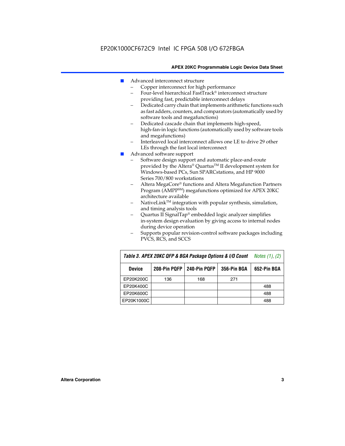- Advanced interconnect structure
	- Copper interconnect for high performance
	- Four-level hierarchical FastTrack® interconnect structure providing fast, predictable interconnect delays
	- Dedicated carry chain that implements arithmetic functions such as fast adders, counters, and comparators (automatically used by software tools and megafunctions)
	- Dedicated cascade chain that implements high-speed, high-fan-in logic functions (automatically used by software tools and megafunctions)
	- Interleaved local interconnect allows one LE to drive 29 other LEs through the fast local interconnect
- Advanced software support
	- Software design support and automatic place-and-route provided by the Altera® Quartus™ II development system for Windows-based PCs, Sun SPARCstations, and HP 9000 Series 700/800 workstations
	- Altera MegaCore® functions and Altera Megafunction Partners Program (AMPPSM) megafunctions optimized for APEX 20KC architecture available
	- $N$ ativeLink<sup>TM</sup> integration with popular synthesis, simulation, and timing analysis tools
	- Quartus II SignalTap® embedded logic analyzer simplifies in-system design evaluation by giving access to internal nodes during device operation
	- Supports popular revision-control software packages including PVCS, RCS, and SCCS

| Table 3. APEX 20KC QFP & BGA Package Options & I/O Count | <i>Notes <math>(1)</math>, <math>(2)</math></i> |     |     |     |
|----------------------------------------------------------|-------------------------------------------------|-----|-----|-----|
| <b>Device</b>                                            | 240-Pin PQFP<br>208-Pin PQFP<br>356-Pin BGA     |     |     |     |
| EP20K200C                                                | 136                                             | 168 | 271 |     |
| EP20K400C                                                |                                                 |     |     | 488 |
| EP20K600C                                                |                                                 |     |     | 488 |
| EP20K1000C                                               |                                                 |     |     | 488 |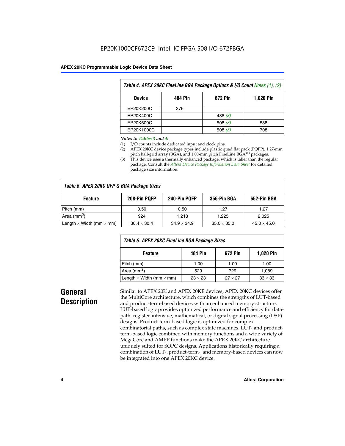| Table 4. APEX 20KC FineLine BGA Package Options & I/O Count Notes (1), (2) |     |           |     |  |  |  |
|----------------------------------------------------------------------------|-----|-----------|-----|--|--|--|
| 672 Pin<br>484 Pin<br><b>1,020 Pin</b><br><b>Device</b>                    |     |           |     |  |  |  |
| EP20K200C                                                                  | 376 |           |     |  |  |  |
| EP20K400C                                                                  |     | 488 $(3)$ |     |  |  |  |
| EP20K600C                                                                  |     | 508 $(3)$ | 588 |  |  |  |
| EP20K1000C                                                                 |     | 508(3)    | 708 |  |  |  |

#### *Notes to Tables 3 and 4:*

- (1) I/O counts include dedicated input and clock pins.
- (2) APEX 20KC device package types include plastic quad flat pack (PQFP), 1.27-mm pitch ball-grid array (BGA), and 1.00-mm pitch FineLine BGA™ packages.
- (3) This device uses a thermally enhanced package, which is taller than the regular package. Consult the *Altera Device Package Information Data Sheet* for detailed package size information.

| Table 5. APEX 20KC QFP & BGA Package Sizes |                    |                    |                    |                    |  |  |  |
|--------------------------------------------|--------------------|--------------------|--------------------|--------------------|--|--|--|
| <b>Feature</b>                             | 208-Pin PQFP       | 240-Pin PQFP       | 356-Pin BGA        | 652-Pin BGA        |  |  |  |
| Pitch (mm)                                 | 0.50               | 0.50               | 1.27               | 1.27               |  |  |  |
| Area ( $mm2$ )                             | 924                | 1.218              | 1.225              | 2,025              |  |  |  |
| Length $\times$ Width (mm $\times$ mm)     | $30.4 \times 30.4$ | $34.9 \times 34.9$ | $35.0 \times 35.0$ | $45.0 \times 45.0$ |  |  |  |

| Table 6. APEX 20KC FineLine BGA Package Sizes            |                |                |                |  |  |  |
|----------------------------------------------------------|----------------|----------------|----------------|--|--|--|
| 484 Pin<br><b>1,020 Pin</b><br><b>Feature</b><br>672 Pin |                |                |                |  |  |  |
| Pitch (mm)                                               | 1.00           | 1.00           | 1.00           |  |  |  |
| Area (mm <sup>2</sup> )                                  | 529            | 729            | 1.089          |  |  |  |
| Length $\times$ Width (mm $\times$ mm)                   | $23 \times 23$ | $27 \times 27$ | $33 \times 33$ |  |  |  |

### **General Description**

Similar to APEX 20K and APEX 20KE devices, APEX 20KC devices offer the MultiCore architecture, which combines the strengths of LUT-based and product-term-based devices with an enhanced memory structure. LUT-based logic provides optimized performance and efficiency for datapath, register-intensive, mathematical, or digital signal processing (DSP) designs. Product-term-based logic is optimized for complex combinatorial paths, such as complex state machines. LUT- and productterm-based logic combined with memory functions and a wide variety of MegaCore and AMPP functions make the APEX 20KC architecture uniquely suited for SOPC designs. Applications historically requiring a combination of LUT-, product-term-, and memory-based devices can now be integrated into one APEX 20KC device.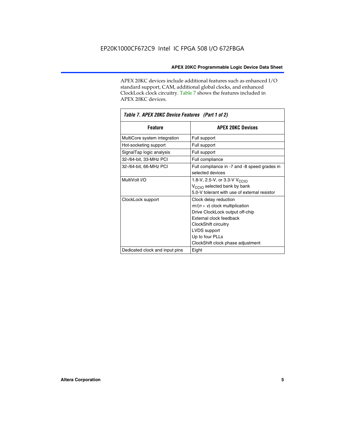APEX 20KC devices include additional features such as enhanced I/O standard support, CAM, additional global clocks, and enhanced ClockLock clock circuitry. Table 7 shows the features included in APEX 20KC devices.

| Table 7. APEX 20KC Device Features (Part 1 of 2) |                                                                                                                                                                                                                              |  |  |  |  |
|--------------------------------------------------|------------------------------------------------------------------------------------------------------------------------------------------------------------------------------------------------------------------------------|--|--|--|--|
| <b>Feature</b>                                   | <b>APEX 20KC Devices</b>                                                                                                                                                                                                     |  |  |  |  |
| MultiCore system integration                     | Full support                                                                                                                                                                                                                 |  |  |  |  |
| Hot-socketing support                            | Full support                                                                                                                                                                                                                 |  |  |  |  |
| SignalTap logic analysis                         | Full support                                                                                                                                                                                                                 |  |  |  |  |
| 32-/64-bit, 33-MHz PCI                           | Full compliance                                                                                                                                                                                                              |  |  |  |  |
| 32-/64-bit, 66-MHz PCI                           | Full compliance in -7 and -8 speed grades in<br>selected devices                                                                                                                                                             |  |  |  |  |
| MultiVolt I/O                                    | 1.8-V, 2.5-V, or 3.3-V V <sub>CCIO</sub><br>V <sub>CCIO</sub> selected bank by bank<br>5.0-V tolerant with use of external resistor                                                                                          |  |  |  |  |
| ClockLock support                                | Clock delay reduction<br>$m/(n \times v)$ clock multiplication<br>Drive ClockLock output off-chip<br>External clock feedback<br>ClockShift circuitry<br>LVDS support<br>Up to four PLLs<br>ClockShift clock phase adjustment |  |  |  |  |
| Dedicated clock and input pins                   | Eight                                                                                                                                                                                                                        |  |  |  |  |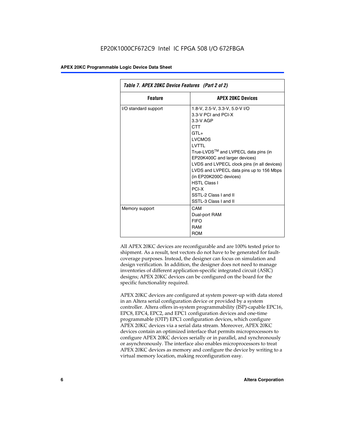| Table 7. APEX 20KC Device Features (Part 2 of 2) |                                                                                                                                                                                                                                                                                                                                                                                                 |  |  |  |  |
|--------------------------------------------------|-------------------------------------------------------------------------------------------------------------------------------------------------------------------------------------------------------------------------------------------------------------------------------------------------------------------------------------------------------------------------------------------------|--|--|--|--|
| <b>APEX 20KC Devices</b><br><b>Feature</b>       |                                                                                                                                                                                                                                                                                                                                                                                                 |  |  |  |  |
| I/O standard support                             | 1.8-V, 2.5-V, 3.3-V, 5.0-V I/O<br>3.3-V PCI and PCI-X<br>$3.3-V$ AGP<br>CTT<br>$GTI +$<br><b>LVCMOS</b><br>I VTTI<br>True-LVDS™ and LVPECL data pins (in<br>EP20K400C and larger devices)<br>LVDS and LVPECL clock pins (in all devices)<br>LVDS and LVPECL data pins up to 156 Mbps<br>(in EP20K200C devices)<br><b>HSTL Class I</b><br>PCI-X<br>SSTI-2 Class Land II<br>SSTL-3 Class I and II |  |  |  |  |
| Memory support                                   | CAM<br>Dual-port RAM<br><b>FIFO</b><br>RAM<br><b>ROM</b>                                                                                                                                                                                                                                                                                                                                        |  |  |  |  |

All APEX 20KC devices are reconfigurable and are 100% tested prior to shipment. As a result, test vectors do not have to be generated for faultcoverage purposes. Instead, the designer can focus on simulation and design verification. In addition, the designer does not need to manage inventories of different application-specific integrated circuit (ASIC) designs; APEX 20KC devices can be configured on the board for the specific functionality required.

APEX 20KC devices are configured at system power-up with data stored in an Altera serial configuration device or provided by a system controller. Altera offers in-system programmability (ISP)-capable EPC16, EPC8, EPC4, EPC2, and EPC1 configuration devices and one-time programmable (OTP) EPC1 configuration devices, which configure APEX 20KC devices via a serial data stream. Moreover, APEX 20KC devices contain an optimized interface that permits microprocessors to configure APEX 20KC devices serially or in parallel, and synchronously or asynchronously. The interface also enables microprocessors to treat APEX 20KC devices as memory and configure the device by writing to a virtual memory location, making reconfiguration easy.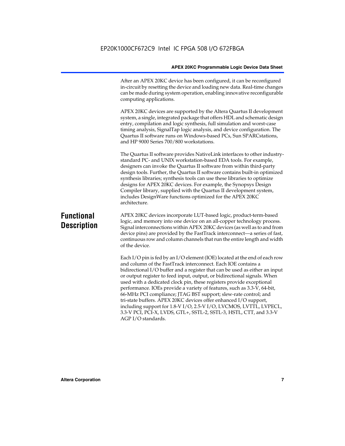After an APEX 20KC device has been configured, it can be reconfigured in-circuit by resetting the device and loading new data. Real-time changes can be made during system operation, enabling innovative reconfigurable computing applications.

APEX 20KC devices are supported by the Altera Quartus II development system, a single, integrated package that offers HDL and schematic design entry, compilation and logic synthesis, full simulation and worst-case timing analysis, SignalTap logic analysis, and device configuration. The Quartus II software runs on Windows-based PCs, Sun SPARCstations, and HP 9000 Series 700/800 workstations.

The Quartus II software provides NativeLink interfaces to other industrystandard PC- and UNIX workstation-based EDA tools. For example, designers can invoke the Quartus II software from within third-party design tools. Further, the Quartus II software contains built-in optimized synthesis libraries; synthesis tools can use these libraries to optimize designs for APEX 20KC devices. For example, the Synopsys Design Compiler library, supplied with the Quartus II development system, includes DesignWare functions optimized for the APEX 20KC architecture.

### **Functional Description**

APEX 20KC devices incorporate LUT-based logic, product-term-based logic, and memory into one device on an all-copper technology process. Signal interconnections within APEX 20KC devices (as well as to and from device pins) are provided by the FastTrack interconnect—a series of fast, continuous row and column channels that run the entire length and width of the device.

Each I/O pin is fed by an I/O element (IOE) located at the end of each row and column of the FastTrack interconnect. Each IOE contains a bidirectional I/O buffer and a register that can be used as either an input or output register to feed input, output, or bidirectional signals. When used with a dedicated clock pin, these registers provide exceptional performance. IOEs provide a variety of features, such as 3.3-V, 64-bit, 66-MHz PCI compliance; JTAG BST support; slew-rate control; and tri-state buffers. APEX 20KC devices offer enhanced I/O support, including support for 1.8-V I/O, 2.5-V I/O, LVCMOS, LVTTL, LVPECL, 3.3-V PCI, PCI-X, LVDS, GTL+, SSTL-2, SSTL-3, HSTL, CTT, and 3.3-V AGP I/O standards.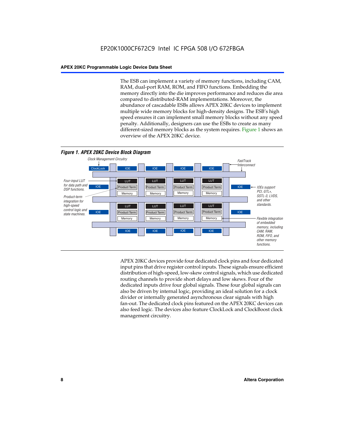The ESB can implement a variety of memory functions, including CAM, RAM, dual-port RAM, ROM, and FIFO functions. Embedding the memory directly into the die improves performance and reduces die area compared to distributed-RAM implementations. Moreover, the abundance of cascadable ESBs allows APEX 20KC devices to implement multiple wide memory blocks for high-density designs. The ESB's high speed ensures it can implement small memory blocks without any speed penalty. Additionally, designers can use the ESBs to create as many different-sized memory blocks as the system requires. Figure 1 shows an overview of the APEX 20KC device.



APEX 20KC devices provide four dedicated clock pins and four dedicated input pins that drive register control inputs. These signals ensure efficient distribution of high-speed, low-skew control signals, which use dedicated routing channels to provide short delays and low skews. Four of the dedicated inputs drive four global signals. These four global signals can also be driven by internal logic, providing an ideal solution for a clock divider or internally generated asynchronous clear signals with high fan-out. The dedicated clock pins featured on the APEX 20KC devices can also feed logic. The devices also feature ClockLock and ClockBoost clock management circuitry.

#### **8 Altera Corporation**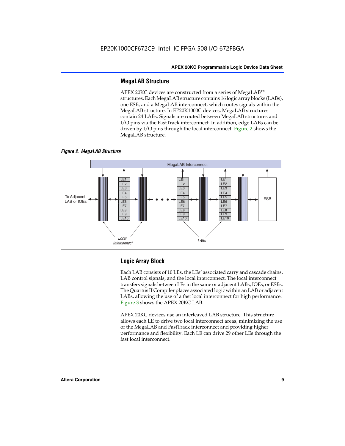#### **MegaLAB Structure**

APEX 20KC devices are constructed from a series of MegaLAB™ structures. Each MegaLAB structure contains 16 logic array blocks (LABs), one ESB, and a MegaLAB interconnect, which routes signals within the MegaLAB structure. In EP20K1000C devices, MegaLAB structures contain 24 LABs. Signals are routed between MegaLAB structures and I/O pins via the FastTrack interconnect. In addition, edge LABs can be driven by I/O pins through the local interconnect. Figure 2 shows the MegaLAB structure.





#### **Logic Array Block**

Each LAB consists of 10 LEs, the LEs' associated carry and cascade chains, LAB control signals, and the local interconnect. The local interconnect transfers signals between LEs in the same or adjacent LABs, IOEs, or ESBs. The Quartus II Compiler places associated logic within an LAB or adjacent LABs, allowing the use of a fast local interconnect for high performance. Figure 3 shows the APEX 20KC LAB.

APEX 20KC devices use an interleaved LAB structure. This structure allows each LE to drive two local interconnect areas, minimizing the use of the MegaLAB and FastTrack interconnect and providing higher performance and flexibility. Each LE can drive 29 other LEs through the fast local interconnect.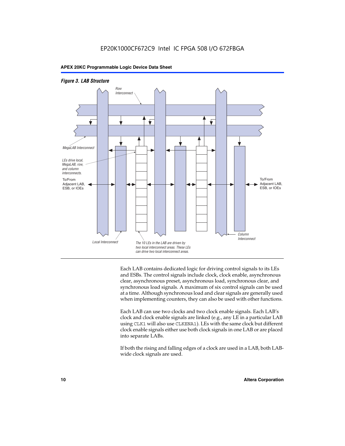



Each LAB contains dedicated logic for driving control signals to its LEs and ESBs. The control signals include clock, clock enable, asynchronous clear, asynchronous preset, asynchronous load, synchronous clear, and synchronous load signals. A maximum of six control signals can be used at a time. Although synchronous load and clear signals are generally used when implementing counters, they can also be used with other functions.

Each LAB can use two clocks and two clock enable signals. Each LAB's clock and clock enable signals are linked (e.g., any LE in a particular LAB using CLK1 will also use CLKENA1). LEs with the same clock but different clock enable signals either use both clock signals in one LAB or are placed into separate LABs.

If both the rising and falling edges of a clock are used in a LAB, both LABwide clock signals are used.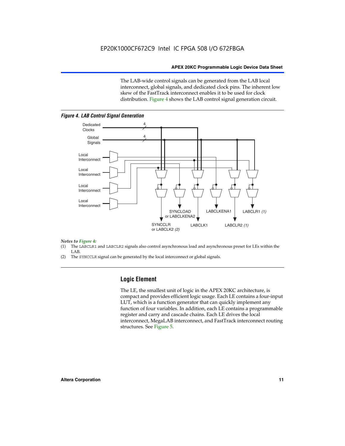The LAB-wide control signals can be generated from the LAB local interconnect, global signals, and dedicated clock pins. The inherent low skew of the FastTrack interconnect enables it to be used for clock distribution. Figure 4 shows the LAB control signal generation circuit.



#### *Figure 4. LAB Control Signal Generation*

## *Notes to Figure 4:*

- (1) The LABCLR1 and LABCLR2 signals also control asynchronous load and asynchronous preset for LEs within the LAB.
- (2) The SYNCCLR signal can be generated by the local interconnect or global signals.

#### **Logic Element**

The LE, the smallest unit of logic in the APEX 20KC architecture, is compact and provides efficient logic usage. Each LE contains a four-input LUT, which is a function generator that can quickly implement any function of four variables. In addition, each LE contains a programmable register and carry and cascade chains. Each LE drives the local interconnect, MegaLAB interconnect, and FastTrack interconnect routing structures. See Figure 5.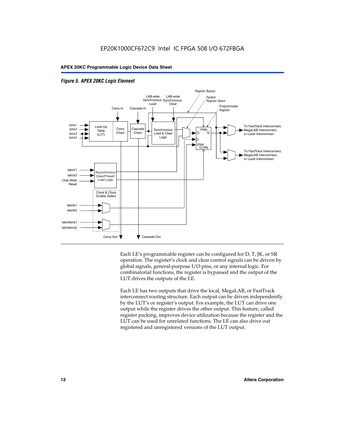



Each LE's programmable register can be configured for D, T, JK, or SR operation. The register's clock and clear control signals can be driven by global signals, general-purpose I/O pins, or any internal logic. For combinatorial functions, the register is bypassed and the output of the LUT drives the outputs of the LE.

Each LE has two outputs that drive the local, MegaLAB, or FastTrack interconnect routing structure. Each output can be driven independently by the LUT's or register's output. For example, the LUT can drive one output while the register drives the other output. This feature, called register packing, improves device utilization because the register and the LUT can be used for unrelated functions. The LE can also drive out registered and unregistered versions of the LUT output.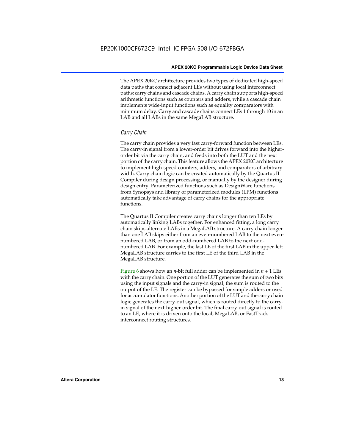The APEX 20KC architecture provides two types of dedicated high-speed data paths that connect adjacent LEs without using local interconnect paths: carry chains and cascade chains. A carry chain supports high-speed arithmetic functions such as counters and adders, while a cascade chain implements wide-input functions such as equality comparators with minimum delay. Carry and cascade chains connect LEs 1 through 10 in an LAB and all LABs in the same MegaLAB structure.

#### *Carry Chain*

The carry chain provides a very fast carry-forward function between LEs. The carry-in signal from a lower-order bit drives forward into the higherorder bit via the carry chain, and feeds into both the LUT and the next portion of the carry chain. This feature allows the APEX 20KC architecture to implement high-speed counters, adders, and comparators of arbitrary width. Carry chain logic can be created automatically by the Quartus II Compiler during design processing, or manually by the designer during design entry. Parameterized functions such as DesignWare functions from Synopsys and library of parameterized modules (LPM) functions automatically take advantage of carry chains for the appropriate functions.

The Quartus II Compiler creates carry chains longer than ten LEs by automatically linking LABs together. For enhanced fitting, a long carry chain skips alternate LABs in a MegaLAB structure. A carry chain longer than one LAB skips either from an even-numbered LAB to the next evennumbered LAB, or from an odd-numbered LAB to the next oddnumbered LAB. For example, the last LE of the first LAB in the upper-left MegaLAB structure carries to the first LE of the third LAB in the MegaLAB structure.

Figure 6 shows how an *n*-bit full adder can be implemented in  $n + 1$  LEs with the carry chain. One portion of the LUT generates the sum of two bits using the input signals and the carry-in signal; the sum is routed to the output of the LE. The register can be bypassed for simple adders or used for accumulator functions. Another portion of the LUT and the carry chain logic generates the carry-out signal, which is routed directly to the carryin signal of the next-higher-order bit. The final carry-out signal is routed to an LE, where it is driven onto the local, MegaLAB, or FastTrack interconnect routing structures.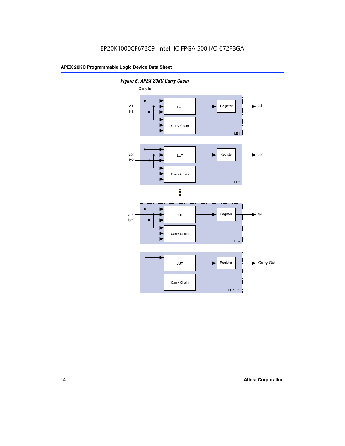

*Figure 6. APEX 20KC Carry Chain*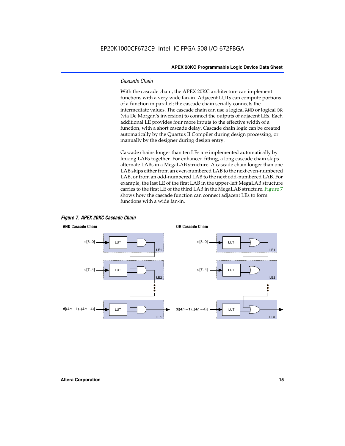#### *Cascade Chain*

With the cascade chain, the APEX 20KC architecture can implement functions with a very wide fan-in. Adjacent LUTs can compute portions of a function in parallel; the cascade chain serially connects the intermediate values. The cascade chain can use a logical AND or logical OR (via De Morgan's inversion) to connect the outputs of adjacent LEs. Each additional LE provides four more inputs to the effective width of a function, with a short cascade delay. Cascade chain logic can be created automatically by the Quartus II Compiler during design processing, or manually by the designer during design entry.

Cascade chains longer than ten LEs are implemented automatically by linking LABs together. For enhanced fitting, a long cascade chain skips alternate LABs in a MegaLAB structure. A cascade chain longer than one LAB skips either from an even-numbered LAB to the next even-numbered LAB, or from an odd-numbered LAB to the next odd-numbered LAB. For example, the last LE of the first LAB in the upper-left MegaLAB structure carries to the first LE of the third LAB in the MegaLAB structure. Figure 7 shows how the cascade function can connect adjacent LEs to form functions with a wide fan-in.



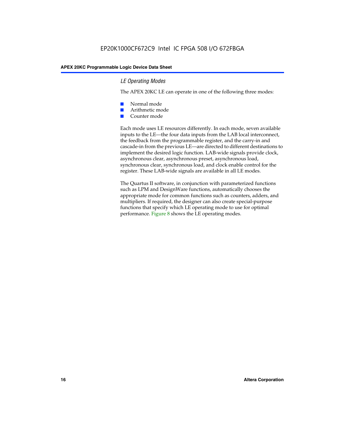#### *LE Operating Modes*

The APEX 20KC LE can operate in one of the following three modes:

- Normal mode
- Arithmetic mode
- Counter mode

Each mode uses LE resources differently. In each mode, seven available inputs to the LE—the four data inputs from the LAB local interconnect, the feedback from the programmable register, and the carry-in and cascade-in from the previous LE—are directed to different destinations to implement the desired logic function. LAB-wide signals provide clock, asynchronous clear, asynchronous preset, asynchronous load, synchronous clear, synchronous load, and clock enable control for the register. These LAB-wide signals are available in all LE modes.

The Quartus II software, in conjunction with parameterized functions such as LPM and DesignWare functions, automatically chooses the appropriate mode for common functions such as counters, adders, and multipliers. If required, the designer can also create special-purpose functions that specify which LE operating mode to use for optimal performance. Figure 8 shows the LE operating modes.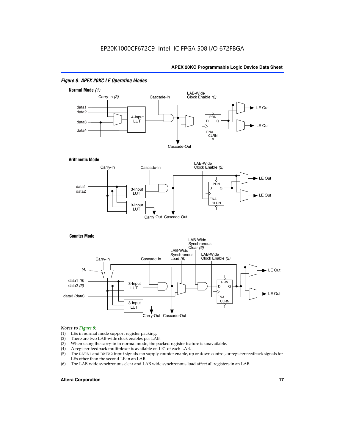

#### *Figure 8. APEX 20KC LE Operating Modes*

### *Notes to Figure 8:*

- (1) LEs in normal mode support register packing.<br>(2) There are two LAB-wide clock enables per LA
- (2) There are two LAB-wide clock enables per LAB.<br>(3) When using the carry-in in normal mode, the pa
- When using the carry-in in normal mode, the packed register feature is unavailable.
- (4) A register feedback multiplexer is available on LE1 of each LAB.
- (5) The DATA1 and DATA2 input signals can supply counter enable, up or down control, or register feedback signals for LEs other than the second LE in an LAB.
- (6) The LAB-wide synchronous clear and LAB wide synchronous load affect all registers in an LAB.

#### **Altera Corporation 17 17**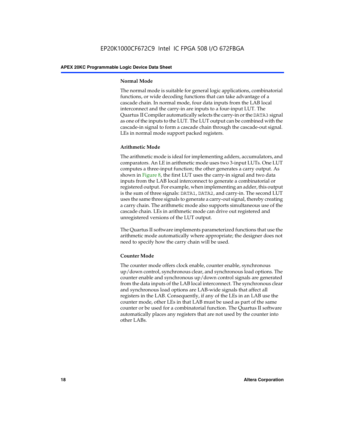#### **Normal Mode**

The normal mode is suitable for general logic applications, combinatorial functions, or wide decoding functions that can take advantage of a cascade chain. In normal mode, four data inputs from the LAB local interconnect and the carry-in are inputs to a four-input LUT. The Quartus II Compiler automatically selects the carry-in or the DATA3 signal as one of the inputs to the LUT. The LUT output can be combined with the cascade-in signal to form a cascade chain through the cascade-out signal. LEs in normal mode support packed registers.

#### **Arithmetic Mode**

The arithmetic mode is ideal for implementing adders, accumulators, and comparators. An LE in arithmetic mode uses two 3-input LUTs. One LUT computes a three-input function; the other generates a carry output. As shown in Figure 8, the first LUT uses the carry-in signal and two data inputs from the LAB local interconnect to generate a combinatorial or registered output. For example, when implementing an adder, this output is the sum of three signals: DATA1, DATA2, and carry-in. The second LUT uses the same three signals to generate a carry-out signal, thereby creating a carry chain. The arithmetic mode also supports simultaneous use of the cascade chain. LEs in arithmetic mode can drive out registered and unregistered versions of the LUT output.

The Quartus II software implements parameterized functions that use the arithmetic mode automatically where appropriate; the designer does not need to specify how the carry chain will be used.

#### **Counter Mode**

The counter mode offers clock enable, counter enable, synchronous up/down control, synchronous clear, and synchronous load options. The counter enable and synchronous up/down control signals are generated from the data inputs of the LAB local interconnect. The synchronous clear and synchronous load options are LAB-wide signals that affect all registers in the LAB. Consequently, if any of the LEs in an LAB use the counter mode, other LEs in that LAB must be used as part of the same counter or be used for a combinatorial function. The Quartus II software automatically places any registers that are not used by the counter into other LABs.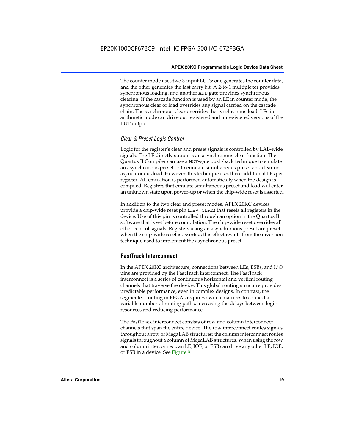The counter mode uses two 3-input LUTs: one generates the counter data, and the other generates the fast carry bit. A 2-to-1 multiplexer provides synchronous loading, and another AND gate provides synchronous clearing. If the cascade function is used by an LE in counter mode, the synchronous clear or load overrides any signal carried on the cascade chain. The synchronous clear overrides the synchronous load. LEs in arithmetic mode can drive out registered and unregistered versions of the LUT output.

#### *Clear & Preset Logic Control*

Logic for the register's clear and preset signals is controlled by LAB-wide signals. The LE directly supports an asynchronous clear function. The Quartus II Compiler can use a NOT-gate push-back technique to emulate an asynchronous preset or to emulate simultaneous preset and clear or asynchronous load. However, this technique uses three additional LEs per register. All emulation is performed automatically when the design is compiled. Registers that emulate simultaneous preset and load will enter an unknown state upon power-up or when the chip-wide reset is asserted.

In addition to the two clear and preset modes, APEX 20KC devices provide a chip-wide reset pin (DEV\_CLRn) that resets all registers in the device. Use of this pin is controlled through an option in the Quartus II software that is set before compilation. The chip-wide reset overrides all other control signals. Registers using an asynchronous preset are preset when the chip-wide reset is asserted; this effect results from the inversion technique used to implement the asynchronous preset.

#### **FastTrack Interconnect**

In the APEX 20KC architecture, connections between LEs, ESBs, and I/O pins are provided by the FastTrack interconnect. The FastTrack interconnect is a series of continuous horizontal and vertical routing channels that traverse the device. This global routing structure provides predictable performance, even in complex designs. In contrast, the segmented routing in FPGAs requires switch matrices to connect a variable number of routing paths, increasing the delays between logic resources and reducing performance.

The FastTrack interconnect consists of row and column interconnect channels that span the entire device. The row interconnect routes signals throughout a row of MegaLAB structures; the column interconnect routes signals throughout a column of MegaLAB structures. When using the row and column interconnect, an LE, IOE, or ESB can drive any other LE, IOE, or ESB in a device. See Figure 9.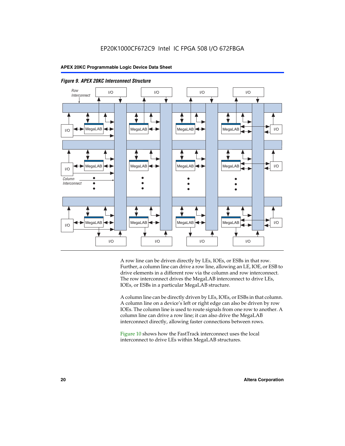



A row line can be driven directly by LEs, IOEs, or ESBs in that row. Further, a column line can drive a row line, allowing an LE, IOE, or ESB to drive elements in a different row via the column and row interconnect. The row interconnect drives the MegaLAB interconnect to drive LEs, IOEs, or ESBs in a particular MegaLAB structure.

A column line can be directly driven by LEs, IOEs, or ESBs in that column. A column line on a device's left or right edge can also be driven by row IOEs. The column line is used to route signals from one row to another. A column line can drive a row line; it can also drive the MegaLAB interconnect directly, allowing faster connections between rows.

Figure 10 shows how the FastTrack interconnect uses the local interconnect to drive LEs within MegaLAB structures.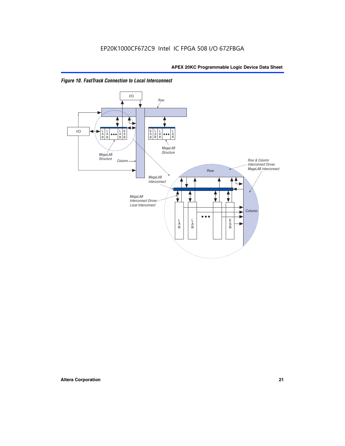

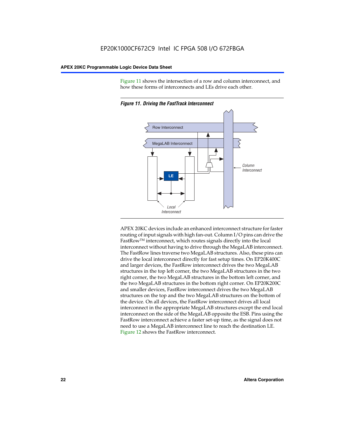Figure 11 shows the intersection of a row and column interconnect, and how these forms of interconnects and LEs drive each other.



*Figure 11. Driving the FastTrack Interconnect*

APEX 20KC devices include an enhanced interconnect structure for faster routing of input signals with high fan-out. Column I/O pins can drive the FastRowTM interconnect, which routes signals directly into the local interconnect without having to drive through the MegaLAB interconnect. The FastRow lines traverse two MegaLAB structures. Also, these pins can drive the local interconnect directly for fast setup times. On EP20K400C and larger devices, the FastRow interconnect drives the two MegaLAB structures in the top left corner, the two MegaLAB structures in the two right corner, the two MegaLAB structures in the bottom left corner, and the two MegaLAB structures in the bottom right corner. On EP20K200C and smaller devices, FastRow interconnect drives the two MegaLAB structures on the top and the two MegaLAB structures on the bottom of the device. On all devices, the FastRow interconnect drives all local interconnect in the appropriate MegaLAB structures except the end local interconnect on the side of the MegaLAB opposite the ESB. Pins using the FastRow interconnect achieve a faster set-up time, as the signal does not need to use a MegaLAB interconnect line to reach the destination LE. Figure 12 shows the FastRow interconnect.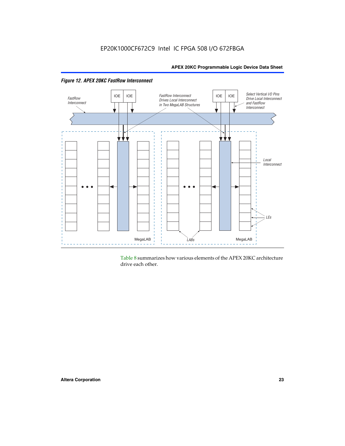

Table 8 summarizes how various elements of the APEX 20KC architecture drive each other.

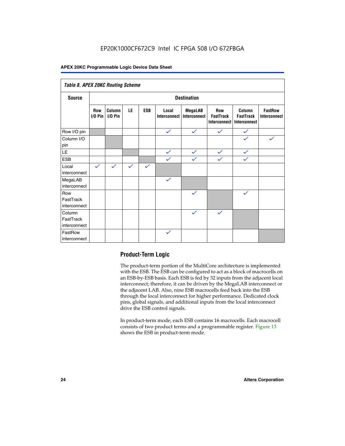### EP20K1000CF672C9 Intel IC FPGA 508 I/O 672FBGA

#### **APEX 20KC Programmable Logic Device Data Sheet**

| Table 8. APEX 20KC Routing Scheme   |                          |                     |              |              |                       |                         |                                                |                                            |                                       |
|-------------------------------------|--------------------------|---------------------|--------------|--------------|-----------------------|-------------------------|------------------------------------------------|--------------------------------------------|---------------------------------------|
| <b>Source</b>                       | <b>Destination</b>       |                     |              |              |                       |                         |                                                |                                            |                                       |
|                                     | <b>Row</b><br>$I/O P$ in | Column<br>$I/O$ Pin | LE           | <b>ESB</b>   | Local<br>Interconnect | MegaLAB<br>Interconnect | <b>Row</b><br><b>FastTrack</b><br>Interconnect | Column<br><b>FastTrack</b><br>Interconnect | <b>FastRow</b><br><b>Interconnect</b> |
| Row I/O pin                         |                          |                     |              |              | $\checkmark$          | $\checkmark$            | $\checkmark$                                   | $\checkmark$                               |                                       |
| Column I/O<br>pin                   |                          |                     |              |              |                       |                         |                                                | $\checkmark$                               | $\checkmark$                          |
| $\mathsf{LE}\,$                     |                          |                     |              |              | $\checkmark$          | $\checkmark$            | $\checkmark$                                   | $\checkmark$                               |                                       |
| <b>ESB</b>                          |                          |                     |              |              | $\checkmark$          | $\checkmark$            | $\checkmark$                                   | $\checkmark$                               |                                       |
| Local<br>interconnect               | $\checkmark$             | $\checkmark$        | $\checkmark$ | $\checkmark$ |                       |                         |                                                |                                            |                                       |
| MegaLAB<br>interconnect             |                          |                     |              |              | $\checkmark$          |                         |                                                |                                            |                                       |
| Row<br>FastTrack<br>interconnect    |                          |                     |              |              |                       | $\checkmark$            |                                                | $\checkmark$                               |                                       |
| Column<br>FastTrack<br>interconnect |                          |                     |              |              |                       | $\checkmark$            | $\checkmark$                                   |                                            |                                       |
| FastRow<br>interconnect             |                          |                     |              |              | $\checkmark$          |                         |                                                |                                            |                                       |

#### **Product-Term Logic**

The product-term portion of the MultiCore architecture is implemented with the ESB. The ESB can be configured to act as a block of macrocells on an ESB-by-ESB basis. Each ESB is fed by 32 inputs from the adjacent local interconnect; therefore, it can be driven by the MegaLAB interconnect or the adjacent LAB. Also, nine ESB macrocells feed back into the ESB through the local interconnect for higher performance. Dedicated clock pins, global signals, and additional inputs from the local interconnect drive the ESB control signals.

In product-term mode, each ESB contains 16 macrocells. Each macrocell consists of two product terms and a programmable register. Figure 13 shows the ESB in product-term mode.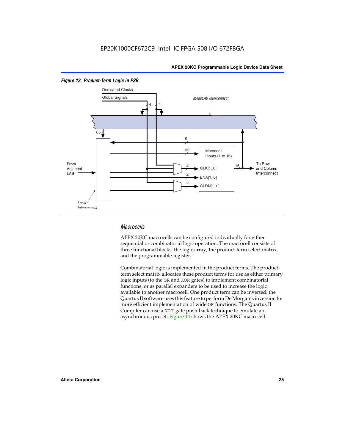

#### *Figure 13. Product-Term Logic in ESB*

#### *Macrocells*

APEX 20KC macrocells can be configured individually for either sequential or combinatorial logic operation. The macrocell consists of three functional blocks: the logic array, the product-term select matrix, and the programmable register.

Combinatorial logic is implemented in the product terms. The productterm select matrix allocates these product terms for use as either primary logic inputs (to the OR and XOR gates) to implement combinatorial functions, or as parallel expanders to be used to increase the logic available to another macrocell. One product term can be inverted; the Quartus II software uses this feature to perform De Morgan's inversion for more efficient implementation of wide OR functions. The Quartus II Compiler can use a NOT-gate push-back technique to emulate an asynchronous preset. Figure 14 shows the APEX 20KC macrocell.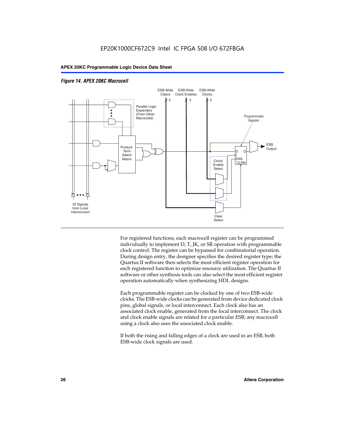

#### *Figure 14. APEX 20KC Macrocell*

For registered functions, each macrocell register can be programmed individually to implement D, T, JK, or SR operation with programmable clock control. The register can be bypassed for combinatorial operation. During design entry, the designer specifies the desired register type; the Quartus II software then selects the most efficient register operation for each registered function to optimize resource utilization. The Quartus II software or other synthesis tools can also select the most efficient register operation automatically when synthesizing HDL designs.

Each programmable register can be clocked by one of two ESB-wide clocks. The ESB-wide clocks can be generated from device dedicated clock pins, global signals, or local interconnect. Each clock also has an associated clock enable, generated from the local interconnect. The clock and clock enable signals are related for a particular ESB; any macrocell using a clock also uses the associated clock enable.

If both the rising and falling edges of a clock are used in an ESB, both ESB-wide clock signals are used.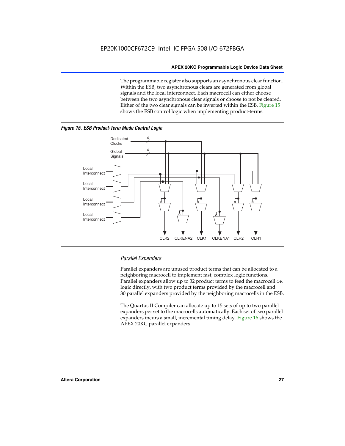The programmable register also supports an asynchronous clear function. Within the ESB, two asynchronous clears are generated from global signals and the local interconnect. Each macrocell can either choose between the two asynchronous clear signals or choose to not be cleared. Either of the two clear signals can be inverted within the ESB. Figure 15 shows the ESB control logic when implementing product-terms.





Local Interconnect

Local Interconnect

Local Interconnect

### *Parallel Expanders*

Parallel expanders are unused product terms that can be allocated to a neighboring macrocell to implement fast, complex logic functions. Parallel expanders allow up to 32 product terms to feed the macrocell OR logic directly, with two product terms provided by the macrocell and 30 parallel expanders provided by the neighboring macrocells in the ESB.

CLK2 CLKENA2 CLK1 CLKENA1 CLR2 CLR1

The Quartus II Compiler can allocate up to 15 sets of up to two parallel expanders per set to the macrocells automatically. Each set of two parallel expanders incurs a small, incremental timing delay. Figure 16 shows the APEX 20KC parallel expanders.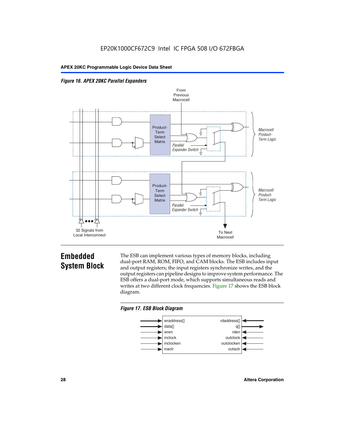



### **Embedded System Block**

The ESB can implement various types of memory blocks, including dual-port RAM, ROM, FIFO, and CAM blocks. The ESB includes input and output registers; the input registers synchronize writes, and the output registers can pipeline designs to improve system performance. The ESB offers a dual-port mode, which supports simultaneous reads and writes at two different clock frequencies. Figure 17 shows the ESB block diagram.



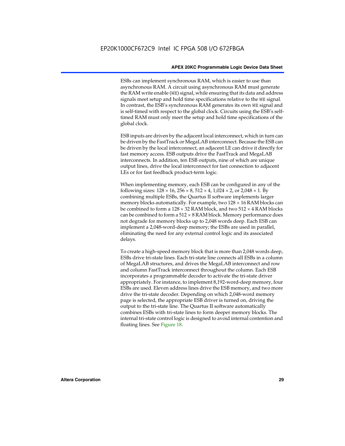ESBs can implement synchronous RAM, which is easier to use than asynchronous RAM. A circuit using asynchronous RAM must generate the RAM write enable (WE) signal, while ensuring that its data and address signals meet setup and hold time specifications relative to the WE signal. In contrast, the ESB's synchronous RAM generates its own WE signal and is self-timed with respect to the global clock. Circuits using the ESB's selftimed RAM must only meet the setup and hold time specifications of the global clock.

ESB inputs are driven by the adjacent local interconnect, which in turn can be driven by the FastTrack or MegaLAB interconnect. Because the ESB can be driven by the local interconnect, an adjacent LE can drive it directly for fast memory access. ESB outputs drive the FastTrack and MegaLAB interconnects. In addition, ten ESB outputs, nine of which are unique output lines, drive the local interconnect for fast connection to adjacent LEs or for fast feedback product-term logic.

When implementing memory, each ESB can be configured in any of the following sizes:  $128 \times 16$ ,  $256 \times 8$ ,  $512 \times 4$ ,  $1,024 \times 2$ , or  $2,048 \times 1$ . By combining multiple ESBs, the Quartus II software implements larger memory blocks automatically. For example, two  $128 \times 16$  RAM blocks can be combined to form a  $128 \times 32$  RAM block, and two  $512 \times 4$  RAM blocks can be combined to form a  $512 \times 8$  RAM block. Memory performance does not degrade for memory blocks up to 2,048 words deep. Each ESB can implement a 2,048-word-deep memory; the ESBs are used in parallel, eliminating the need for any external control logic and its associated delays.

To create a high-speed memory block that is more than 2,048 words deep, ESBs drive tri-state lines. Each tri-state line connects all ESBs in a column of MegaLAB structures, and drives the MegaLAB interconnect and row and column FastTrack interconnect throughout the column. Each ESB incorporates a programmable decoder to activate the tri-state driver appropriately. For instance, to implement 8,192-word-deep memory, four ESBs are used. Eleven address lines drive the ESB memory, and two more drive the tri-state decoder. Depending on which 2,048-word memory page is selected, the appropriate ESB driver is turned on, driving the output to the tri-state line. The Quartus II software automatically combines ESBs with tri-state lines to form deeper memory blocks. The internal tri-state control logic is designed to avoid internal contention and floating lines. See Figure 18.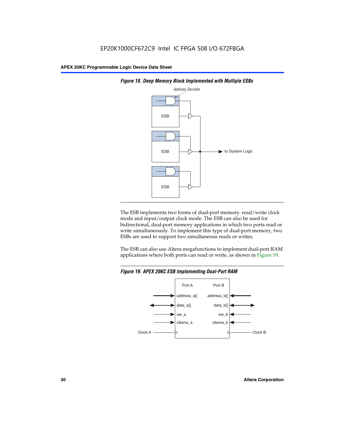



The ESB implements two forms of dual-port memory: read/write clock mode and input/output clock mode. The ESB can also be used for bidirectional, dual-port memory applications in which two ports read or write simultaneously. To implement this type of dual-port memory, two ESBs are used to support two simultaneous reads or writes.

The ESB can also use Altera megafunctions to implement dual-port RAM applications where both ports can read or write, as shown in Figure 19.



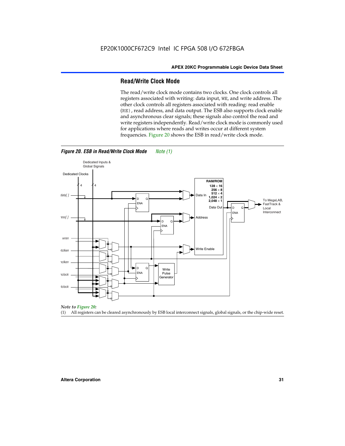#### **Read/Write Clock Mode**

The read/write clock mode contains two clocks. One clock controls all registers associated with writing: data input, WE, and write address. The other clock controls all registers associated with reading: read enable (RE), read address, and data output. The ESB also supports clock enable and asynchronous clear signals; these signals also control the read and write registers independently. Read/write clock mode is commonly used for applications where reads and writes occur at different system frequencies. Figure 20 shows the ESB in read/write clock mode.



*Figure 20. ESB in Read/Write Clock Mode Note (1)*

*Note to Figure 20:*

(1) All registers can be cleared asynchronously by ESB local interconnect signals, global signals, or the chip-wide reset.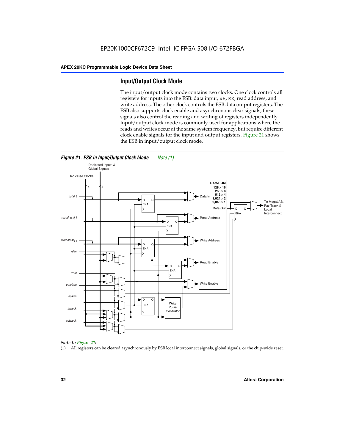#### **Input/Output Clock Mode**

The input/output clock mode contains two clocks. One clock controls all registers for inputs into the ESB: data input, WE, RE, read address, and write address. The other clock controls the ESB data output registers. The ESB also supports clock enable and asynchronous clear signals; these signals also control the reading and writing of registers independently. Input/output clock mode is commonly used for applications where the reads and writes occur at the same system frequency, but require different clock enable signals for the input and output registers. Figure 21 shows the ESB in input/output clock mode.





#### *Note to Figure 21:*

(1) All registers can be cleared asynchronously by ESB local interconnect signals, global signals, or the chip-wide reset.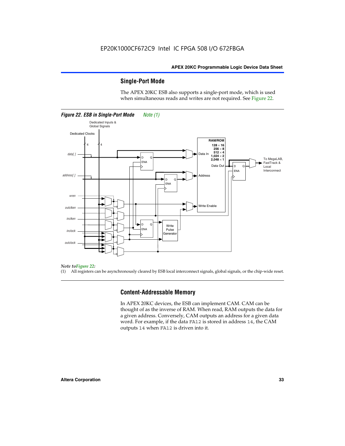#### **Single-Port Mode**

The APEX 20KC ESB also supports a single-port mode, which is used when simultaneous reads and writes are not required. See Figure 22.



#### *Note toFigure 22:*

(1) All registers can be asynchronously cleared by ESB local interconnect signals, global signals, or the chip-wide reset.

#### **Content-Addressable Memory**

In APEX 20KC devices, the ESB can implement CAM. CAM can be thought of as the inverse of RAM. When read, RAM outputs the data for a given address. Conversely, CAM outputs an address for a given data word. For example, if the data FA12 is stored in address 14, the CAM outputs 14 when FA12 is driven into it.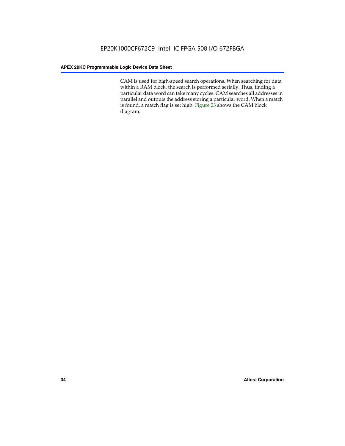CAM is used for high-speed search operations. When searching for data within a RAM block, the search is performed serially. Thus, finding a particular data word can take many cycles. CAM searches all addresses in parallel and outputs the address storing a particular word. When a match is found, a match flag is set high. Figure 23 shows the CAM block diagram.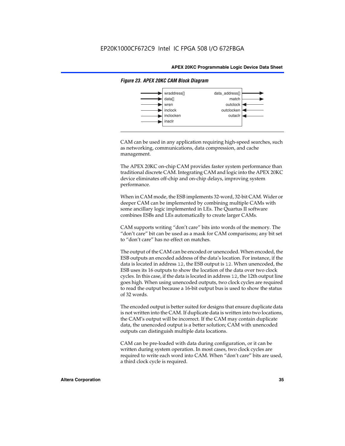

#### *Figure 23. APEX 20KC CAM Block Diagram*

CAM can be used in any application requiring high-speed searches, such as networking, communications, data compression, and cache management.

The APEX 20KC on-chip CAM provides faster system performance than traditional discrete CAM. Integrating CAM and logic into the APEX 20KC device eliminates off-chip and on-chip delays, improving system performance.

When in CAM mode, the ESB implements 32-word, 32-bit CAM. Wider or deeper CAM can be implemented by combining multiple CAMs with some ancillary logic implemented in LEs. The Quartus II software combines ESBs and LEs automatically to create larger CAMs.

CAM supports writing "don't care" bits into words of the memory. The "don't care" bit can be used as a mask for CAM comparisons; any bit set to "don't care" has no effect on matches.

The output of the CAM can be encoded or unencoded. When encoded, the ESB outputs an encoded address of the data's location. For instance, if the data is located in address 12, the ESB output is 12. When unencoded, the ESB uses its 16 outputs to show the location of the data over two clock cycles. In this case, if the data is located in address 12, the 12th output line goes high. When using unencoded outputs, two clock cycles are required to read the output because a 16-bit output bus is used to show the status of 32 words.

The encoded output is better suited for designs that ensure duplicate data is not written into the CAM. If duplicate data is written into two locations, the CAM's output will be incorrect. If the CAM may contain duplicate data, the unencoded output is a better solution; CAM with unencoded outputs can distinguish multiple data locations.

CAM can be pre-loaded with data during configuration, or it can be written during system operation. In most cases, two clock cycles are required to write each word into CAM. When "don't care" bits are used, a third clock cycle is required.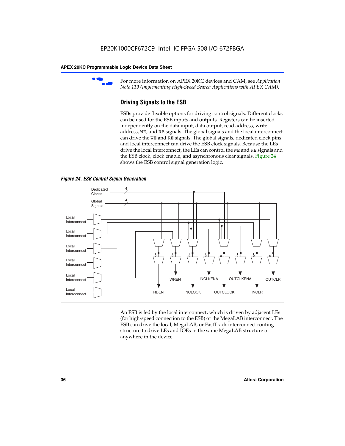

For more information on APEX 20KC devices and CAM, see *Application Note 119 (Implementing High-Speed Search Applications with APEX CAM).*

### **Driving Signals to the ESB**

ESBs provide flexible options for driving control signals. Different clocks can be used for the ESB inputs and outputs. Registers can be inserted independently on the data input, data output, read address, write address, WE, and RE signals. The global signals and the local interconnect can drive the WE and RE signals. The global signals, dedicated clock pins, and local interconnect can drive the ESB clock signals. Because the LEs drive the local interconnect, the LEs can control the WE and RE signals and the ESB clock, clock enable, and asynchronous clear signals. Figure 24 shows the ESB control signal generation logic.





An ESB is fed by the local interconnect, which is driven by adjacent LEs (for high-speed connection to the ESB) or the MegaLAB interconnect. The ESB can drive the local, MegaLAB, or FastTrack interconnect routing structure to drive LEs and IOEs in the same MegaLAB structure or anywhere in the device.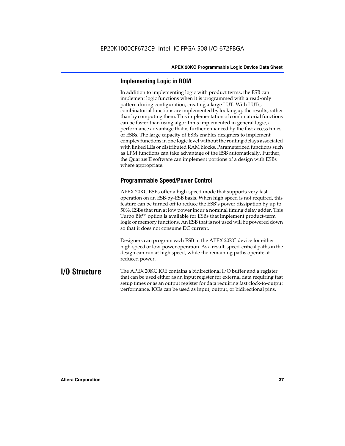### **Implementing Logic in ROM**

In addition to implementing logic with product terms, the ESB can implement logic functions when it is programmed with a read-only pattern during configuration, creating a large LUT. With LUTs, combinatorial functions are implemented by looking up the results, rather than by computing them. This implementation of combinatorial functions can be faster than using algorithms implemented in general logic, a performance advantage that is further enhanced by the fast access times of ESBs. The large capacity of ESBs enables designers to implement complex functions in one logic level without the routing delays associated with linked LEs or distributed RAM blocks. Parameterized functions such as LPM functions can take advantage of the ESB automatically. Further, the Quartus II software can implement portions of a design with ESBs where appropriate.

### **Programmable Speed/Power Control**

APEX 20KC ESBs offer a high-speed mode that supports very fast operation on an ESB-by-ESB basis. When high speed is not required, this feature can be turned off to reduce the ESB's power dissipation by up to 50%. ESBs that run at low power incur a nominal timing delay adder. This Turbo  $Bit^{TM}$  option is available for ESBs that implement product-term logic or memory functions. An ESB that is not used will be powered down so that it does not consume DC current.

Designers can program each ESB in the APEX 20KC device for either high-speed or low-power operation. As a result, speed-critical paths in the design can run at high speed, while the remaining paths operate at reduced power.

**I/O Structure** The APEX 20KC IOE contains a bidirectional I/O buffer and a register that can be used either as an input register for external data requiring fast setup times or as an output register for data requiring fast clock-to-output performance. IOEs can be used as input, output, or bidirectional pins.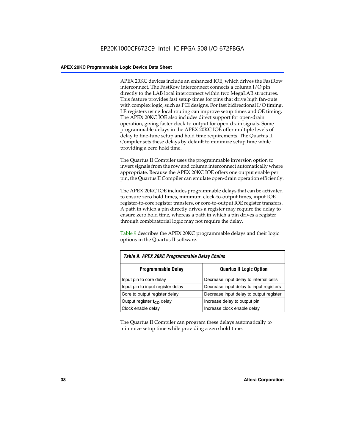APEX 20KC devices include an enhanced IOE, which drives the FastRow interconnect. The FastRow interconnect connects a column I/O pin directly to the LAB local interconnect within two MegaLAB structures. This feature provides fast setup times for pins that drive high fan-outs with complex logic, such as PCI designs. For fast bidirectional I/O timing, LE registers using local routing can improve setup times and OE timing. The APEX 20KC IOE also includes direct support for open-drain operation, giving faster clock-to-output for open-drain signals. Some programmable delays in the APEX 20KC IOE offer multiple levels of delay to fine-tune setup and hold time requirements. The Quartus II Compiler sets these delays by default to minimize setup time while providing a zero hold time.

The Quartus II Compiler uses the programmable inversion option to invert signals from the row and column interconnect automatically where appropriate. Because the APEX 20KC IOE offers one output enable per pin, the Quartus II Compiler can emulate open-drain operation efficiently.

The APEX 20KC IOE includes programmable delays that can be activated to ensure zero hold times, minimum clock-to-output times, input IOE register-to-core register transfers, or core-to-output IOE register transfers. A path in which a pin directly drives a register may require the delay to ensure zero hold time, whereas a path in which a pin drives a register through combinatorial logic may not require the delay.

Table 9 describes the APEX 20KC programmable delays and their logic options in the Quartus II software.

| Table 9. APEX 20KC Programmable Delay Chains |                                         |  |  |  |  |
|----------------------------------------------|-----------------------------------------|--|--|--|--|
| <b>Programmable Delay</b>                    | <b>Quartus II Logic Option</b>          |  |  |  |  |
| Input pin to core delay                      | Decrease input delay to internal cells  |  |  |  |  |
| Input pin to input register delay            | Decrease input delay to input registers |  |  |  |  |
| Core to output register delay                | Decrease input delay to output register |  |  |  |  |
| Output register $t_{\rm CO}$ delay           | Increase delay to output pin            |  |  |  |  |
| Clock enable delay                           | Increase clock enable delay             |  |  |  |  |

The Quartus II Compiler can program these delays automatically to minimize setup time while providing a zero hold time.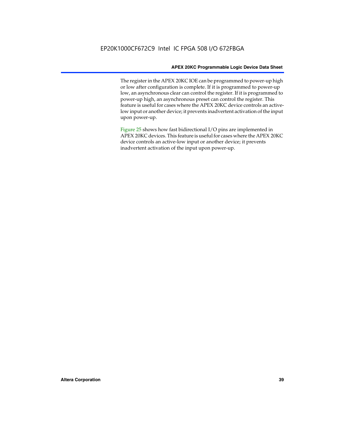The register in the APEX 20KC IOE can be programmed to power-up high or low after configuration is complete. If it is programmed to power-up low, an asynchronous clear can control the register. If it is programmed to power-up high, an asynchronous preset can control the register. This feature is useful for cases where the APEX 20KC device controls an activelow input or another device; it prevents inadvertent activation of the input upon power-up.

Figure 25 shows how fast bidirectional I/O pins are implemented in APEX 20KC devices. This feature is useful for cases where the APEX 20KC device controls an active-low input or another device; it prevents inadvertent activation of the input upon power-up.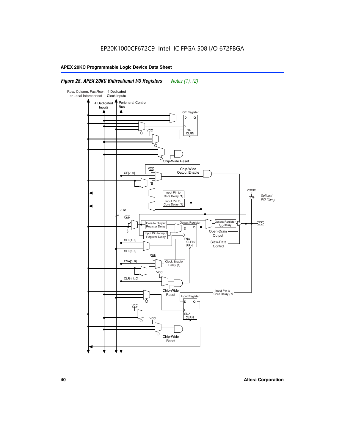### *Figure 25. APEX 20KC Bidirectional I/O Registers Notes (1), (2)*

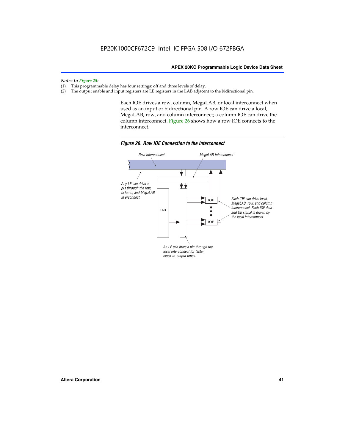*Notes to Figure 25:*

- (1) This programmable delay has four settings: off and three levels of delay.<br>(2) The output enable and input registers are LE registers in the LAB adjacer
- The output enable and input registers are LE registers in the LAB adjacent to the bidirectional pin.

Each IOE drives a row, column, MegaLAB, or local interconnect when used as an input or bidirectional pin. A row IOE can drive a local, MegaLAB, row, and column interconnect; a column IOE can drive the column interconnect. Figure 26 shows how a row IOE connects to the interconnect.



*Figure 26. Row IOE Connection to the Interconnect*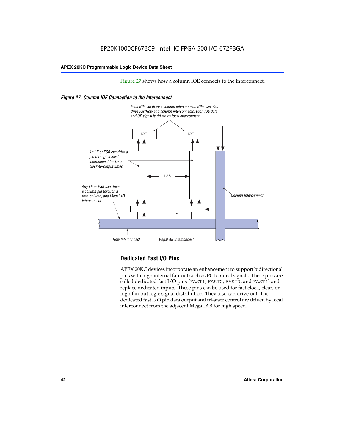Figure 27 shows how a column IOE connects to the interconnect.

### *Figure 27. Column IOE Connection to the Interconnect*



## **Dedicated Fast I/O Pins**

APEX 20KC devices incorporate an enhancement to support bidirectional pins with high internal fan-out such as PCI control signals. These pins are called dedicated fast I/O pins (FAST1, FAST2, FAST3, and FAST4) and replace dedicated inputs. These pins can be used for fast clock, clear, or high fan-out logic signal distribution. They also can drive out. The dedicated fast I/O pin data output and tri-state control are driven by local interconnect from the adjacent MegaLAB for high speed.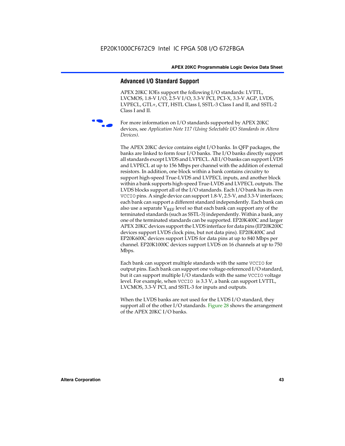### **Advanced I/O Standard Support**

APEX 20KC IOEs support the following I/O standards: LVTTL, LVCMOS, 1.8-V I/O, 2.5-V I/O, 3.3-V PCI, PCI-X, 3.3-V AGP, LVDS, LVPECL, GTL+, CTT, HSTL Class I, SSTL-3 Class I and II, and SSTL-2 Class I and II.



For more information on I/O standards supported by APEX 20KC devices, see *Application Note 117 (Using Selectable I/O Standards in Altera Devices)*.

The APEX 20KC device contains eight I/O banks. In QFP packages, the banks are linked to form four I/O banks. The I/O banks directly support all standards except LVDS and LVPECL. All I/O banks can support LVDS and LVPECL at up to 156 Mbps per channel with the addition of external resistors. In addition, one block within a bank contains circuitry to support high-speed True-LVDS and LVPECL inputs, and another block within a bank supports high-speed True-LVDS and LVPECL outputs. The LVDS blocks support all of the I/O standards. Each I/O bank has its own VCCIO pins. A single device can support 1.8-V, 2.5-V, and 3.3-V interfaces; each bank can support a different standard independently. Each bank can also use a separate  $V_{REF}$  level so that each bank can support any of the terminated standards (such as SSTL-3) independently. Within a bank, any one of the terminated standards can be supported. EP20K400C and larger APEX 20KC devices support the LVDS interface for data pins (EP20K200C devices support LVDS clock pins, but not data pins). EP20K400C and EP20K600C devices support LVDS for data pins at up to 840 Mbps per channel. EP20K1000C devices support LVDS on 16 channels at up to 750 Mbps.

Each bank can support multiple standards with the same VCCIO for output pins. Each bank can support one voltage-referenced I/O standard, but it can support multiple I/O standards with the same VCCIO voltage level. For example, when VCCIO is 3.3 V, a bank can support LVTTL, LVCMOS, 3.3-V PCI, and SSTL-3 for inputs and outputs.

When the LVDS banks are not used for the LVDS I/O standard, they support all of the other I/O standards. Figure 28 shows the arrangement of the APEX 20KC I/O banks.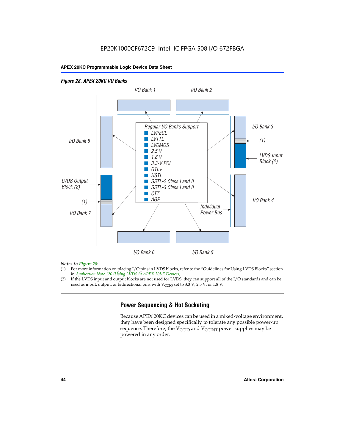### *Figure 28. APEX 20KC I/O Banks LVDS Input Block (2) (1) LVDS Output Block (2) (1) Individual Power Bus I/O Bank 8 I/O Bank 1 I/O Bank 2 I/O Bank 3 I/O Bank 4 I/O Bank 6 I/O Bank 5 I/O Bank 7 Regular I/O Banks Support* ■ *LVPECL* ■ *LVTTL* ■ *LVCMOS* ■ *2.5 V* ■ *1.8 V* ■ *3.3-V PCI* ■ *GTL+* ■ *HSTL* ■ *SSTL-2 Class I and II* ■ *SSTL-3 Class I and II* ■ *CTT* ■ *AGP*

### *Notes to Figure 28:*

- (1) For more information on placing I/O pins in LVDS blocks, refer to the "Guidelines for Using LVDS Blocks" section in *Application Note 120 (Using LVDS in APEX 20KE Devices)*.
- (2) If the LVDS input and output blocks are not used for LVDS, they can support all of the I/O standards and can be used as input, output, or bidirectional pins with  $V_{\text{CCIO}}$  set to 3.3 V, 2.5 V, or 1.8 V.

### **Power Sequencing & Hot Socketing**

Because APEX 20KC devices can be used in a mixed-voltage environment, they have been designed specifically to tolerate any possible power-up sequence. Therefore, the  $V_{\text{CCIO}}$  and  $V_{\text{CCINT}}$  power supplies may be powered in any order.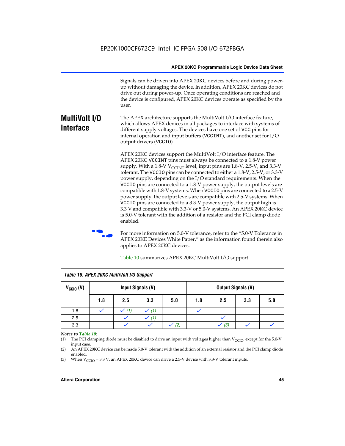Signals can be driven into APEX 20KC devices before and during powerup without damaging the device. In addition, APEX 20KC devices do not drive out during power-up. Once operating conditions are reached and the device is configured, APEX 20KC devices operate as specified by the user.

#### **MultiVolt I/O Interface** The APEX architecture supports the MultiVolt I/O interface feature, which allows APEX devices in all packages to interface with systems of different supply voltages. The devices have one set of VCC pins for internal operation and input buffers (VCCINT), and another set for I/O output drivers (VCCIO).

APEX 20KC devices support the MultiVolt I/O interface feature. The APEX 20KC VCCINT pins must always be connected to a 1.8-V power supply. With a 1.8-V  $V_{\text{CCINT}}$  level, input pins are 1.8-V, 2.5-V, and 3.3-V tolerant. The VCCIO pins can be connected to either a 1.8-V, 2.5-V, or 3.3-V power supply, depending on the I/O standard requirements. When the VCCIO pins are connected to a 1.8-V power supply, the output levels are compatible with 1.8-V systems. When VCCIO pins are connected to a 2.5-V power supply, the output levels are compatible with 2.5-V systems. When VCCIO pins are connected to a 3.3-V power supply, the output high is 3.3 V and compatible with 3.3-V or 5.0-V systems. An APEX 20KC device is 5.0-V tolerant with the addition of a resistor and the PCI clamp diode enabled.

For more information on 5.0-V tolerance, refer to the "5.0-V Tolerance in APEX 20KE Devices White Paper," as the information found therein also applies to APEX 20KC devices.

| Table 10. APEX 20KC MultiVolt I/O Support |                   |     |     |     |                           |     |     |     |
|-------------------------------------------|-------------------|-----|-----|-----|---------------------------|-----|-----|-----|
| $V_{\text{CCIO}}(V)$                      | Input Signals (V) |     |     |     | <b>Output Signals (V)</b> |     |     |     |
|                                           | 1.8               | 2.5 | 3.3 | 5.0 | 1.8                       | 2.5 | 3.3 | 5.0 |
| 1.8                                       |                   | (1) |     |     |                           |     |     |     |
| 2.5                                       |                   |     | (1) |     |                           |     |     |     |
| 3.3                                       |                   |     |     | (2) |                           | (3) |     |     |

Table 10 summarizes APEX 20KC MultiVolt I/O support.

### *Notes to Table 10:*

(1) The PCI clamping diode must be disabled to drive an input with voltages higher than  $V_{C CIO}$ , except for the 5.0-V input case.

(2) An APEX 20KC device can be made 5.0-V tolerant with the addition of an external resistor and the PCI clamp diode enabled.

(3) When  $V_{\text{CCIO}} = 3.3$  V, an APEX 20KC device can drive a 2.5-V device with 3.3-V tolerant inputs.

### **Altera Corporation 45**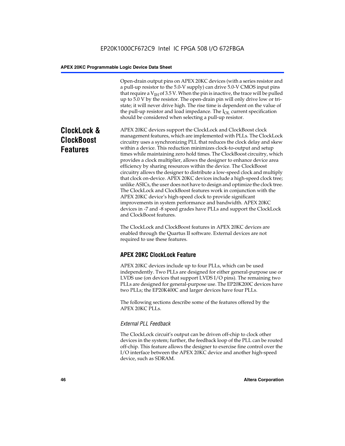Open-drain output pins on APEX 20KC devices (with a series resistor and a pull-up resistor to the 5.0-V supply) can drive 5.0-V CMOS input pins that require a  $V<sub>IH</sub>$  of 3.5 V. When the pin is inactive, the trace will be pulled up to 5.0 V by the resistor. The open-drain pin will only drive low or tristate; it will never drive high. The rise time is dependent on the value of the pull-up resistor and load impedance. The  $I_{OL}$  current specification should be considered when selecting a pull-up resistor.

# **ClockLock & ClockBoost Features**

APEX 20KC devices support the ClockLock and ClockBoost clock management features, which are implemented with PLLs. The ClockLock circuitry uses a synchronizing PLL that reduces the clock delay and skew within a device. This reduction minimizes clock-to-output and setup times while maintaining zero hold times. The ClockBoost circuitry, which provides a clock multiplier, allows the designer to enhance device area efficiency by sharing resources within the device. The ClockBoost circuitry allows the designer to distribute a low-speed clock and multiply that clock on-device. APEX 20KC devices include a high-speed clock tree; unlike ASICs, the user does not have to design and optimize the clock tree. The ClockLock and ClockBoost features work in conjunction with the APEX 20KC device's high-speed clock to provide significant improvements in system performance and bandwidth. APEX 20KC devices in -7 and -8 speed grades have PLLs and support the ClockLock and ClockBoost features.

The ClockLock and ClockBoost features in APEX 20KC devices are enabled through the Quartus II software. External devices are not required to use these features.

## **APEX 20KC ClockLock Feature**

APEX 20KC devices include up to four PLLs, which can be used independently. Two PLLs are designed for either general-purpose use or LVDS use (on devices that support LVDS I/O pins). The remaining two PLLs are designed for general-purpose use. The EP20K200C devices have two PLLs; the EP20K400C and larger devices have four PLLs.

The following sections describe some of the features offered by the APEX 20KC PLLs.

### *External PLL Feedback*

The ClockLock circuit's output can be driven off-chip to clock other devices in the system; further, the feedback loop of the PLL can be routed off-chip. This feature allows the designer to exercise fine control over the I/O interface between the APEX 20KC device and another high-speed device, such as SDRAM.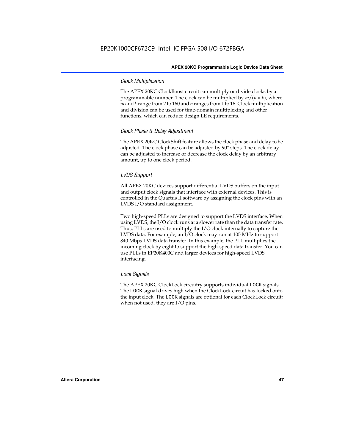### *Clock Multiplication*

The APEX 20KC ClockBoost circuit can multiply or divide clocks by a programmable number. The clock can be multiplied by  $m/(n \times k)$ , where *m* and *k* range from 2 to 160 and *n* ranges from 1 to 16. Clock multiplication and division can be used for time-domain multiplexing and other functions, which can reduce design LE requirements.

### *Clock Phase & Delay Adjustment*

The APEX 20KC ClockShift feature allows the clock phase and delay to be adjusted. The clock phase can be adjusted by 90° steps. The clock delay can be adjusted to increase or decrease the clock delay by an arbitrary amount, up to one clock period.

### *LVDS Support*

All APEX 20KC devices support differential LVDS buffers on the input and output clock signals that interface with external devices. This is controlled in the Quartus II software by assigning the clock pins with an LVDS I/O standard assignment.

Two high-speed PLLs are designed to support the LVDS interface. When using LVDS, the I/O clock runs at a slower rate than the data transfer rate. Thus, PLLs are used to multiply the I/O clock internally to capture the LVDS data. For example, an I/O clock may run at 105 MHz to support 840 Mbps LVDS data transfer. In this example, the PLL multiplies the incoming clock by eight to support the high-speed data transfer. You can use PLLs in EP20K400C and larger devices for high-speed LVDS interfacing.

### *Lock Signals*

The APEX 20KC ClockLock circuitry supports individual LOCK signals. The LOCK signal drives high when the ClockLock circuit has locked onto the input clock. The LOCK signals are optional for each ClockLock circuit; when not used, they are I/O pins.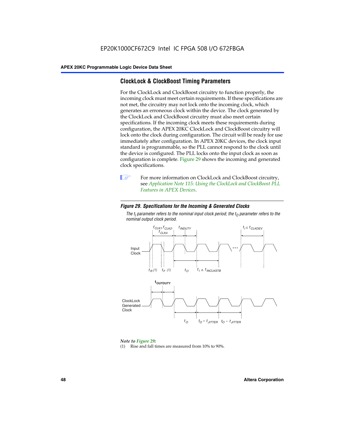### **ClockLock & ClockBoost Timing Parameters**

For the ClockLock and ClockBoost circuitry to function properly, the incoming clock must meet certain requirements. If these specifications are not met, the circuitry may not lock onto the incoming clock, which generates an erroneous clock within the device. The clock generated by the ClockLock and ClockBoost circuitry must also meet certain specifications. If the incoming clock meets these requirements during configuration, the APEX 20KC ClockLock and ClockBoost circuitry will lock onto the clock during configuration. The circuit will be ready for use immediately after configuration. In APEX 20KC devices, the clock input standard is programmable, so the PLL cannot respond to the clock until the device is configured. The PLL locks onto the input clock as soon as configuration is complete. Figure 29 shows the incoming and generated clock specifications.



**1** For more information on ClockLock and ClockBoost circuitry, see *Application Note 115: Using the ClockLock and ClockBoost PLL Features in APEX Devices*.

### *Figure 29. Specifications for the Incoming & Generated Clocks*

The  $t_{\mathfrak l}$  parameter refers to the nominal input clock period; the  $t_{\mathfrak l}$  parameter refers to the *nominal output clock period.*



### *Note to Figure 29:*

(1) Rise and fall times are measured from 10% to 90%.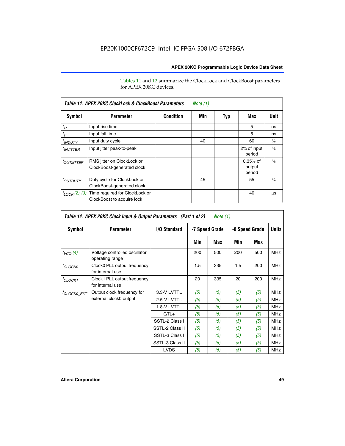Tables 11 and 12 summarize the ClockLock and ClockBoost parameters for APEX 20KC devices.

| Table 11. APEX 20KC ClockLock & ClockBoost Parameters<br>Note (1) |                                                              |                  |     |     |                                |               |  |  |
|-------------------------------------------------------------------|--------------------------------------------------------------|------------------|-----|-----|--------------------------------|---------------|--|--|
| Symbol                                                            | <b>Parameter</b>                                             | <b>Condition</b> | Min | Typ | Max                            | Unit          |  |  |
| $t_R$                                                             | Input rise time                                              |                  |     |     | 5                              | ns            |  |  |
| $t_F$                                                             | Input fall time                                              |                  |     |     | 5                              | ns            |  |  |
| <sup>t</sup> INDUTY                                               | Input duty cycle                                             |                  | 40  |     | 60                             | $\frac{0}{0}$ |  |  |
| $t_{INJITTER}$                                                    | Input jitter peak-to-peak                                    |                  |     |     | 2% of input<br>period          | $\frac{0}{0}$ |  |  |
| <b><i>LOUTJITTER</i></b>                                          | RMS jitter on ClockLock or<br>ClockBoost-generated clock     |                  |     |     | $0.35%$ of<br>output<br>period | $\frac{0}{0}$ |  |  |
| <i>t<sub>OUTDUTY</sub></i>                                        | Duty cycle for ClockLock or<br>ClockBoost-generated clock    |                  | 45  |     | 55                             | $\frac{0}{0}$ |  |  |
| $t_{LOCK}(2)$ (3)                                                 | Time required for ClockLock or<br>ClockBoost to acquire lock |                  |     |     | 40                             | μS            |  |  |

| Table 12. APEX 20KC Clock Input & Output Parameters (Part 1 of 2)<br>Note (1) |                                                  |                 |                |     |                |     |              |
|-------------------------------------------------------------------------------|--------------------------------------------------|-----------------|----------------|-----|----------------|-----|--------------|
| Symbol                                                                        | <b>Parameter</b>                                 | I/O Standard    | -7 Speed Grade |     | -8 Speed Grade |     | <b>Units</b> |
|                                                                               |                                                  |                 | Min            | Max | Min            | Max |              |
| $f_{VCO}(4)$                                                                  | Voltage controlled oscillator<br>operating range |                 | 200            | 500 | 200            | 500 | <b>MHz</b>   |
| $f_{CLOCKO}$                                                                  | Clock0 PLL output frequency<br>for internal use  |                 | 1.5            | 335 | 1.5            | 200 | <b>MHz</b>   |
| <sup>f</sup> CLOCK1                                                           | Clock1 PLL output frequency<br>for internal use  |                 | 20             | 335 | 20             | 200 | <b>MHz</b>   |
| <sup>f</sup> CLOCK0_EXT                                                       | Output clock frequency for                       | 3.3-V LVTTL     | (5)            | (5) | (5)            | (5) | <b>MHz</b>   |
|                                                                               | external clock0 output                           | 2.5-V LVTTL     | (5)            | (5) | (5)            | (5) | <b>MHz</b>   |
|                                                                               |                                                  | 1.8-V LVTTL     | (5)            | (5) | (5)            | (5) | <b>MHz</b>   |
|                                                                               |                                                  | $GTL+$          | (5)            | (5) | (5)            | (5) | <b>MHz</b>   |
|                                                                               |                                                  | SSTL-2 Class I  | (5)            | (5) | (5)            | (5) | <b>MHz</b>   |
|                                                                               |                                                  | SSTL-2 Class II | (5)            | (5) | (5)            | (5) | <b>MHz</b>   |
|                                                                               |                                                  | SSTL-3 Class I  | (5)            | (5) | (5)            | (5) | <b>MHz</b>   |
|                                                                               |                                                  | SSTL-3 Class II | (5)            | (5) | (5)            | (5) | <b>MHz</b>   |
|                                                                               |                                                  | <b>LVDS</b>     | (5)            | (5) | (5)            | (5) | <b>MHz</b>   |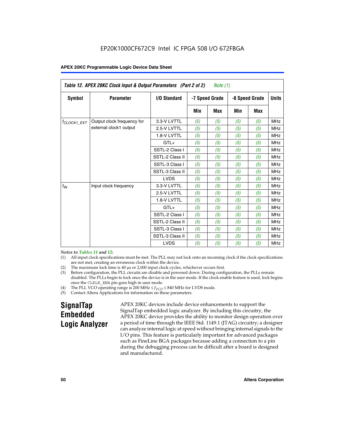| Table 12. APEX 20KC Clock Input & Output Parameters (Part 2 of 2)<br>Note (1) |                            |                 |     |                |     |                |              |
|-------------------------------------------------------------------------------|----------------------------|-----------------|-----|----------------|-----|----------------|--------------|
| Symbol                                                                        | <b>Parameter</b>           | I/O Standard    |     | -7 Speed Grade |     | -8 Speed Grade | <b>Units</b> |
|                                                                               |                            |                 | Min | <b>Max</b>     | Min | <b>Max</b>     |              |
| $t_{\text{CLOCK1\_EXT}}$                                                      | Output clock frequency for | 3.3-V LVTTL     | (5) | (5)            | (5) | (5)            | <b>MHz</b>   |
|                                                                               | external clock1 output     | 2.5-V LVTTL     | (5) | (5)            | (5) | (5)            | <b>MHz</b>   |
|                                                                               |                            | 1.8-V LVTTL     | (5) | (5)            | (5) | (5)            | <b>MHz</b>   |
|                                                                               |                            | $GTL+$          | (5) | (5)            | (5) | (5)            | <b>MHz</b>   |
|                                                                               |                            | SSTL-2 Class I  | (5) | (5)            | (5) | (5)            | <b>MHz</b>   |
|                                                                               |                            | SSTL-2 Class II | (5) | (5)            | (5) | (5)            | <b>MHz</b>   |
|                                                                               |                            | SSTL-3 Class I  | (5) | (5)            | (5) | (5)            | <b>MHz</b>   |
|                                                                               |                            | SSTL-3 Class II | (5) | (5)            | (5) | (5)            | <b>MHz</b>   |
|                                                                               |                            | <b>LVDS</b>     | (5) | (5)            | (5) | (5)            | <b>MHz</b>   |
| $f_{IN}$                                                                      | Input clock frequency      | 3.3-V LVTTL     | (5) | (5)            | (5) | (5)            | <b>MHz</b>   |
|                                                                               |                            | 2.5-V LVTTL     | (5) | (5)            | (5) | (5)            | <b>MHz</b>   |
|                                                                               |                            | 1.8-V LVTTL     | (5) | (5)            | (5) | (5)            | <b>MHz</b>   |
|                                                                               |                            | $GTL+$          | (5) | (5)            | (5) | (5)            | <b>MHz</b>   |
|                                                                               |                            | SSTL-2 Class I  | (5) | (5)            | (5) | (5)            | <b>MHz</b>   |
|                                                                               |                            | SSTL-2 Class II | (5) | (5)            | (5) | (5)            | <b>MHz</b>   |
|                                                                               |                            | SSTL-3 Class I  | (5) | (5)            | (5) | (5)            | <b>MHz</b>   |
|                                                                               |                            | SSTL-3 Class II | (5) | (5)            | (5) | (5)            | <b>MHz</b>   |
|                                                                               |                            | <b>LVDS</b>     | (5) | (5)            | (5) | (5)            | <b>MHz</b>   |

### *Notes to Tables 11 and 12:*

- (1) All input clock specifications must be met. The PLL may not lock onto an incoming clock if the clock specifications are not met, creating an erroneous clock within the device.
- 
- (2) The maximum lock time is  $40 \mu s$  or  $2,000$  input clock cycles, whichever occurs first.<br>
(3) Before configuration, the PLL circuits are disable and powered down. During confi Before configuration, the PLL circuits are disable and powered down. During configuration, the PLLs remain disabled. The PLLs begin to lock once the device is in the user mode. If the clock enable feature is used, lock begins once the CLKLK\_ENA pin goes high in user mode.
- (4) The PLL VCO operating range is 200 MHz  $\leq f_{VCO} \leq 840$  MHz for LVDS mode.

(5) Contact Altera Applications for information on these parameters.

# **SignalTap Embedded Logic Analyzer**

APEX 20KC devices include device enhancements to support the SignalTap embedded logic analyzer. By including this circuitry, the APEX 20KC device provides the ability to monitor design operation over a period of time through the IEEE Std. 1149.1 (JTAG) circuitry; a designer can analyze internal logic at speed without bringing internal signals to the I/O pins. This feature is particularly important for advanced packages such as FineLine BGA packages because adding a connection to a pin during the debugging process can be difficult after a board is designed and manufactured.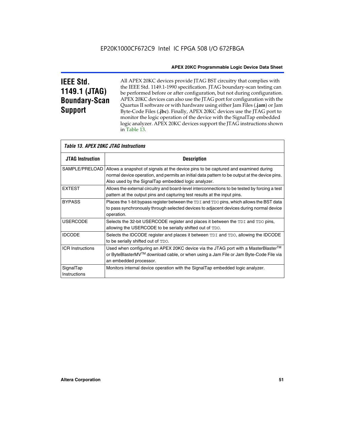# **IEEE Std. 1149.1 (JTAG) Boundary-Scan Support**

Г

All APEX 20KC devices provide JTAG BST circuitry that complies with the IEEE Std. 1149.1-1990 specification. JTAG boundary-scan testing can be performed before or after configuration, but not during configuration. APEX 20KC devices can also use the JTAG port for configuration with the Quartus II software or with hardware using either Jam Files (**.jam**) or Jam Byte-Code Files (**.jbc**). Finally, APEX 20KC devices use the JTAG port to monitor the logic operation of the device with the SignalTap embedded logic analyzer. APEX 20KC devices support the JTAG instructions shown in Table 13.

|                           | <i>Table 13. APEX 20KC JTAG Instructions</i>                                                                                                                                                                                                                |  |  |  |  |  |
|---------------------------|-------------------------------------------------------------------------------------------------------------------------------------------------------------------------------------------------------------------------------------------------------------|--|--|--|--|--|
| <b>JTAG Instruction</b>   | <b>Description</b>                                                                                                                                                                                                                                          |  |  |  |  |  |
|                           | SAMPLE/PRELOAD   Allows a snapshot of signals at the device pins to be captured and examined during<br>normal device operation, and permits an initial data pattern to be output at the device pins.<br>Also used by the SignalTap embedded logic analyzer. |  |  |  |  |  |
| <b>EXTEST</b>             | Allows the external circuitry and board-level interconnections to be tested by forcing a test<br>pattern at the output pins and capturing test results at the input pins.                                                                                   |  |  |  |  |  |
| <b>BYPASS</b>             | Places the 1-bit bypass register between the TDI and TDO pins, which allows the BST data<br>to pass synchronously through selected devices to adjacent devices during normal device<br>operation.                                                           |  |  |  |  |  |
| <b>USERCODE</b>           | Selects the 32-bit USERCODE register and places it between the TDI and TDO pins,<br>allowing the USERCODE to be serially shifted out of TDO.                                                                                                                |  |  |  |  |  |
| <b>IDCODE</b>             | Selects the IDCODE register and places it between TDI and TDO, allowing the IDCODE<br>to be serially shifted out of TDO.                                                                                                                                    |  |  |  |  |  |
| <b>ICR Instructions</b>   | Used when configuring an APEX 20KC device via the JTAG port with a MasterBlaster <sup>™</sup><br>or ByteBlasterMV™ download cable, or when using a Jam File or Jam Byte-Code File via<br>an embedded processor.                                             |  |  |  |  |  |
| SignalTap<br>Instructions | Monitors internal device operation with the SignalTap embedded logic analyzer.                                                                                                                                                                              |  |  |  |  |  |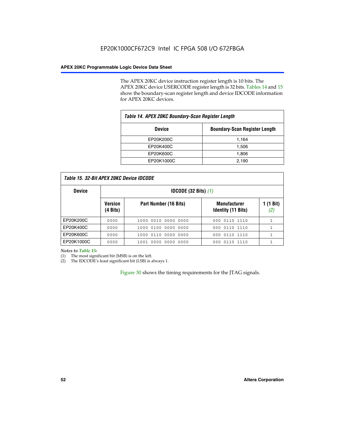The APEX 20KC device instruction register length is 10 bits. The APEX 20KC device USERCODE register length is 32 bits. Tables 14 and 15 show the boundary-scan register length and device IDCODE information for APEX 20KC devices.

| Table 14. APEX 20KC Boundary-Scan Register Length     |       |  |  |  |
|-------------------------------------------------------|-------|--|--|--|
| <b>Boundary-Scan Register Length</b><br><b>Device</b> |       |  |  |  |
| EP20K200C                                             | 1,164 |  |  |  |
| EP20K400C                                             | 1,506 |  |  |  |
| EP20K600C                                             | 1,806 |  |  |  |
| EP20K1000C                                            | 2,190 |  |  |  |

| Table 15. 32-Bit APEX 20KC Device IDCODE |
|------------------------------------------|
|------------------------------------------|

| <b>Device</b> |                            | <b>IDCODE</b> (32 Bits) $(1)$ |                                                  |                  |  |
|---------------|----------------------------|-------------------------------|--------------------------------------------------|------------------|--|
|               | <b>Version</b><br>(4 Bits) | Part Number (16 Bits)         | <b>Manufacturer</b><br><b>Identity (11 Bits)</b> | 1 (1 Bit)<br>(2) |  |
| EP20K200C     | 0000                       | 1000 0010 0000 0000           | 000 0110 1110                                    |                  |  |
| EP20K400C     | 0000                       | 1000 0100 0000 0000           | 0110 1110<br>000                                 |                  |  |
| EP20K600C     | 0000                       | 1000 0110 0000 0000           | 0110 1110<br>000                                 | 1                |  |
| EP20K1000C    | 0000                       | 1001 0000 0000 0000           | 000 0110 1110                                    |                  |  |

*Notes to Table 15:*

(1) The most significant bit (MSB) is on the left.

(2) The IDCODE's least significant bit (LSB) is always 1.

Figure 30 shows the timing requirements for the JTAG signals.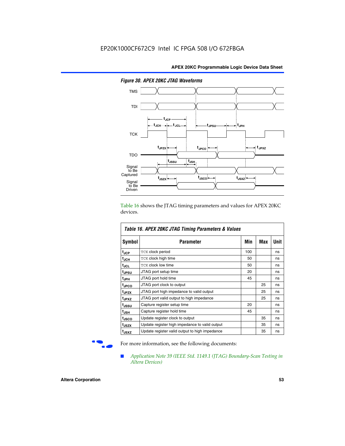

*Figure 30. APEX 20KC JTAG Waveforms*

Table 16 shows the JTAG timing parameters and values for APEX 20KC devices.

| Table 16. APEX 20KC JTAG Timing Parameters & Values |                                                |     |     |      |  |  |
|-----------------------------------------------------|------------------------------------------------|-----|-----|------|--|--|
| Symbol                                              | Parameter                                      | Min | Max | Unit |  |  |
| t <sub>JCP</sub>                                    | <b>TCK clock period</b>                        | 100 |     | ns   |  |  |
| t <sub>JCH</sub>                                    | <b>TCK clock high time</b>                     | 50  |     | ns   |  |  |
| t <sub>JCL</sub>                                    | <b>TCK clock low time</b>                      | 50  |     | ns   |  |  |
| tjpsu                                               | JTAG port setup time                           | 20  |     | ns   |  |  |
| t <sub>JPH</sub>                                    | JTAG port hold time                            | 45  |     | ns   |  |  |
| <sup>t</sup> JPCO                                   | JTAG port clock to output                      |     | 25  | ns   |  |  |
| t <sub>JPZX</sub>                                   | JTAG port high impedance to valid output       |     | 25  | ns   |  |  |
| t <sub>JPXZ</sub>                                   | JTAG port valid output to high impedance       |     | 25  | ns   |  |  |
| t <sub>JSSU</sub>                                   | Capture register setup time                    | 20  |     | ns   |  |  |
| t <sub>JSH</sub>                                    | Capture register hold time                     | 45  |     | ns   |  |  |
| t <sub>JSCO</sub>                                   | Update register clock to output                |     | 35  | ns   |  |  |
| t <sub>JSZX</sub>                                   | Update register high impedance to valid output |     | 35  | ns   |  |  |
| t <sub>JSXZ</sub>                                   | Update register valid output to high impedance |     | 35  | ns   |  |  |

For more information, see the following documents:

■ *Application Note 39 (IEEE Std. 1149.1 (JTAG) Boundary-Scan Testing in Altera Devices)*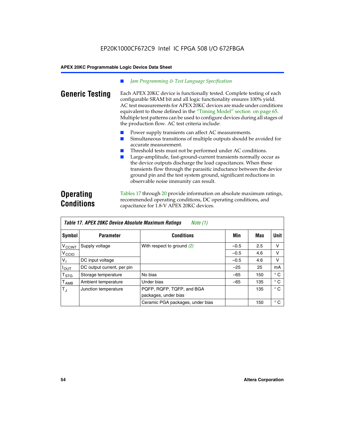### *Jam Programming & Test Language Specification*

**Generic Testing** Each APEX 20KC device is functionally tested. Complete testing of each configurable SRAM bit and all logic functionality ensures 100% yield. AC test measurements for APEX 20KC devices are made under conditions equivalent to those defined in the "Timing Model" section on page 65. Multiple test patterns can be used to configure devices during all stages of the production flow. AC test criteria include:

- Power supply transients can affect AC measurements.
- Simultaneous transitions of multiple outputs should be avoided for accurate measurement.
- Threshold tests must not be performed under AC conditions.
- Large-amplitude, fast-ground-current transients normally occur as the device outputs discharge the load capacitances. When these transients flow through the parasitic inductance between the device ground pin and the test system ground, significant reductions in observable noise immunity can result.

# **Operating Conditions**

Tables 17 through 20 provide information on absolute maximum ratings, recommended operating conditions, DC operating conditions, and capacitance for 1.8-V APEX 20KC devices.

| Table 17. APEX 20KC Device Absolute Maximum Ratings<br>Note (1) |                            |                                  |        |     |              |  |
|-----------------------------------------------------------------|----------------------------|----------------------------------|--------|-----|--------------|--|
| Symbol                                                          | <b>Parameter</b>           | <b>Conditions</b>                | Min    | Max | Unit         |  |
| $V_{\text{CCINT}}$                                              | Supply voltage             | With respect to ground $(2)$     | $-0.5$ | 2.5 | v            |  |
| V <sub>CCIO</sub>                                               |                            |                                  | $-0.5$ | 4.6 | v            |  |
| $V_{1}$                                                         | DC input voltage           |                                  | $-0.5$ | 4.6 | v            |  |
| $I_{\text{OUT}}$                                                | DC output current, per pin |                                  | $-25$  | 25  | mA           |  |
| T <sub>STG</sub>                                                | Storage temperature        | No bias                          | $-65$  | 150 | $^{\circ}$ C |  |
| $T_{\sf AMB}$                                                   | Ambient temperature        | Under bias                       | $-65$  | 135 | $^{\circ}$ C |  |
| $T_{\rm J}$                                                     | Junction temperature       | PQFP, RQFP, TQFP, and BGA        |        | 135 | $^{\circ}$ C |  |
|                                                                 |                            | packages, under bias             |        |     |              |  |
|                                                                 |                            | Ceramic PGA packages, under bias |        | 150 | $^{\circ}$ C |  |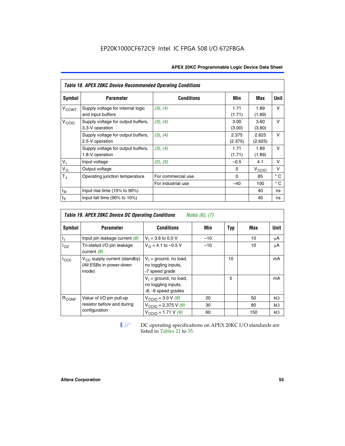| <b>APEX 20KC Programmable Logic Device Data Sheet</b> |  |
|-------------------------------------------------------|--|
|-------------------------------------------------------|--|

|                          | <b>Table 18. APEX 20KC Device Recommended Operating Conditions</b> |                    |                  |                   |              |  |  |  |  |  |
|--------------------------|--------------------------------------------------------------------|--------------------|------------------|-------------------|--------------|--|--|--|--|--|
| Symbol                   | <b>Parameter</b>                                                   | <b>Conditions</b>  | Min              | Max               | Unit         |  |  |  |  |  |
| <b>V<sub>CCINT</sub></b> | Supply voltage for internal logic<br>and input buffers             | (3), (4)           | 1.71<br>(1.71)   | 1.89<br>(1.89)    | $\vee$       |  |  |  |  |  |
| V <sub>CCIO</sub>        | Supply voltage for output buffers,<br>3.3-V operation              | (3), (4)           | 3.00<br>(3.00)   | 3.60<br>(3.60)    | $\vee$       |  |  |  |  |  |
|                          | Supply voltage for output buffers,<br>2.5-V operation              | (3), (4)           | 2.375<br>(2.375) | 2.625<br>(2.625)  | $\vee$       |  |  |  |  |  |
|                          | Supply voltage for output buffers,<br>1.8-V operation              | (3), (4)           | 1.71<br>(1.71)   | 1.89<br>(1.89)    | $\vee$       |  |  |  |  |  |
| V <sub>1</sub>           | Input voltage                                                      | (2), (5)           | $-0.5$           | 4.1               | v            |  |  |  |  |  |
| $V_{O}$                  | Output voltage                                                     |                    | 0                | $V_{\text{CCI}O}$ | ν            |  |  |  |  |  |
| $T_{\rm J}$              | Operating junction temperature                                     | For commercial use | $\Omega$         | 85                | $^{\circ}$ C |  |  |  |  |  |
|                          |                                                                    | For industrial use | $-40$            | 100               | $^{\circ}$ C |  |  |  |  |  |
| $t_{R}$                  | Input rise time $(10\% \text{ to } 90\%)$                          |                    |                  | 40                | ns           |  |  |  |  |  |
| $t_F$                    | Input fall time (90% to 10%)                                       |                    |                  | 40                | ns           |  |  |  |  |  |

| <b>Table 19. APEX 20KC Device DC Operating Conditions</b><br><i>Notes</i> $(6)$ , $(7)$ |                                                                       |                                                                        |       |     |     |           |  |  |
|-----------------------------------------------------------------------------------------|-----------------------------------------------------------------------|------------------------------------------------------------------------|-------|-----|-----|-----------|--|--|
| Symbol                                                                                  | <b>Parameter</b>                                                      | <b>Conditions</b>                                                      | Min   | Typ | Max | Unit      |  |  |
| J,                                                                                      | Input pin leakage current $(8)$                                       | $V_1 = 3.6$ to 0.0 V                                                   | $-10$ |     | 10  | μA        |  |  |
| $I_{OZ}$                                                                                | Tri-stated I/O pin leakage<br>current $(8)$                           | $V_{\Omega} = 4.1$ to -0.5 V                                           | $-10$ |     | 10  | μA        |  |  |
| $I_{CC0}$                                                                               | $V_{CC}$ supply current (standby)<br>(All ESBs in power-down<br>mode) | $V_1$ = ground, no load,<br>no toggling inputs,<br>-7 speed grade      |       | 10  |     | mA        |  |  |
|                                                                                         |                                                                       | $V_1$ = ground, no load,<br>no toggling inputs,<br>-8, -9 speed grades |       | 5   |     | mA        |  |  |
| R <sub>CONF</sub>                                                                       | Value of I/O pin pull-up                                              | $V_{\text{CCIO}} = 3.0 V (9)$                                          | 20    |     | 50  | $k\Omega$ |  |  |
|                                                                                         | resistor before and during                                            | $V_{\text{CCIO}} = 2.375 \text{ V } (9)$                               | 30    |     | 80  | $k\Omega$ |  |  |
|                                                                                         | configuration                                                         | $V_{\text{CCIO}} = 1.71 V(9)$                                          | 60    |     | 150 | $k\Omega$ |  |  |

**IF DC** operating specifications on APEX 20KC I/O standards are listed in Tables 21 to 35*.*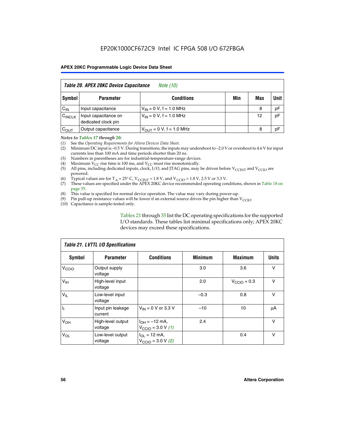| Table 20. APEX 20KC Device Capacitance<br><i>Note (10)</i> |                                             |                                |     |     |      |  |  |  |  |
|------------------------------------------------------------|---------------------------------------------|--------------------------------|-----|-----|------|--|--|--|--|
| Symbol                                                     | <b>Parameter</b>                            | <b>Conditions</b>              | Min | Max | Unit |  |  |  |  |
| $C_{IN}$                                                   | Input capacitance                           | $V_{IN} = 0 V$ , f = 1.0 MHz   |     | 8   | pF   |  |  |  |  |
| $C_{\text{INCLK}}$                                         | Input capacitance on<br>dedicated clock pin | $V_{IN} = 0 V$ , f = 1.0 MHz   |     | 12  | pF   |  |  |  |  |
| $C_{OUT}$                                                  | Output capacitance                          | $V_{OIII} = 0 V$ , f = 1.0 MHz |     | 8   | pF   |  |  |  |  |

### *Notes to Tables 17 through 20:*

(1) See the *Operating Requirements for Altera Devices Data Sheet*.

(2) Minimum DC input is –0.5 V. During transitions, the inputs may undershoot to –2.0 V or overshoot to 4.6 V for input currents less than 100 mA and time periods shorter than 20 ns.

- (3) Numbers in parentheses are for industrial-temperature-range devices.<br>(4) Maximum  $V_{CC}$  rise time is 100 ms, and  $V_{CC}$  must rise monotonically.
- (4) Maximum  $V_{CC}$  rise time is 100 ms, and  $V_{CC}$  must rise monotonically.<br>(5) All pins, including dedicated inputs, clock, I/O, and JTAG pins, may
- All pins, including dedicated inputs, clock, I/O, and JTAG pins, may be driven before  $V_{CCTN}$  and  $V_{CCTO}$  are powered.
- (6) Typical values are for T<sub>A</sub> = 25° C, V<sub>CCINT</sub> = 1.8 V, and V<sub>CCIO</sub> = 1.8 V, 2.5 V or 3.3 V.
- (7) These values are specified under the APEX 20KC device recommended operating conditions, shown in Table 18 on page 55.
- (8) This value is specified for normal device operation. The value may vary during power-up.
- (9) Pin pull-up resistance values will be lower if an external source drives the pin higher than  $V_{\text{CCIO}}$ .
- (10) Capacitance is sample-tested only.

Tables 21 through 35 list the DC operating specifications for the supported I/O standards. These tables list minimal specifications only; APEX 20KC devices may exceed these specifications.

| Table 21. LVTTL I/O Specifications |                              |                                                     |                |                         |              |  |  |  |  |
|------------------------------------|------------------------------|-----------------------------------------------------|----------------|-------------------------|--------------|--|--|--|--|
| Symbol                             | <b>Parameter</b>             | <b>Conditions</b>                                   | <b>Minimum</b> | <b>Maximum</b>          | <b>Units</b> |  |  |  |  |
| V <sub>CCIO</sub>                  | Output supply<br>voltage     |                                                     | 3.0            | 3.6                     | v            |  |  |  |  |
| V <sub>IH</sub>                    | High-level input<br>voltage  |                                                     | 2.0            | $V_{\text{CClO}} + 0.3$ | $\vee$       |  |  |  |  |
| $V_{IL}$                           | Low-level input<br>voltage   |                                                     | $-0.3$         | 0.8                     | v            |  |  |  |  |
| $\mathbf{I}_{1}$                   | Input pin leakage<br>current | $V_{IN} = 0$ V or 3.3 V                             | $-10$          | 10                      | μA           |  |  |  |  |
| V <sub>OH</sub>                    | High-level output<br>voltage | $I_{OH} = -12$ mA,<br>$V_{\text{CCIO}} = 3.0 V (1)$ | 2.4            |                         | v            |  |  |  |  |
| $V_{OL}$                           | Low-level output<br>voltage  | $I_{OL}$ = 12 mA,<br>$V_{\text{CCIO}} = 3.0 V (2)$  |                | 0.4                     | $\vee$       |  |  |  |  |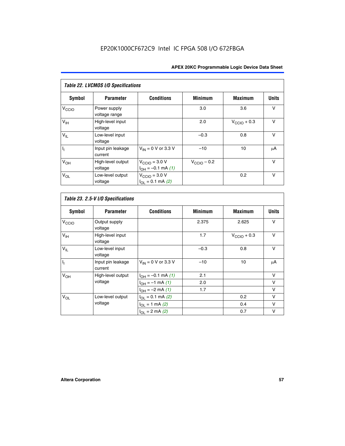| Table 22. LVCMOS I/O Specifications |                               |                                                       |                         |                         |              |  |  |  |  |
|-------------------------------------|-------------------------------|-------------------------------------------------------|-------------------------|-------------------------|--------------|--|--|--|--|
| Symbol                              | <b>Parameter</b>              | <b>Conditions</b>                                     | <b>Minimum</b>          | <b>Maximum</b>          | <b>Units</b> |  |  |  |  |
| V <sub>CCIO</sub>                   | Power supply<br>voltage range |                                                       | 3.0                     | 3.6                     | V            |  |  |  |  |
| $V_{\text{IH}}$                     | High-level input<br>voltage   |                                                       | 2.0                     | $V_{\text{CCIO}} + 0.3$ | v            |  |  |  |  |
| $V_{IL}$                            | Low-level input<br>voltage    |                                                       | $-0.3$                  | 0.8                     | $\vee$       |  |  |  |  |
| h                                   | Input pin leakage<br>current  | $V_{IN}$ = 0 V or 3.3 V                               | $-10$                   | 10                      | μA           |  |  |  |  |
| V <sub>OH</sub>                     | High-level output<br>voltage  | $V_{\text{CCIO}} = 3.0 V$<br>$I_{OH} = -0.1$ mA $(1)$ | $V_{\text{CCIO}} - 0.2$ |                         | $\vee$       |  |  |  |  |
| $V_{OL}$                            | Low-level output<br>voltage   | $V_{\text{CCIO}} = 3.0 V$<br>$I_{OL} = 0.1$ mA (2)    |                         | 0.2                     | $\vee$       |  |  |  |  |

 $\mathsf{l}$ 

| <b>Symbol</b>   | <b>Parameter</b>             | <b>Conditions</b>        | <b>Minimum</b> | <b>Maximum</b>          | <b>Units</b> |
|-----------------|------------------------------|--------------------------|----------------|-------------------------|--------------|
| $V_{\rm CCIO}$  | Output supply<br>voltage     |                          | 2.375          | 2.625                   | $\vee$       |
| V <sub>IH</sub> | High-level input<br>voltage  |                          | 1.7            | $V_{\text{CCIO}} + 0.3$ | $\mathsf{V}$ |
| $V_{IL}$        | Low-level input<br>voltage   |                          | $-0.3$         | 0.8                     | $\vee$       |
| $I_1$           | Input pin leakage<br>current | $V_{IN}$ = 0 V or 3.3 V  | $-10$          | 10                      | μA           |
| V <sub>OH</sub> | High-level output            | $I_{OH} = -0.1$ mA $(1)$ | 2.1            |                         | $\vee$       |
|                 | voltage                      | $I_{OH} = -1$ mA (1)     | 2.0            |                         | $\vee$       |
|                 |                              | $I_{OH} = -2$ mA (1)     | 1.7            |                         | v            |
| $V_{OL}$        | Low-level output             | $I_{OL} = 0.1$ mA (2)    |                | 0.2                     | $\vee$       |
|                 | voltage                      | $I_{OL} = 1$ mA (2)      |                | 0.4                     | $\vee$       |
|                 |                              | $I_{OL} = 2$ mA (2)      |                | 0.7                     | $\vee$       |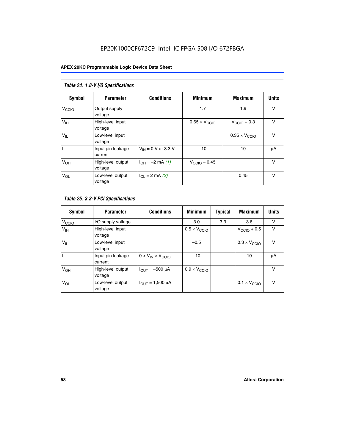# EP20K1000CF672C9 Intel IC FPGA 508 I/O 672FBGA

| Table 24. 1.8-V I/O Specifications |                              |                           |                               |                               |              |  |  |  |  |
|------------------------------------|------------------------------|---------------------------|-------------------------------|-------------------------------|--------------|--|--|--|--|
| Symbol                             | <b>Parameter</b>             | <b>Conditions</b>         | <b>Minimum</b>                | <b>Maximum</b>                | <b>Units</b> |  |  |  |  |
| V <sub>CCIO</sub>                  | Output supply<br>voltage     |                           | 1.7                           | 1.9                           | $\vee$       |  |  |  |  |
| V <sub>IH</sub>                    | High-level input<br>voltage  |                           | $0.65 \times V_{\text{CCIO}}$ | $V_{\text{CCIO}} + 0.3$       | $\vee$       |  |  |  |  |
| $V_{IL}$                           | Low-level input<br>voltage   |                           |                               | $0.35 \times V_{\text{CCIO}}$ | $\vee$       |  |  |  |  |
| $I_1$                              | Input pin leakage<br>current | $V_{IN} = 0$ V or 3.3 V   | $-10$                         | 10                            | μA           |  |  |  |  |
| V <sub>OH</sub>                    | High-level output<br>voltage | $I_{OH} = -2$ mA (1)      | $V_{\text{CClO}}$ – 0.45      |                               | V            |  |  |  |  |
| $V_{OL}$                           | Low-level output<br>voltage  | $I_{\Omega I}$ = 2 mA (2) |                               | 0.45                          | $\vee$       |  |  |  |  |

| Table 25. 3.3-V PCI Specifications |                              |                         |                              |         |                              |              |  |  |
|------------------------------------|------------------------------|-------------------------|------------------------------|---------|------------------------------|--------------|--|--|
| <b>Symbol</b>                      | <b>Parameter</b>             | <b>Conditions</b>       | <b>Minimum</b>               | Typical | <b>Maximum</b>               | <b>Units</b> |  |  |
| V <sub>CCIO</sub>                  | I/O supply voltage           |                         | 3.0                          | 3.3     | 3.6                          | v            |  |  |
| $V_{\text{IH}}$                    | High-level input<br>voltage  |                         | $0.5 \times V_{\text{CCIO}}$ |         | $V_{\text{CCIO}} + 0.5$      | $\vee$       |  |  |
| $V_{IL}$                           | Low-level input<br>voltage   |                         | $-0.5$                       |         | $0.3 \times V_{\text{CCIO}}$ | $\vee$       |  |  |
| $\mathbf{I}_{1}$                   | Input pin leakage<br>current | $0 < V_{IN} < V_{CCIO}$ | $-10$                        |         | 10                           | μA           |  |  |
| V <sub>OH</sub>                    | High-level output<br>voltage | $I_{OUT} = -500 \mu A$  | $0.9 \times V_{\text{CCIO}}$ |         |                              | $\vee$       |  |  |
| $V_{OL}$                           | Low-level output<br>voltage  | $I_{OUT} = 1,500 \mu A$ |                              |         | $0.1 \times V_{\text{CCIO}}$ | $\vee$       |  |  |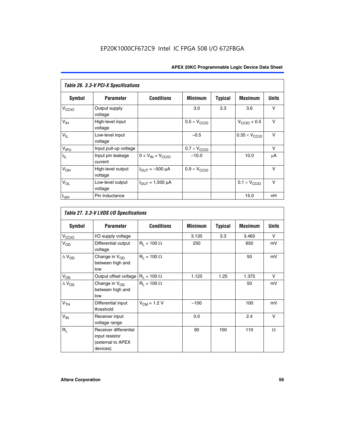| Table 26. 3.3-V PCI-X Specifications |                              |                                |                              |                |                         |              |  |  |
|--------------------------------------|------------------------------|--------------------------------|------------------------------|----------------|-------------------------|--------------|--|--|
| <b>Symbol</b>                        | <b>Parameter</b>             | <b>Conditions</b>              | <b>Minimum</b>               | <b>Typical</b> | <b>Maximum</b>          | <b>Units</b> |  |  |
| V <sub>CCIO</sub>                    | Output supply<br>voltage     |                                | 3.0                          | 3.3            | 3.6                     | v            |  |  |
| $V_{\text{IH}}$                      | High-level input<br>voltage  |                                | $0.5 \times V_{\text{CCIO}}$ |                | $V_{\text{CCIO}} + 0.5$ | $\vee$       |  |  |
| $V_{IL}$                             | Low-level input<br>voltage   |                                | $-0.5$                       |                | $0.35 \times V_{CCIO}$  | $\vee$       |  |  |
| V <sub>IPU</sub>                     | Input pull-up voltage        |                                | $0.7 \times V_{\text{CCIO}}$ |                |                         | $\vee$       |  |  |
| $I_{\rm IL}$                         | Input pin leakage<br>current | $0 < V_{IN} < V_{CCIO}$        | $-10.0$                      |                | 10.0                    | μA           |  |  |
| $V_{OH}$                             | High-level output<br>voltage | $I_{\text{OUT}} = -500 \mu A$  | $0.9 \times V_{\text{CCIO}}$ |                |                         | $\vee$       |  |  |
| $V_{OL}$                             | Low-level output<br>voltage  | $I_{\text{OUT}} = 1,500 \mu A$ |                              |                | $0.1 \times V_{CCIO}$   | v            |  |  |
| $L_{pin}$                            | Pin Inductance               |                                |                              |                | 15.0                    | nH           |  |  |

| Table 27. 3.3-V LVDS I/O Specifications |                                                                          |                    |                |                |                |              |  |  |
|-----------------------------------------|--------------------------------------------------------------------------|--------------------|----------------|----------------|----------------|--------------|--|--|
| Symbol                                  | <b>Parameter</b>                                                         | <b>Conditions</b>  | <b>Minimum</b> | <b>Typical</b> | <b>Maximum</b> | <b>Units</b> |  |  |
| V <sub>C</sub> CO                       | I/O supply voltage                                                       |                    | 3.135          | 3.3            | 3.465          | $\vee$       |  |  |
| $V_{OD}$                                | Differential output<br>voltage                                           | $R_1 = 100 \Omega$ | 250            |                | 650            | mV           |  |  |
| $\Delta$ V <sub>OD</sub>                | Change in V <sub>OD</sub><br>between high and<br>low                     | $R_1 = 100 \Omega$ |                |                | 50             | mV           |  |  |
| $V_{OS}$                                | Output offset voltage $R_1 = 100 \Omega$                                 |                    | 1.125          | 1.25           | 1.375          | V            |  |  |
| $\Delta$ V <sub>OS</sub>                | Change in $V_{OS}$<br>between high and<br>low                            | $R_1 = 100 \Omega$ |                |                | 50             | mV           |  |  |
| V <sub>TH</sub>                         | Differential input<br>threshold                                          | $V_{CM} = 1.2 V$   | $-100$         |                | 100            | mV           |  |  |
| $V_{IN}$                                | Receiver input<br>voltage range                                          |                    | 0.0            |                | 2.4            | $\vee$       |  |  |
| $R_L$                                   | Receiver differential<br>input resistor<br>(external to APEX<br>devices) |                    | 90             | 100            | 110            | $\Omega$     |  |  |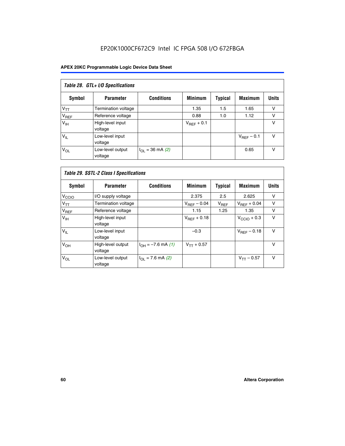# EP20K1000CF672C9 Intel IC FPGA 508 I/O 672FBGA

| Table 28. GTL+ I/O Specifications |                             |                      |                        |                |                        |              |  |  |
|-----------------------------------|-----------------------------|----------------------|------------------------|----------------|------------------------|--------------|--|--|
| <b>Symbol</b>                     | <b>Parameter</b>            | <b>Conditions</b>    | <b>Minimum</b>         | <b>Typical</b> | <b>Maximum</b>         | <b>Units</b> |  |  |
| $V_{TT}$                          | <b>Termination voltage</b>  |                      | 1.35                   | 1.5            | 1.65                   | v            |  |  |
| $V_{REF}$                         | Reference voltage           |                      | 0.88                   | 1.0            | 1.12                   | v            |  |  |
| V <sub>IH</sub>                   | High-level input<br>voltage |                      | $V_{\text{RFF}} + 0.1$ |                |                        | v            |  |  |
| $V_{IL}$                          | Low-level input<br>voltage  |                      |                        |                | $V_{\text{RFF}}$ – 0.1 | v            |  |  |
| $V_{OL}$                          | Low-level output<br>voltage | $I_{OL}$ = 36 mA (2) |                        |                | 0.65                   | v            |  |  |

| Table 29. SSTL-2 Class I Specifications |                              |                             |                         |                |                         |              |
|-----------------------------------------|------------------------------|-----------------------------|-------------------------|----------------|-------------------------|--------------|
| Symbol                                  | <b>Parameter</b>             | <b>Conditions</b>           | <b>Minimum</b>          | <b>Typical</b> | <b>Maximum</b>          | <b>Units</b> |
| V <sub>CCIO</sub>                       | I/O supply voltage           |                             | 2.375                   | 2.5            | 2.625                   | v            |
| $V_{TT}$                                | <b>Termination voltage</b>   |                             | $V_{\text{BFF}} - 0.04$ | $V_{REF}$      | $V_{REF}$ + 0.04        | $\vee$       |
| V <sub>REF</sub>                        | Reference voltage            |                             | 1.15                    | 1.25           | 1.35                    | v            |
| V <sub>IH</sub>                         | High-level input<br>voltage  |                             | $V_{\text{BFF}} + 0.18$ |                | $V_{\text{CCIO}} + 0.3$ | v            |
| $V_{IL}$                                | Low-level input<br>voltage   |                             | $-0.3$                  |                | $V_{BEF}$ – 0.18        | $\vee$       |
| V <sub>OH</sub>                         | High-level output<br>voltage | $I_{OH} = -7.6$ mA (1)      | $V_{TT} + 0.57$         |                |                         | $\vee$       |
| $V_{OL}$                                | Low-level output<br>voltage  | $I_{\Omega I}$ = 7.6 mA (2) |                         |                | $V_{TT} - 0.57$         | $\vee$       |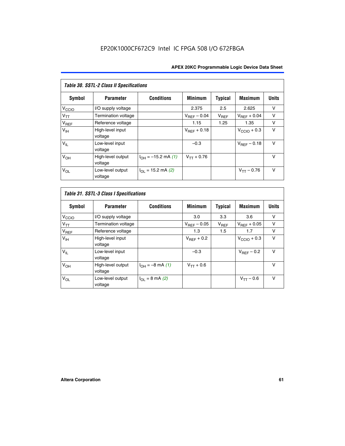| Table 30. SSTL-2 Class II Specifications |                              |                            |                         |                |                         |              |
|------------------------------------------|------------------------------|----------------------------|-------------------------|----------------|-------------------------|--------------|
| Symbol                                   | <b>Parameter</b>             | <b>Conditions</b>          | <b>Minimum</b>          | <b>Typical</b> | <b>Maximum</b>          | <b>Units</b> |
| V <sub>CCIO</sub>                        | I/O supply voltage           |                            | 2.375                   | 2.5            | 2.625                   | v            |
| $V_{TT}$                                 | Termination voltage          |                            | $V_{REF}$ – 0.04        | $V_{REF}$      | $V_{BFF} + 0.04$        | $\vee$       |
| $V_{REF}$                                | Reference voltage            |                            | 1.15                    | 1.25           | 1.35                    | v            |
| V <sub>IH</sub>                          | High-level input<br>voltage  |                            | $V_{\text{RFF}} + 0.18$ |                | $V_{\text{CCIO}} + 0.3$ | v            |
| $V_{IL}$                                 | Low-level input<br>voltage   |                            | $-0.3$                  |                | $V_{BFE} - 0.18$        | $\vee$       |
| V <sub>OH</sub>                          | High-level output<br>voltage | $I_{OH} = -15.2$ mA (1)    | $V_{TT} + 0.76$         |                |                         | $\vee$       |
| $V_{OL}$                                 | Low-level output<br>voltage  | $I_{\Omega}$ = 15.2 mA (2) |                         |                | $V_{TT} - 0.76$         | $\vee$       |

| Symbol            | <b>Parameter</b>             | <b>Conditions</b>         | <b>Minimum</b>          | <b>Typical</b> | <b>Maximum</b>          | <b>Units</b> |
|-------------------|------------------------------|---------------------------|-------------------------|----------------|-------------------------|--------------|
| V <sub>CCIO</sub> | I/O supply voltage           |                           | 3.0                     | 3.3            | 3.6                     | ν            |
| $V_{TT}$          | Termination voltage          |                           | $V_{\text{BFF}} - 0.05$ | $V_{REF}$      | $V_{\text{RFF}} + 0.05$ | v            |
| $V_{REF}$         | Reference voltage            |                           | 1.3                     | 1.5            | 1.7                     | v            |
| V <sub>IH</sub>   | High-level input<br>voltage  |                           | $V_{BFF}$ + 0.2         |                | $V_{\text{CCIO}} + 0.3$ | v            |
| $V_{IL}$          | Low-level input<br>voltage   |                           | $-0.3$                  |                | $V_{REF}$ – 0.2         | $\vee$       |
| V <sub>OH</sub>   | High-level output<br>voltage | $I_{OH} = -8$ mA (1)      | $V_{TT} + 0.6$          |                |                         | v            |
| $V_{OL}$          | Low-level output<br>voltage  | $I_{\Omega I}$ = 8 mA (2) |                         |                | $V_{TT} - 0.6$          | $\vee$       |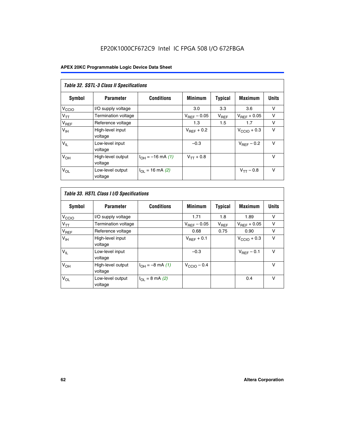# EP20K1000CF672C9 Intel IC FPGA 508 I/O 672FBGA

| Table 32. SSTL-3 Class II Specifications |                              |                          |                        |           |                         |              |
|------------------------------------------|------------------------------|--------------------------|------------------------|-----------|-------------------------|--------------|
| <b>Symbol</b>                            | <b>Parameter</b>             | <b>Conditions</b>        | <b>Minimum</b>         | Typical   | <b>Maximum</b>          | <b>Units</b> |
| V <sub>CCIO</sub>                        | I/O supply voltage           |                          | 3.0                    | 3.3       | 3.6                     | v            |
| $V_{TT}$                                 | <b>Termination voltage</b>   |                          | $V_{REF}$ – 0.05       | $V_{REF}$ | $V_{REF}$ + 0.05        | v            |
| $V_{REF}$                                | Reference voltage            |                          | 1.3                    | 1.5       | 1.7                     | v            |
| $V_{\text{IH}}$                          | High-level input<br>voltage  |                          | $V_{\text{RFF}} + 0.2$ |           | $V_{\text{CCIO}} + 0.3$ | v            |
| $V_{IL}$                                 | Low-level input<br>voltage   |                          | $-0.3$                 |           | $V_{\text{RFF}}$ – 0.2  | $\vee$       |
| V <sub>OH</sub>                          | High-level output<br>voltage | $I_{OH} = -16$ mA (1)    | $V_{TT} + 0.8$         |           |                         | $\vee$       |
| $V_{OL}$                                 | Low-level output<br>voltage  | $I_{\Omega}$ = 16 mA (2) |                        |           | $V_{TT} - 0.8$          | $\vee$       |

| Table 33. HSTL Class I I/O Specifications |                              |                              |                         |                |                         |              |
|-------------------------------------------|------------------------------|------------------------------|-------------------------|----------------|-------------------------|--------------|
| Symbol                                    | <b>Parameter</b>             | <b>Conditions</b>            | <b>Minimum</b>          | <b>Typical</b> | <b>Maximum</b>          | <b>Units</b> |
| V <sub>CCIO</sub>                         | I/O supply voltage           |                              | 1.71                    | 1.8            | 1.89                    | v            |
| $V_{TT}$                                  | Termination voltage          |                              | $V_{REF} - 0.05$        | $V_{REF}$      | $V_{\text{RFF}} + 0.05$ | v            |
| $V_{REF}$                                 | Reference voltage            |                              | 0.68                    | 0.75           | 0.90                    | $\vee$       |
| $V_{\text{IH}}$                           | High-level input<br>voltage  |                              | $V_{\text{RFF}} + 0.1$  |                | $V_{\text{CCIO}} + 0.3$ | $\vee$       |
| $V_{IL}$                                  | Low-level input<br>voltage   |                              | $-0.3$                  |                | $V_{\text{BFF}}$ – 0.1  | $\vee$       |
| V <sub>OH</sub>                           | High-level output<br>voltage | $I_{OH} = -8 \text{ mA} (1)$ | $V_{\text{CCIO}} - 0.4$ |                |                         | $\vee$       |
| $V_{OL}$                                  | Low-level output<br>voltage  | $I_{OL} = 8$ mA (2)          |                         |                | 0.4                     | $\vee$       |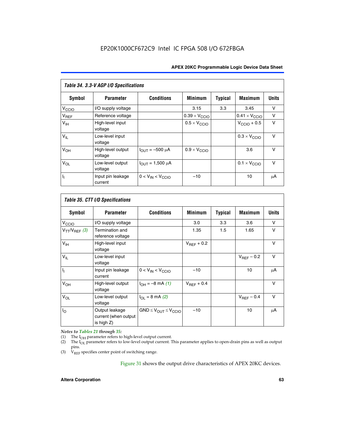| Table 34. 3.3-V AGP I/O Specifications |                              |                         |                               |                |                               |              |
|----------------------------------------|------------------------------|-------------------------|-------------------------------|----------------|-------------------------------|--------------|
| Symbol                                 | <b>Parameter</b>             | <b>Conditions</b>       | <b>Minimum</b>                | <b>Typical</b> | <b>Maximum</b>                | <b>Units</b> |
| $V_{\text{CCLO}}$                      | I/O supply voltage           |                         | 3.15                          | 3.3            | 3.45                          | v            |
| $V_{REF}$                              | Reference voltage            |                         | $0.39 \times V_{\text{CCIO}}$ |                | $0.41 \times V_{\text{CCIO}}$ | v            |
| V <sub>IH</sub>                        | High-level input<br>voltage  |                         | $0.5 \times V_{\text{CCIO}}$  |                | $V_{\text{CCIO}} + 0.5$       | v            |
| $V_{IL}$                               | Low-level input<br>voltage   |                         |                               |                | $0.3 \times V_{\text{CCIO}}$  | $\vee$       |
| V <sub>OH</sub>                        | High-level output<br>voltage | $I_{OUT} = -500 \mu A$  | $0.9 \times V_{\text{CCIO}}$  |                | 3.6                           | $\vee$       |
| $V_{OL}$                               | Low-level output<br>voltage  | $I_{OUT} = 1,500 \mu A$ |                               |                | $0.1 \times V_{\text{CCIO}}$  | $\vee$       |
| Γ,                                     | Input pin leakage<br>current | $0 < V_{IN} < V_{CCIO}$ | $-10$                         |                | 10                            | μA           |

| Table 35. CTT I/O Specifications |                                                      |                                  |                 |         |                 |        |
|----------------------------------|------------------------------------------------------|----------------------------------|-----------------|---------|-----------------|--------|
| Symbol                           | <b>Parameter</b>                                     | <b>Conditions</b>                | <b>Minimum</b>  | Typical | <b>Maximum</b>  | Units  |
| V <sub>CCIO</sub>                | I/O supply voltage                                   |                                  | 3.0             | 3.3     | 3.6             | v      |
| $V_{TT}/V_{REF}$ (3)             | Termination and<br>reference voltage                 |                                  | 1.35            | 1.5     | 1.65            | v      |
| V <sub>IH</sub>                  | High-level input<br>voltage                          |                                  | $V_{REF}$ + 0.2 |         |                 | v      |
| $V_{IL}$                         | Low-level input<br>voltage                           |                                  |                 |         | $V_{REF}$ – 0.2 | $\vee$ |
| h,                               | Input pin leakage<br>current                         | $0 < V_{IN} < V_{CCIO}$          | $-10$           |         | 10              | μA     |
| V <sub>OH</sub>                  | High-level output<br>voltage                         | $I_{OH} = -8 \text{ mA} (1)$     | $V_{BFF}$ + 0.4 |         |                 | $\vee$ |
| $V_{OL}$                         | Low-level output<br>voltage                          | $I_{\Omega I}$ = 8 mA (2)        |                 |         | $V_{REF}$ – 0.4 | $\vee$ |
| $I_{\rm O}$                      | Output leakage<br>current (when output<br>is high Z) | $GND \leq V_{OUT} \leq V_{CCIO}$ | $-10$           |         | 10              | μA     |

*Notes to Tables 21 through 35:*

(1) The  $I_{OH}$  parameter refers to high-level output current.<br>
(2) The  $I_{OL}$  parameter refers to low-level output current. T

The I<sub>OL</sub> parameter refers to low-level output current. This parameter applies to open-drain pins as well as output pins.

(3)  $\hat{V}_{REF}$  specifies center point of switching range.

Figure 31 shows the output drive characteristics of APEX 20KC devices.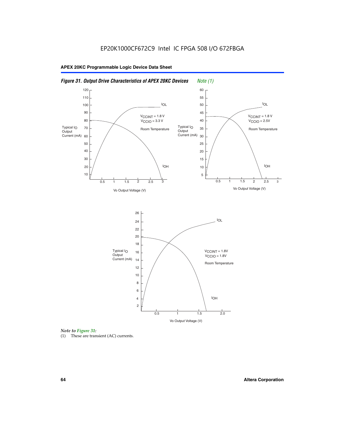

**APEX 20KC Programmable Logic Device Data Sheet**

*Note to Figure 31:*

(1) These are transient (AC) currents.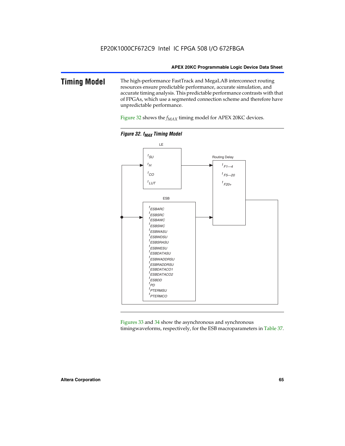### **Timing Model** The high-performance FastTrack and MegaLAB interconnect routing resources ensure predictable performance, accurate simulation, and accurate timing analysis. This predictable performance contrasts with that of FPGAs, which use a segmented connection scheme and therefore have unpredictable performance.

Figure 32 shows the  $f_{MAX}$  timing model for APEX 20KC devices.



**Figure 32. f<sub>MAX</sub> Timing Model** 

Figures 33 and 34 show the asynchronous and synchronous timingwaveforms, respectively, for the ESB macroparameters in Table 37.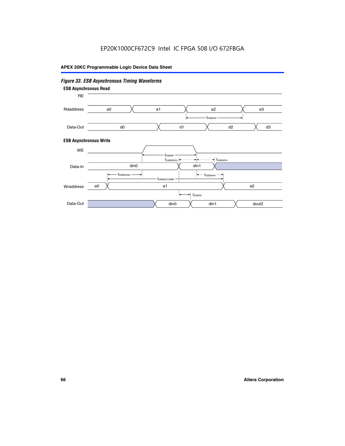# EP20K1000CF672C9 Intel IC FPGA 508 I/O 672FBGA

### **APEX 20KC Programmable Logic Device Data Sheet**

#### *Figure 33. ESB Asynchronous Timing Waveforms* **ESB Asynchronous Write ESB Asynchronous Read** RE a0 d0 d3  $t_{ESBARC}$  a1 *入* a2 *入* a3 d1 d2 Rdaddress Data-Out WE a0  $dim1$   $\times$   $dom2$  $t_{ESBDD}$ a1 a2 din1 din0  $t_{ESBWCCOMB}$  $t_{ESBWASU} \longrightarrow t_{ESBWAH}$  $t_{ESBWDSU}$   $\leftarrow$   $\rightarrow$   $t_{ESBWDH}$  $t_{ESBWP}$ Data-In din0 Wraddress Data-Out

### **66 Altera Corporation**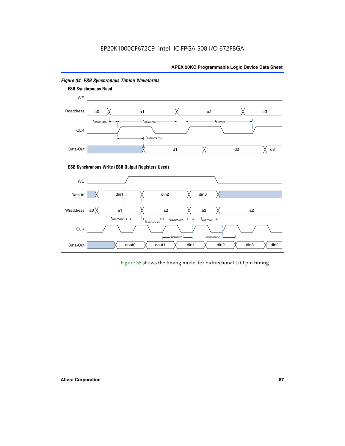# EP20K1000CF672C9 Intel IC FPGA 508 I/O 672FBGA

### **APEX 20KC Programmable Logic Device Data Sheet**



### *Figure 34. ESB Synchronous Timing Waveforms*

Figure 35 shows the timing model for bidirectional I/O pin timing.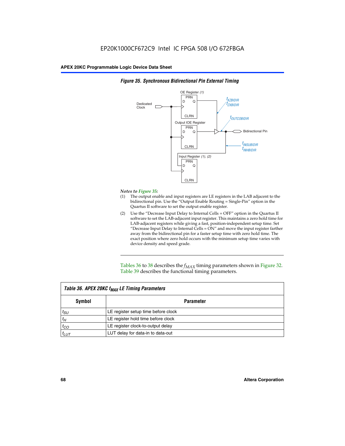

### *Figure 35. Synchronous Bidirectional Pin External Timing*

### *Notes to Figure 35:*

- (1) The output enable and input registers are LE registers in the LAB adjacent to the bidirectional pin. Use the "Output Enable Routing = Single-Pin" option in the Quartus II software to set the output enable register.
- (2) Use the "Decrease Input Delay to Internal Cells = OFF" option in the Quartus II software to set the LAB-adjacent input register. This maintains a zero hold time for LAB-adjacent registers while giving a fast, position-independent setup time. Set "Decrease Input Delay to Internal Cells  $= ON''$  and move the input register farther away from the bidirectional pin for a faster setup time with zero hold time. The exact position where zero hold occurs with the minimum setup time varies with device density and speed grade.

Tables 36 to 38 describes the  $f_{MAX}$  timing parameters shown in Figure 32. Table 39 describes the functional timing parameters.

| Table 36. APEX 20KC f <sub>MAX</sub> LE Timing Parameters |                                     |  |  |  |
|-----------------------------------------------------------|-------------------------------------|--|--|--|
| Symbol                                                    | Parameter                           |  |  |  |
| $t_{SU}$                                                  | LE register setup time before clock |  |  |  |
| $t_H$                                                     | LE register hold time before clock  |  |  |  |
| $t_{CO}$                                                  | LE register clock-to-output delay   |  |  |  |
| $t_{LUT}$                                                 | LUT delay for data-in to data-out   |  |  |  |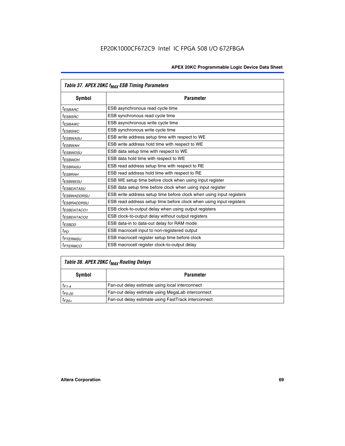|                         | Table 37. APEX 20KC f <sub>MAX</sub> ESB Timing Parameters           |
|-------------------------|----------------------------------------------------------------------|
| Symbol                  | <b>Parameter</b>                                                     |
| <sup>t</sup> ESBARC     | ESB asynchronous read cycle time                                     |
| <sup>t</sup> ESBSRC     | ESB synchronous read cycle time                                      |
| <sup>t</sup> ESBAWC     | ESB asynchronous write cycle time                                    |
| <sup>t</sup> ESBSWC     | ESB synchronous write cycle time                                     |
| <sup>t</sup> ESBWASU    | ESB write address setup time with respect to WE                      |
| <sup>t</sup> ESBWAH     | ESB write address hold time with respect to WE                       |
| <sup>t</sup> ESBWDSU    | ESB data setup time with respect to WE                               |
| t <sub>ESBWDН</sub>     | ESB data hold time with respect to WE                                |
| <sup>t</sup> ESBRASU    | ESB read address setup time with respect to RE                       |
| <sup>t</sup> ESBRAH     | ESB read address hold time with respect to RE                        |
| <sup>I</sup> ESBWESU    | ESB WE setup time before clock when using input register             |
| <sup>t</sup> ESBDATASU  | ESB data setup time before clock when using input register           |
| <sup>t</sup> ESBWADDRSU | ESB write address setup time before clock when using input registers |
| <sup>t</sup> ESBRADDRSU | ESB read address setup time before clock when using input registers  |
| <sup>t</sup> ESBDATACO1 | ESB clock-to-output delay when using output registers                |
| <sup>t</sup> ESBDATACO2 | ESB clock-to-output delay without output registers                   |
| <sup>t</sup> ESBDD      | ESB data-in to data-out delay for RAM mode                           |
| $t_{PD}$                | ESB macrocell input to non-registered output                         |
| <sup>t</sup> PTERMSU    | ESB macrocell register setup time before clock                       |
| <sup>t</sup> PTERMCO    | ESB macrocell register clock-to-output delay                         |

# *Table 38. APEX 20KC fMAX Routing Delays*

| Symbol      | <b>Parameter</b>                                    |  |  |
|-------------|-----------------------------------------------------|--|--|
| $t_{F1-4}$  | Fan-out delay estimate using local interconnect     |  |  |
| $t_{F5-20}$ | Fan-out delay estimate using MegaLab interconnect   |  |  |
| $t_{F20+}$  | Fan-out delay estimate using FastTrack interconnect |  |  |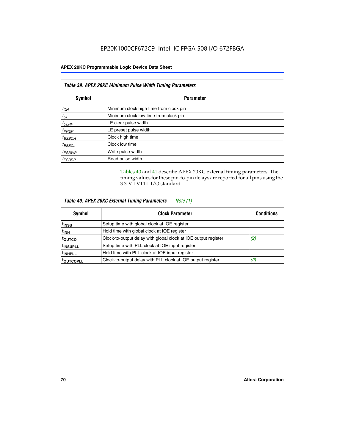| Table 39. APEX 20KC Minimum Pulse Width Timing Parameters |                                        |  |  |
|-----------------------------------------------------------|----------------------------------------|--|--|
| Symbol                                                    | <b>Parameter</b>                       |  |  |
| $t_{CH}$                                                  | Minimum clock high time from clock pin |  |  |
| $t_{CL}$                                                  | Minimum clock low time from clock pin  |  |  |
| $t_{CLRP}$                                                | LE clear pulse width                   |  |  |
| $t_{PREF}$                                                | LE preset pulse width                  |  |  |
| $t_{ESBCH}$                                               | Clock high time                        |  |  |
| $t_{ESBCL}$                                               | Clock low time                         |  |  |
| <sup>t</sup> ESBWP                                        | Write pulse width                      |  |  |
| <sup>t</sup> ESBRP                                        | Read pulse width                       |  |  |

Tables 40 and 41 describe APEX 20KC external timing parameters. The timing values for these pin-to-pin delays are reported for all pins using the 3.3-V LVTTL I/O standard.

| Table 40. APEX 20KC External Timing Parameters<br>Note (1) |                                                                |                   |  |  |
|------------------------------------------------------------|----------------------------------------------------------------|-------------------|--|--|
| Symbol                                                     | <b>Clock Parameter</b>                                         | <b>Conditions</b> |  |  |
| t <sub>insu</sub>                                          | Setup time with global clock at IOE register                   |                   |  |  |
| t <sub>inh</sub>                                           | Hold time with global clock at IOE register                    |                   |  |  |
| toutco                                                     | Clock-to-output delay with global clock at IOE output register | (2)               |  |  |
| <sup>t</sup> INSUPLL                                       | Setup time with PLL clock at IOE input register                |                   |  |  |
| <sup>t</sup> INHPLL                                        | Hold time with PLL clock at IOE input register                 |                   |  |  |
| <b>TOUTCOPLL</b>                                           | Clock-to-output delay with PLL clock at IOE output register    | (2)               |  |  |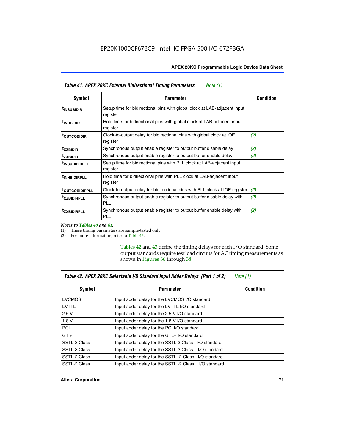| Table 41. APEX 20KC External Bidirectional Timing Parameters<br>Note (1) |                                                                                       |                  |  |  |
|--------------------------------------------------------------------------|---------------------------------------------------------------------------------------|------------------|--|--|
| Symbol                                                                   | <b>Parameter</b>                                                                      | <b>Condition</b> |  |  |
| <sup>t</sup> INSUBIDIR                                                   | Setup time for bidirectional pins with global clock at LAB-adjacent input<br>register |                  |  |  |
| <sup>t</sup> INHBIDIR                                                    | Hold time for bidirectional pins with global clock at LAB-adjacent input<br>register  |                  |  |  |
| <sup>t</sup> OUTCOBIDIR                                                  | Clock-to-output delay for bidirectional pins with global clock at IOE<br>register     | (2)              |  |  |
| <sup>t</sup> xzbidir                                                     | Synchronous output enable register to output buffer disable delay                     | (2)              |  |  |
| <sup>t</sup> zxbidir                                                     | Synchronous output enable register to output buffer enable delay                      | (2)              |  |  |
| <sup>t</sup> insubidirpll                                                | Setup time for bidirectional pins with PLL clock at LAB-adjacent input<br>register    |                  |  |  |
| <sup>t</sup> INHBIDIRPLL                                                 | Hold time for bidirectional pins with PLL clock at LAB-adjacent input<br>register     |                  |  |  |
| <b><sup>t</sup>OUTCOBIDIRPLL</b>                                         | Clock-to-output delay for bidirectional pins with PLL clock at IOE register           | (2)              |  |  |
| <sup>T</sup> XZBIDIRPLL                                                  | Synchronous output enable register to output buffer disable delay with<br>PL L        | (2)              |  |  |
| <sup>I</sup> ZXBIDIRPLL                                                  | Synchronous output enable register to output buffer enable delay with<br><b>PLL</b>   | (2)              |  |  |

*Notes to Tables 40 and 41:*

Г

(1) These timing parameters are sample-tested only.

(2) For more information, refer to Table 43.

Tables 42 and 43 define the timing delays for each I/O standard. Some output standards require test load circuits for AC timing measurements as shown in Figures 36 through 38.

| Table 42. APEX 20KC Selectable I/O Standard Input Adder Delays (Part 1 of 2)<br>Note $(1)$ |                                                        |                  |  |  |
|--------------------------------------------------------------------------------------------|--------------------------------------------------------|------------------|--|--|
| Symbol                                                                                     | <b>Parameter</b>                                       | <b>Condition</b> |  |  |
| <b>LVCMOS</b>                                                                              | Input adder delay for the LVCMOS I/O standard          |                  |  |  |
| LVTTL                                                                                      | Input adder delay for the LVTTL I/O standard           |                  |  |  |
| 2.5V                                                                                       | Input adder delay for the 2.5-V I/O standard           |                  |  |  |
| 1.8V                                                                                       | Input adder delay for the 1.8-V I/O standard           |                  |  |  |
| <b>PCI</b>                                                                                 | Input adder delay for the PCI I/O standard             |                  |  |  |
| $GTI +$                                                                                    | Input adder delay for the GTL+ I/O standard            |                  |  |  |
| SSTL-3 Class I                                                                             | Input adder delay for the SSTL-3 Class I I/O standard  |                  |  |  |
| SSTL-3 Class II                                                                            | Input adder delay for the SSTL-3 Class II I/O standard |                  |  |  |
| SSTL-2 Class I                                                                             | Input adder delay for the SSTL -2 Class I I/O standard |                  |  |  |
| SSTL-2 Class II                                                                            | Input adder delay for the SSTL-2 Class II I/O standard |                  |  |  |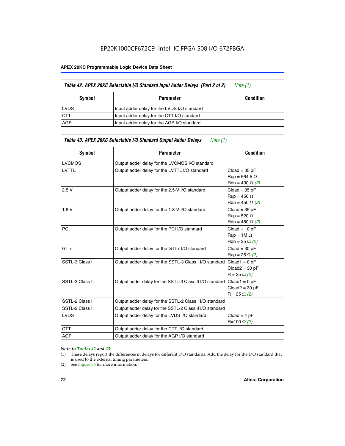#### **APEX 20KC Programmable Logic Device Data Sheet**

|             | Table 42. APEX 20KC Selectable I/O Standard Input Adder Delays (Part 2 of 2) | Note (1)         |
|-------------|------------------------------------------------------------------------------|------------------|
| Symbol      | Parameter                                                                    | <b>Condition</b> |
| <b>LVDS</b> | Input adder delay for the LVDS I/O standard                                  |                  |
| <b>CTT</b>  | Input adder delay for the CTT I/O standard                                   |                  |
| AGP         | Input adder delay for the AGP I/O standard                                   |                  |

| <b>Symbol</b>   | <b>Parameter</b>                                        | <b>Condition</b>                                                  |
|-----------------|---------------------------------------------------------|-------------------------------------------------------------------|
| <b>LVCMOS</b>   | Output adder delay for the LVCMOS I/O standard          |                                                                   |
| <b>LVTTL</b>    | Output adder delay for the LVTTL I/O standard           | $Cloud = 35 pF$<br>$Run = 564.5 \Omega$<br>Rdn = 430 $\Omega$ (2) |
| 2.5V            | Output adder delay for the 2.5-V I/O standard           | $Cloud = 35 pF$<br>$Run = 450 \Omega$<br>Rdn = 450 $\Omega$ (2)   |
| 1.8V            | Output adder delay for the 1.8-V I/O standard           | $Cloud = 35 pF$<br>$Run = 520 \Omega$<br>Rdn = 480 $\Omega$ (2)   |
| <b>PCI</b>      | Output adder delay for the PCI I/O standard             | $Cloud = 10 pF$<br>$Run = 1M \Omega$<br>$Rdn = 25 \Omega (2)$     |
| $GTI +$         | Output adder delay for the GTL+ I/O standard            | $Cloud = 30 pF$<br>$Run = 25 \Omega (2)$                          |
| SSTL-3 Class I  | Output adder delay for the SSTL-3 Class I I/O standard  | $Cloud1 = 0 pF$<br>$Cloud2 = 30 pF$<br>$R = 25 \Omega (2)$        |
| SSTL-3 Class II | Output adder delay for the SSTL-3 Class II I/O standard | $Cloud1 = 0 pF$<br>$Cloud2 = 30 pF$<br>$R = 25 \Omega (2)$        |
| SSTL-2 Class I  | Output adder delay for the SSTL-2 Class I I/O standard  |                                                                   |
| SSTL-2 Class II | Output adder delay for the SSTL-2 Class II I/O standard |                                                                   |
| <b>LVDS</b>     | Output adder delay for the LVDS I/O standard            | $Cloud = 4 pF$<br>R=100 Ω (2)                                     |
| <b>CTT</b>      | Output adder delay for the CTT I/O standard             |                                                                   |
| <b>AGP</b>      | Output adder delay for the AGP I/O standard             |                                                                   |
|                 |                                                         |                                                                   |

#### *Note to Tables 42 and 43:*

- (1) These delays report the differences in delays for different I/O standards. Add the delay for the I/O standard that is used to the external timing parameters.
- (2) See Figure 36 for more information.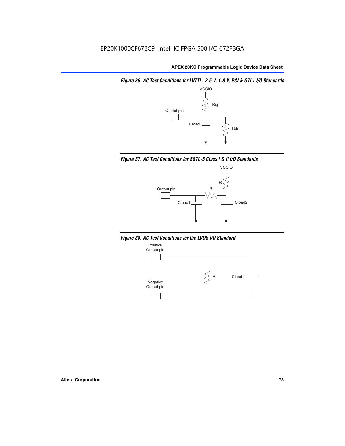*Figure 36. AC Test Conditions for LVTTL, 2.5 V, 1.8 V, PCI & GTL+ I/O Standards*







*Figure 38. AC Test Conditions for the LVDS I/O Standard*

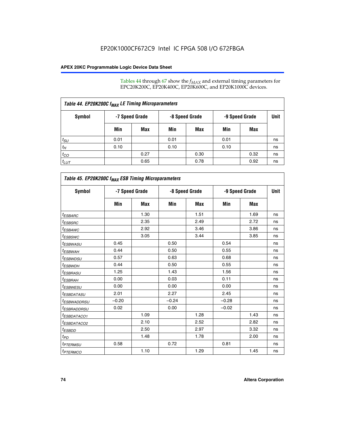Tables 44 through 67 show the  $f_{MAX}$  and external timing parameters for EPC20K200C, EP20K400C, EP20K600C, and EP20K1000C devices.

| Table 44. EP20K200C f <sub>MAX</sub> LE Timing Microparameters |                |      |                |      |                |      |             |  |  |  |
|----------------------------------------------------------------|----------------|------|----------------|------|----------------|------|-------------|--|--|--|
| Symbol                                                         | -7 Speed Grade |      | -8 Speed Grade |      | -9 Speed Grade |      | <b>Unit</b> |  |  |  |
|                                                                | Min            | Max  | Min            | Max  | Min            | Max  |             |  |  |  |
| $t_{SU}$                                                       | 0.01           |      | 0.01           |      | 0.01           |      | ns          |  |  |  |
| $t_H$                                                          | 0.10           |      | 0.10           |      | 0.10           |      | ns          |  |  |  |
| $t_{CO}$                                                       |                | 0.27 |                | 0.30 |                | 0.32 | ns          |  |  |  |
| $t_{LUT}$                                                      |                | 0.65 |                | 0.78 |                | 0.92 | ns          |  |  |  |

| Table 45. EP20K200C f <sub>MAX</sub> ESB Timing Microparameters |         |                |         |                |         |                |             |  |  |  |
|-----------------------------------------------------------------|---------|----------------|---------|----------------|---------|----------------|-------------|--|--|--|
| <b>Symbol</b>                                                   |         | -7 Speed Grade |         | -8 Speed Grade |         | -9 Speed Grade | <b>Unit</b> |  |  |  |
|                                                                 | Min     | Max            | Min     | Max            | Min     | Max            |             |  |  |  |
| <sup>t</sup> ESBARC                                             |         | 1.30           |         | 1.51           |         | 1.69           | ns          |  |  |  |
| <sup>t</sup> ESBSRC                                             |         | 2.35           |         | 2.49           |         | 2.72           | ns          |  |  |  |
| t <sub>ESBAWC</sub>                                             |         | 2.92           |         | 3.46           |         | 3.86           | ns          |  |  |  |
| t <sub>ESBSWC</sub>                                             |         | 3.05           |         | 3.44           |         | 3.85           | ns          |  |  |  |
| t <sub>ESBWASU</sub>                                            | 0.45    |                | 0.50    |                | 0.54    |                | ns          |  |  |  |
| <sup>t</sup> ESBW <u>AH</u>                                     | 0.44    |                | 0.50    |                | 0.55    |                | ns          |  |  |  |
| <sup>t</sup> ESBWDSU                                            | 0.57    |                | 0.63    |                | 0.68    |                | ns          |  |  |  |
| <sup>t</sup> ESBWDH                                             | 0.44    |                | 0.50    |                | 0.55    |                | ns          |  |  |  |
| t <sub>ESBRASU</sub>                                            | 1.25    |                | 1.43    |                | 1.56    |                | ns          |  |  |  |
| <sup>t</sup> ESBRAH                                             | 0.00    |                | 0.03    |                | 0.11    |                | ns          |  |  |  |
| <sup>t</sup> ESBWESU                                            | 0.00    |                | 0.00    |                | 0.00    |                | ns          |  |  |  |
| <sup>t</sup> ES <u>BDATASU</u>                                  | 2.01    |                | 2.27    |                | 2.45    |                | ns          |  |  |  |
| <sup>t</sup> ESBWADDRSU                                         | $-0.20$ |                | $-0.24$ |                | $-0.28$ |                | ns          |  |  |  |
| <sup>t</sup> ESBRADDRSU                                         | 0.02    |                | 0.00    |                | $-0.02$ |                | ns          |  |  |  |
| <sup>t</sup> ESBDA <u>TACO1</u>                                 |         | 1.09           |         | 1.28           |         | 1.43           | ns          |  |  |  |
| <sup>t</sup> ESBDATACO2                                         |         | 2.10           |         | 2.52           |         | 2.82           | ns          |  |  |  |
| <sup>t</sup> ESBDD                                              |         | 2.50           |         | 2.97           |         | 3.32           | ns          |  |  |  |
| $t_{PD}$                                                        |         | 1.48           |         | 1.78           |         | 2.00           | ns          |  |  |  |
| <sup>t</sup> PTERMSU                                            | 0.58    |                | 0.72    |                | 0.81    |                | ns          |  |  |  |
| t <sub>PTERMCO</sub>                                            |         | 1.10           |         | 1.29           |         | 1.45           | ns          |  |  |  |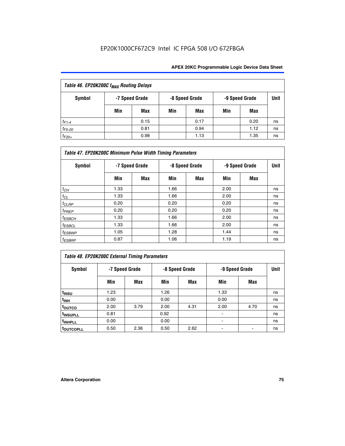| Table 46. EP20K200C f <sub>MAX</sub> Routing Delays |     |                |     |                |                |      |      |  |  |
|-----------------------------------------------------|-----|----------------|-----|----------------|----------------|------|------|--|--|
| <b>Symbol</b>                                       |     | -7 Speed Grade |     | -8 Speed Grade | -9 Speed Grade |      | Unit |  |  |
|                                                     | Min | Max            | Min | Max            | Min            | Max  |      |  |  |
| $t_{F1-4}$                                          |     | 0.15           |     | 0.17           |                | 0.20 | ns   |  |  |
| $t_{F5-20}$                                         |     | 0.81           |     | 0.94           |                | 1.12 | ns   |  |  |
| $t_{F20+}$                                          |     | 0.98           |     | 1.13           |                | 1.35 | ns   |  |  |

| Table 47. EP20K200C Minimum Pulse Width Timing Parameters |                |     |      |                |      |                |      |  |  |  |
|-----------------------------------------------------------|----------------|-----|------|----------------|------|----------------|------|--|--|--|
| <b>Symbol</b>                                             | -7 Speed Grade |     |      | -8 Speed Grade |      | -9 Speed Grade | Unit |  |  |  |
|                                                           | Min            | Max | Min  | <b>Max</b>     | Min  | Max            |      |  |  |  |
| $t_{\mathit{CH}}$                                         | 1.33           |     | 1.66 |                | 2.00 |                | ns   |  |  |  |
| $t_{CL}$                                                  | 1.33           |     | 1.66 |                | 2.00 |                | ns   |  |  |  |
| $t_{CLRP}$                                                | 0.20           |     | 0.20 |                | 0.20 |                | ns   |  |  |  |
| t <sub>PREP</sub>                                         | 0.20           |     | 0.20 |                | 0.20 |                | ns   |  |  |  |
| $t_{ESBCH}$                                               | 1.33           |     | 1.66 |                | 2.00 |                | ns   |  |  |  |
| $t_{ESBCL}$                                               | 1.33           |     | 1.66 |                | 2.00 |                | ns   |  |  |  |
| $t_{ESBWP}$                                               | 1.05           |     | 1.28 |                | 1.44 |                | ns   |  |  |  |
| $t_{ESBRP}$                                               | 0.87           |     | 1.06 |                | 1.19 |                | ns   |  |  |  |

## *Table 48. EP20K200C External Timing Parameters*

| Symbol                | -7 Speed Grade |      |      | -8 Speed Grade | -9 Speed Grade | Unit |    |
|-----------------------|----------------|------|------|----------------|----------------|------|----|
|                       | Min            | Max  | Min  | Max            | Min            | Max  |    |
| t <sub>INSU</sub>     | 1.23           |      | 1.26 |                | 1.33           |      | ns |
| $t_{INH}$             | 0.00           |      | 0.00 |                | 0.00           |      | ns |
| toutco                | 2.00           | 3.79 | 2.00 | 4.31           | 2.00           | 4.70 | ns |
| t <sub>INSUPLL</sub>  | 0.81           |      | 0.92 |                |                |      | ns |
| t <sub>INHPLL</sub>   | 0.00           |      | 0.00 |                |                |      | ns |
| t <sub>outcopll</sub> | 0.50           | 2.36 | 0.50 | 2.62           |                |      | ns |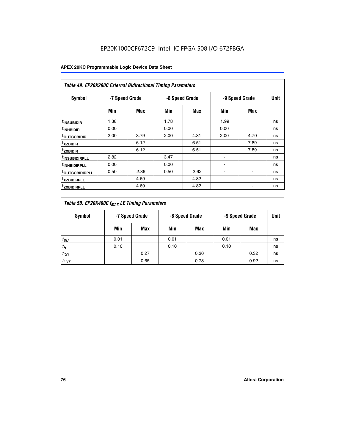| <b>Table 49. EP20K200C External Bidirectional Timing Parameters</b> |                |      |      |                |                |             |    |  |  |  |
|---------------------------------------------------------------------|----------------|------|------|----------------|----------------|-------------|----|--|--|--|
| <b>Symbol</b>                                                       | -7 Speed Grade |      |      | -8 Speed Grade | -9 Speed Grade | <b>Unit</b> |    |  |  |  |
|                                                                     | Min            | Max  | Min  | Max            | Min            | Max         |    |  |  |  |
| <sup>t</sup> INSUBIDIR                                              | 1.38           |      | 1.78 |                | 1.99           |             | ns |  |  |  |
| <sup>t</sup> inhbidir                                               | 0.00           |      | 0.00 |                | 0.00           |             | ns |  |  |  |
| <b><sup>t</sup>OUTCOBIDIR</b>                                       | 2.00           | 3.79 | 2.00 | 4.31           | 2.00           | 4.70        | ns |  |  |  |
| <sup>T</sup> XZBIDIR                                                |                | 6.12 |      | 6.51           |                | 7.89        | ns |  |  |  |
| <sup>t</sup> zxbidir                                                |                | 6.12 |      | 6.51           |                | 7.89        | ns |  |  |  |
| <sup>T</sup> INSUBIDIRPLL                                           | 2.82           |      | 3.47 |                | ٠              |             | ns |  |  |  |
| <sup>t</sup> INHBIDIRPLL                                            | 0.00           |      | 0.00 |                |                |             | ns |  |  |  |
| <sup>T</sup> OUTCOBIDIRPLL                                          | 0.50           | 2.36 | 0.50 | 2.62           | ۰              |             | ns |  |  |  |
| <sup>t</sup> xzbidirpll                                             |                | 4.69 |      | 4.82           |                |             | ns |  |  |  |
| <sup>T</sup> ZXBIDIRPLL                                             |                | 4.69 |      | 4.82           |                |             | ns |  |  |  |

| Table 50. EP20K400C f <sub>MAX</sub> LE Timing Parameters |                |      |      |                |                |      |    |  |  |
|-----------------------------------------------------------|----------------|------|------|----------------|----------------|------|----|--|--|
| Symbol                                                    | -7 Speed Grade |      |      | -8 Speed Grade | -9 Speed Grade | Unit |    |  |  |
|                                                           | Min            | Max  | Min  | Max            | Min            | Max  |    |  |  |
| $t_{SU}$                                                  | 0.01           |      | 0.01 |                | 0.01           |      | ns |  |  |
| $t_H$                                                     | 0.10           |      | 0.10 |                | 0.10           |      | ns |  |  |
| $t_{CO}$                                                  |                | 0.27 |      | 0.30           |                | 0.32 | ns |  |  |
| $t_{LUT}$                                                 |                | 0.65 |      | 0.78           |                | 0.92 | ns |  |  |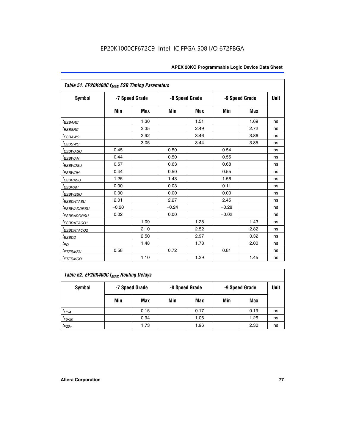| Table 51. EP20K400C f <sub>MAX</sub> ESB Timing Parameters |                |            |         |                |         |                |    |  |  |  |
|------------------------------------------------------------|----------------|------------|---------|----------------|---------|----------------|----|--|--|--|
| <b>Symbol</b>                                              | -7 Speed Grade |            |         | -8 Speed Grade |         | -9 Speed Grade |    |  |  |  |
|                                                            | Min            | <b>Max</b> | Min     | <b>Max</b>     | Min     | <b>Max</b>     |    |  |  |  |
| <sup>t</sup> ESBARC                                        |                | 1.30       |         | 1.51           |         | 1.69           | ns |  |  |  |
| t <sub>ESBSRC</sub>                                        |                | 2.35       |         | 2.49           |         | 2.72           | ns |  |  |  |
| <sup>t</sup> ESBAWC                                        |                | 2.92       |         | 3.46           |         | 3.86           | ns |  |  |  |
| <sup>t</sup> ESBSWC                                        |                | 3.05       |         | 3.44           |         | 3.85           | ns |  |  |  |
| <sup>t</sup> ESBWASU                                       | 0.45           |            | 0.50    |                | 0.54    |                | ns |  |  |  |
| <sup>t</sup> ESBWAH                                        | 0.44           |            | 0.50    |                | 0.55    |                | ns |  |  |  |
| <sup>t</sup> ESBWDSU                                       | 0.57           |            | 0.63    |                | 0.68    |                | ns |  |  |  |
| <sup>t</sup> ESBWDH                                        | 0.44           |            | 0.50    |                | 0.55    |                | ns |  |  |  |
| <sup>t</sup> ESBRASU                                       | 1.25           |            | 1.43    |                | 1.56    |                | ns |  |  |  |
| <sup>t</sup> ESBRAH                                        | 0.00           |            | 0.03    |                | 0.11    |                | ns |  |  |  |
| <sup>t</sup> ESBWESU                                       | 0.00           |            | 0.00    |                | 0.00    |                | ns |  |  |  |
| <sup>t</sup> ESBDATASU                                     | 2.01           |            | 2.27    |                | 2.45    |                | ns |  |  |  |
| <sup>t</sup> ESBWADDRSU                                    | $-0.20$        |            | $-0.24$ |                | $-0.28$ |                | ns |  |  |  |
| <sup>t</sup> ESBRADDRSU                                    | 0.02           |            | 0.00    |                | $-0.02$ |                | ns |  |  |  |
| <sup>t</sup> ESBDATACO1                                    |                | 1.09       |         | 1.28           |         | 1.43           | ns |  |  |  |
| <sup>I</sup> ESBDATACO2                                    |                | 2.10       |         | 2.52           |         | 2.82           | ns |  |  |  |
| <sup>t</sup> ESBDD                                         |                | 2.50       |         | 2.97           |         | 3.32           | ns |  |  |  |
| t <sub>PD</sub>                                            |                | 1.48       |         | 1.78           |         | 2.00           | ns |  |  |  |
| <sup>t</sup> PTERMSU                                       | 0.58           |            | 0.72    |                | 0.81    |                | ns |  |  |  |
| <i>t<sub>PTERMCO</sub></i>                                 |                | 1.10       |         | 1.29           |         | 1.45           | ns |  |  |  |

| Table 52. EP20K400C f <sub>MAX</sub> Routing Delays |     |                |     |                |                |      |             |  |  |  |
|-----------------------------------------------------|-----|----------------|-----|----------------|----------------|------|-------------|--|--|--|
| <b>Symbol</b>                                       |     | -7 Speed Grade |     | -8 Speed Grade | -9 Speed Grade |      | <b>Unit</b> |  |  |  |
|                                                     | Min | Max            | Min | Max            | Min            | Max  |             |  |  |  |
| $t_{F1-4}$                                          |     | 0.15           |     | 0.17           |                | 0.19 | ns          |  |  |  |
| $t_{F5-20}$                                         |     | 0.94           |     | 1.06           |                | 1.25 | ns          |  |  |  |
| $t_{F20+}$                                          |     | 1.73           |     | 1.96           |                | 2.30 | ns          |  |  |  |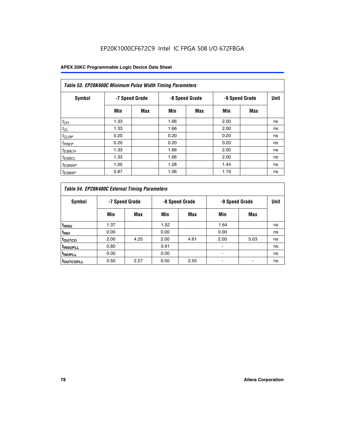| Table 53. EP20K400C Minimum Pulse Width Timing Parameters |      |                |      |                |      |                |      |  |  |  |
|-----------------------------------------------------------|------|----------------|------|----------------|------|----------------|------|--|--|--|
| Symbol                                                    |      | -7 Speed Grade |      | -8 Speed Grade |      | -9 Speed Grade | Unit |  |  |  |
|                                                           | Min  | Max            | Min  | <b>Max</b>     | Min  | <b>Max</b>     |      |  |  |  |
| $t_{CH}$                                                  | 1.33 |                | 1.66 |                | 2.00 |                | ns   |  |  |  |
| $t_{CL}$                                                  | 1.33 |                | 1.66 |                | 2.00 |                | ns   |  |  |  |
| $t_{CLRP}$                                                | 0.20 |                | 0.20 |                | 0.20 |                | ns   |  |  |  |
| $t_{PREF}$                                                | 0.20 |                | 0.20 |                | 0.20 |                | ns   |  |  |  |
| <sup>t</sup> ESBCH                                        | 1.33 |                | 1.66 |                | 2.00 |                | ns   |  |  |  |
| <sup>t</sup> ESBCL                                        | 1.33 |                | 1.66 |                | 2.00 |                | ns   |  |  |  |
| $t_{ESBWP}$                                               | 1.05 |                | 1.28 |                | 1.44 |                | ns   |  |  |  |
| <sup>t</sup> ESBRP                                        | 0.87 |                | 1.06 |                | 1.19 |                | ns   |  |  |  |

| Table 54. EP20K400C External Timing Parameters |      |                |      |                |      |                |    |  |  |  |  |  |
|------------------------------------------------|------|----------------|------|----------------|------|----------------|----|--|--|--|--|--|
| <b>Symbol</b>                                  |      | -7 Speed Grade |      | -8 Speed Grade |      | -9 Speed Grade |    |  |  |  |  |  |
|                                                | Min  | Max            | Min  | Max            | Min  | Max            |    |  |  |  |  |  |
| t <sub>INSU</sub>                              | 1.37 |                | 1.52 |                | 1.64 |                | ns |  |  |  |  |  |
| $t_{\rm INH}$                                  | 0.00 |                | 0.00 |                | 0.00 |                | ns |  |  |  |  |  |
| <sup>t</sup> outco                             | 2.00 | 4.25           | 2.00 | 4.61           | 2.00 | 5.03           | ns |  |  |  |  |  |
| <sup>t</sup> INSUPLL                           | 0.80 |                | 0.91 |                |      |                | ns |  |  |  |  |  |
| <sup>t</sup> INHPLL                            | 0.00 |                | 0.00 |                |      |                | ns |  |  |  |  |  |
| <b>LOUTCOPLL</b>                               | 0.50 | 2.27           | 0.50 | 2.55           |      |                | ns |  |  |  |  |  |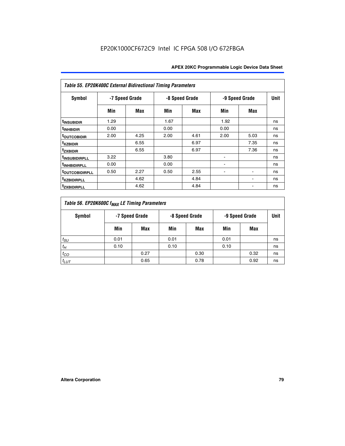| Table 55. EP20K400C External Bidirectional Timing Parameters |                |      |      |                |      |                          |    |  |  |  |  |  |
|--------------------------------------------------------------|----------------|------|------|----------------|------|--------------------------|----|--|--|--|--|--|
| <b>Symbol</b>                                                | -7 Speed Grade |      |      | -8 Speed Grade |      | -9 Speed Grade           |    |  |  |  |  |  |
|                                                              | Min            | Max  | Min  | Max            | Min  | Max                      |    |  |  |  |  |  |
| t <sub>INSUBIDIR</sub>                                       | 1.29           |      | 1.67 |                | 1.92 |                          | ns |  |  |  |  |  |
| <sup>t</sup> INHBIDIR                                        | 0.00           |      | 0.00 |                | 0.00 |                          | ns |  |  |  |  |  |
| <b>TOUTCOBIDIR</b>                                           | 2.00           | 4.25 | 2.00 | 4.61           | 2.00 | 5.03                     | ns |  |  |  |  |  |
| <sup>t</sup> xzbidir                                         |                | 6.55 |      | 6.97           |      | 7.35                     | ns |  |  |  |  |  |
| <sup>t</sup> zxbidir                                         |                | 6.55 |      | 6.97           |      | 7.36                     | ns |  |  |  |  |  |
| <sup>t</sup> INSUBIDIRPLL                                    | 3.22           |      | 3.80 |                |      |                          | ns |  |  |  |  |  |
| <sup>t</sup> INHBIDIRPLL                                     | 0.00           |      | 0.00 |                |      |                          | ns |  |  |  |  |  |
| <b>TOUTCOBIDIRPLL</b>                                        | 0.50           | 2.27 | 0.50 | 2.55           |      | $\blacksquare$           | ns |  |  |  |  |  |
| <sup>t</sup> xzbidirpll                                      |                | 4.62 |      | 4.84           |      | $\overline{\phantom{0}}$ | ns |  |  |  |  |  |
| <sup>t</sup> zxbidirpll                                      |                | 4.62 |      | 4.84           |      |                          | ns |  |  |  |  |  |

| Table 56. EP20K600C f <sub>MAX</sub> LE Timing Parameters |      |                |      |                |      |                |      |  |  |  |  |
|-----------------------------------------------------------|------|----------------|------|----------------|------|----------------|------|--|--|--|--|
| Symbol                                                    |      | -7 Speed Grade |      | -8 Speed Grade |      | -9 Speed Grade | Unit |  |  |  |  |
|                                                           | Min  | Max            | Min  | Max            | Min  | Max            |      |  |  |  |  |
| $t_{SU}$                                                  | 0.01 |                | 0.01 |                | 0.01 |                | ns   |  |  |  |  |
| $t_H$                                                     | 0.10 |                | 0.10 |                | 0.10 |                | ns   |  |  |  |  |
| $t_{CO}$                                                  |      | 0.27           |      | 0.30           |      | 0.32           | ns   |  |  |  |  |
| $t_{LUT}$                                                 |      | 0.65           |      | 0.78           |      | 0.92           | ns   |  |  |  |  |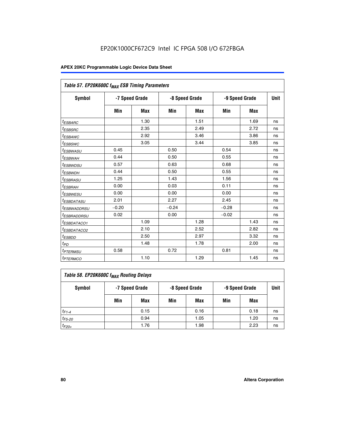|                                   | Table 57. EP20K600C f <sub>MAX</sub> ESB Timing Parameters |            |                |            |                |            |    |  |  |  |  |
|-----------------------------------|------------------------------------------------------------|------------|----------------|------------|----------------|------------|----|--|--|--|--|
| Symbol                            | -7 Speed Grade                                             |            | -8 Speed Grade |            | -9 Speed Grade | Unit       |    |  |  |  |  |
|                                   | Min                                                        | <b>Max</b> | Min            | <b>Max</b> | Min            | <b>Max</b> |    |  |  |  |  |
| <sup>t</sup> ESBARC               |                                                            | 1.30       |                | 1.51       |                | 1.69       | ns |  |  |  |  |
| <sup>t</sup> ESBSRC               |                                                            | 2.35       |                | 2.49       |                | 2.72       | ns |  |  |  |  |
| <sup>t</sup> ESBAWC               |                                                            | 2.92       |                | 3.46       |                | 3.86       | ns |  |  |  |  |
| t <sub>ESBSWC</sub>               |                                                            | 3.05       |                | 3.44       |                | 3.85       | ns |  |  |  |  |
| <sup>t</sup> ESBWASU              | 0.45                                                       |            | 0.50           |            | 0.54           |            | ns |  |  |  |  |
| <sup>t</sup> ESBWAH               | 0.44                                                       |            | 0.50           |            | 0.55           |            | ns |  |  |  |  |
| <sup>t</sup> ESBWDSU              | 0.57                                                       |            | 0.63           |            | 0.68           |            | ns |  |  |  |  |
| <sup>t</sup> ESBWDH               | 0.44                                                       |            | 0.50           |            | 0.55           |            | ns |  |  |  |  |
| <sup>t</sup> ESBRASU              | 1.25                                                       |            | 1.43           |            | 1.56           |            | ns |  |  |  |  |
| <sup>t</sup> ESBRAH               | 0.00                                                       |            | 0.03           |            | 0.11           |            | ns |  |  |  |  |
| <sup>t</sup> ESBWESU              | 0.00                                                       |            | 0.00           |            | 0.00           |            | ns |  |  |  |  |
| <sup>t</sup> ESBDATASU            | 2.01                                                       |            | 2.27           |            | 2.45           |            | ns |  |  |  |  |
| <sup>t</sup> ESBWADDRSU           | $-0.20$                                                    |            | $-0.24$        |            | $-0.28$        |            | ns |  |  |  |  |
| <sup>t</sup> ESBRADDRSU           | 0.02                                                       |            | 0.00           |            | $-0.02$        |            | ns |  |  |  |  |
| <sup>I</sup> ESBDATACO1           |                                                            | 1.09       |                | 1.28       |                | 1.43       | ns |  |  |  |  |
| <sup>t</sup> ESBDATACO2           |                                                            | 2.10       |                | 2.52       |                | 2.82       | ns |  |  |  |  |
| <sup>t</sup> ESBDD                |                                                            | 2.50       |                | 2.97       |                | 3.32       | ns |  |  |  |  |
| $t_{PD}$                          |                                                            | 1.48       |                | 1.78       |                | 2.00       | ns |  |  |  |  |
| <i>t<sub>PTERMSU</sub></i>        | 0.58                                                       |            | 0.72           |            | 0.81           |            | ns |  |  |  |  |
| <b><i>t<sub>PTERMCO</sub></i></b> |                                                            | 1.10       |                | 1.29       |                | 1.45       | ns |  |  |  |  |

| Table 58. EP20K600C f <sub>MAX</sub> Routing Delays |                |      |                |      |                |      |      |  |  |  |
|-----------------------------------------------------|----------------|------|----------------|------|----------------|------|------|--|--|--|
| Symbol                                              | -7 Speed Grade |      | -8 Speed Grade |      | -9 Speed Grade |      | Unit |  |  |  |
|                                                     | Min            | Max  | Min            | Max  | Min            | Max  |      |  |  |  |
| $t_{F1-4}$                                          |                | 0.15 |                | 0.16 |                | 0.18 | ns   |  |  |  |
| $t_{F5-20}$                                         |                | 0.94 |                | 1.05 |                | 1.20 | ns   |  |  |  |
| $t_{F20+}$                                          |                | 1.76 |                | 1.98 |                | 2.23 | ns   |  |  |  |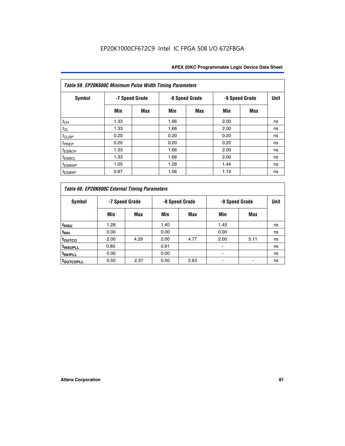| Table 59. EP20K600C Minimum Pulse Width Timing Parameters |                |     |                |     |                |     |      |  |  |  |  |
|-----------------------------------------------------------|----------------|-----|----------------|-----|----------------|-----|------|--|--|--|--|
| Symbol                                                    | -7 Speed Grade |     | -8 Speed Grade |     | -9 Speed Grade |     | Unit |  |  |  |  |
|                                                           | Min            | Max | Min            | Max | Min            | Max |      |  |  |  |  |
| $t_{CH}$                                                  | 1.33           |     | 1.66           |     | 2.00           |     | ns   |  |  |  |  |
| $t_{CL}$                                                  | 1.33           |     | 1.66           |     | 2.00           |     | ns   |  |  |  |  |
| $t_{CLRP}$                                                | 0.20           |     | 0.20           |     | 0.20           |     | ns   |  |  |  |  |
| $t_{PREF}$                                                | 0.20           |     | 0.20           |     | 0.20           |     | ns   |  |  |  |  |
| $t_{ESBCH}$                                               | 1.33           |     | 1.66           |     | 2.00           |     | ns   |  |  |  |  |
| $t_{ESBCL}$                                               | 1.33           |     | 1.66           |     | 2.00           |     | ns   |  |  |  |  |
| <sup>t</sup> ESBWP                                        | 1.05           |     | 1.28           |     | 1.44           |     | ns   |  |  |  |  |
| <sup>t</sup> ESBRP                                        | 0.87           |     | 1.06           |     | 1.19           |     | ns   |  |  |  |  |

|                      | Table 60. EP20K600C External Timing Parameters     |      |      |      |      |      |    |  |  |  |  |  |  |
|----------------------|----------------------------------------------------|------|------|------|------|------|----|--|--|--|--|--|--|
| Symbol               | -7 Speed Grade<br>-8 Speed Grade<br>-9 Speed Grade |      |      |      |      | Unit |    |  |  |  |  |  |  |
|                      | Min                                                | Max  | Min  | Max  | Min  | Max  |    |  |  |  |  |  |  |
| t <sub>insu</sub>    | 1.28                                               |      | 1.40 |      | 1.45 |      | ns |  |  |  |  |  |  |
| t <sub>INH</sub>     | 0.00                                               |      | 0.00 |      | 0.00 |      | ns |  |  |  |  |  |  |
| toutco               | 2.00                                               | 4.29 | 2.00 | 4.77 | 2.00 | 5.11 | ns |  |  |  |  |  |  |
| <sup>t</sup> INSUPLL | 0.80                                               |      | 0.91 |      |      |      | ns |  |  |  |  |  |  |
| <sup>t</sup> INHPLL  | 0.00                                               |      | 0.00 |      |      |      | ns |  |  |  |  |  |  |
| <b>TOUTCOPLL</b>     | 0.50                                               | 2.37 | 0.50 | 2.63 |      |      | ns |  |  |  |  |  |  |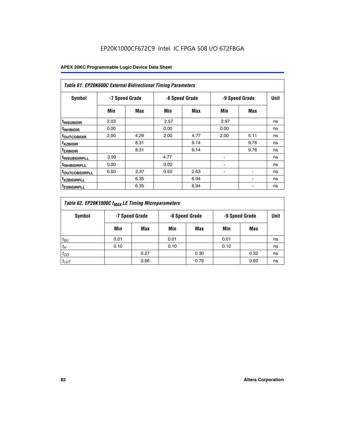|                               | <b>Table 61. EP20K600C External Bidirectional Timing Parameters</b> |      |      |                |      |                |      |  |  |  |  |  |  |
|-------------------------------|---------------------------------------------------------------------|------|------|----------------|------|----------------|------|--|--|--|--|--|--|
| <b>Symbol</b>                 | -7 Speed Grade                                                      |      |      | -8 Speed Grade |      | -9 Speed Grade | Unit |  |  |  |  |  |  |
|                               | Min                                                                 | Max  | Min  | Max            | Min  | Max            |      |  |  |  |  |  |  |
| <sup>t</sup> INSUBIDIR        | 2.03                                                                |      | 2.57 |                | 2.97 |                | ns   |  |  |  |  |  |  |
| <sup>t</sup> INHBIDIR         | 0.00                                                                |      | 0.00 |                | 0.00 |                | ns   |  |  |  |  |  |  |
| <b><sup>t</sup>OUTCOBIDIR</b> | 2.00                                                                | 4.29 | 2.00 | 4.77           | 2.00 | 5.11           | ns   |  |  |  |  |  |  |
| <sup>t</sup> xzbidir          |                                                                     | 8.31 |      | 9.14           |      | 9.76           | ns   |  |  |  |  |  |  |
| <sup>t</sup> zxbidir          |                                                                     | 8.31 |      | 9.14           |      | 9.76           | ns   |  |  |  |  |  |  |
| <sup>t</sup> insubidirpll     | 3.99                                                                |      | 4.77 |                |      |                | ns   |  |  |  |  |  |  |
| <sup>t</sup> INHBIDIRPLL      | 0.00                                                                |      | 0.00 |                |      |                | ns   |  |  |  |  |  |  |
| <sup>T</sup> OUTCOBIDIRPLL    | 0.50                                                                | 2.37 | 0.50 | 2.63           | ۰    | ۰              | ns   |  |  |  |  |  |  |
| <sup>t</sup> xzbidirpll       |                                                                     | 6.35 |      | 6.94           |      |                | ns   |  |  |  |  |  |  |
| <sup>I</sup> ZXBIDIRPLL       |                                                                     | 6.35 |      | 6.94           |      |                | ns   |  |  |  |  |  |  |

| Table 62. EP20K1000C f <sub>MAX</sub> LE Timing Microparameters |                                                    |      |      |      |      |      |             |  |  |  |
|-----------------------------------------------------------------|----------------------------------------------------|------|------|------|------|------|-------------|--|--|--|
| Symbol                                                          | -7 Speed Grade<br>-8 Speed Grade<br>-9 Speed Grade |      |      |      |      |      | <b>Unit</b> |  |  |  |
|                                                                 | Min                                                | Max  | Min  | Max  | Min  | Max  |             |  |  |  |
| $t_{SU}$                                                        | 0.01                                               |      | 0.01 |      | 0.01 |      | ns          |  |  |  |
| $t_H$                                                           | 0.10                                               |      | 0.10 |      | 0.10 |      | ns          |  |  |  |
| $t_{CO}$                                                        |                                                    | 0.27 |      | 0.30 |      | 0.32 | ns          |  |  |  |
| $t_{LUT}$                                                       |                                                    | 0.66 |      | 0.79 |      | 0.92 | ns          |  |  |  |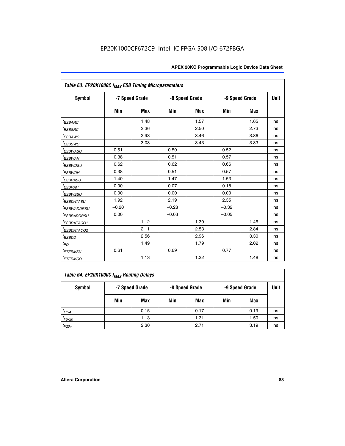| Table 63. EP20K1000C f <sub>MAX</sub> ESB Timing Microparameters |                |            |         |                |         |                |             |  |  |  |
|------------------------------------------------------------------|----------------|------------|---------|----------------|---------|----------------|-------------|--|--|--|
| Symbol                                                           | -7 Speed Grade |            |         | -8 Speed Grade |         | -9 Speed Grade | <b>Unit</b> |  |  |  |
|                                                                  | Min            | <b>Max</b> | Min     | <b>Max</b>     | Min     | Max            |             |  |  |  |
| <i>t<sub>ESBARC</sub></i>                                        |                | 1.48       |         | 1.57           |         | 1.65           | ns          |  |  |  |
| $t_{ESBSRC}$                                                     |                | 2.36       |         | 2.50           |         | 2.73           | ns          |  |  |  |
| <sup>t</sup> ESBAWC                                              |                | 2.93       |         | 3.46           |         | 3.86           | ns          |  |  |  |
| <sup>t</sup> ESBSWC                                              |                | 3.08       |         | 3.43           |         | 3.83           | ns          |  |  |  |
| <sup>t</sup> ESBWASU                                             | 0.51           |            | 0.50    |                | 0.52    |                | ns          |  |  |  |
| <sup>t</sup> ESBWAH                                              | 0.38           |            | 0.51    |                | 0.57    |                | ns          |  |  |  |
| <sup>t</sup> ESBWDSU                                             | 0.62           |            | 0.62    |                | 0.66    |                | ns          |  |  |  |
| <sup>t</sup> ESBWDH                                              | 0.38           |            | 0.51    |                | 0.57    |                | ns          |  |  |  |
| <i>t<sub>ESBRASU</sub></i>                                       | 1.40           |            | 1.47    |                | 1.53    |                | ns          |  |  |  |
| <sup>t</sup> ESBRAH                                              | 0.00           |            | 0.07    |                | 0.18    |                | ns          |  |  |  |
| <i>t<sub>ESBWESU</sub></i>                                       | 0.00           |            | 0.00    |                | 0.00    |                | ns          |  |  |  |
| <sup>t</sup> ESBDATASU                                           | 1.92           |            | 2.19    |                | 2.35    |                | ns          |  |  |  |
| <sup>t</sup> ESBWADDRSU                                          | $-0.20$        |            | $-0.28$ |                | $-0.32$ |                | ns          |  |  |  |
| <i><b>ESBRADDRSU</b></i>                                         | 0.00           |            | $-0.03$ |                | $-0.05$ |                | ns          |  |  |  |
| <i>ESBDATACO1</i>                                                |                | 1.12       |         | 1.30           |         | 1.46           | ns          |  |  |  |
| <sup>t</sup> ESBDATACO2                                          |                | 2.11       |         | 2.53           |         | 2.84           | ns          |  |  |  |
| <sup>t</sup> ESBDD                                               |                | 2.56       |         | 2.96           |         | 3.30           | ns          |  |  |  |
| t <sub>PD</sub>                                                  |                | 1.49       |         | 1.79           |         | 2.02           | ns          |  |  |  |
| t <sub>PTERMSU</sub>                                             | 0.61           |            | 0.69    |                | 0.77    |                | ns          |  |  |  |
| <b>t</b> <sub>PTERMCO</sub>                                      |                | 1.13       |         | 1.32           |         | 1.48           | ns          |  |  |  |

| Table 64. EP20K1000C f <sub>MAX</sub> Routing Delays |     |                |     |                |     |                |      |  |  |  |
|------------------------------------------------------|-----|----------------|-----|----------------|-----|----------------|------|--|--|--|
| Symbol                                               |     | -7 Speed Grade |     | -8 Speed Grade |     | -9 Speed Grade | Unit |  |  |  |
|                                                      | Min | Max            | Min | Max            | Min | Max            |      |  |  |  |
| $t_{F1-4}$                                           |     | 0.15           |     | 0.17           |     | 0.19           | ns   |  |  |  |
| $t_{F5-20}$                                          |     | 1.13           |     | 1.31           |     | 1.50           | ns   |  |  |  |
| $t_{F20+}$                                           |     | 2.30           |     | 2.71           |     | 3.19           | ns   |  |  |  |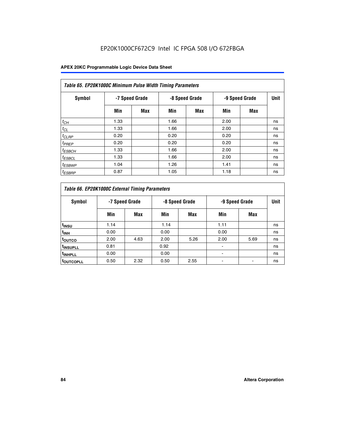| Table 65. EP20K1000C Minimum Pulse Width Timing Parameters |                |     |      |                |      |                |      |  |  |  |  |
|------------------------------------------------------------|----------------|-----|------|----------------|------|----------------|------|--|--|--|--|
| Symbol                                                     | -7 Speed Grade |     |      | -8 Speed Grade |      | -9 Speed Grade | Unit |  |  |  |  |
|                                                            | Min            | Max | Min  | <b>Max</b>     | Min  | <b>Max</b>     |      |  |  |  |  |
| $t_{CH}$                                                   | 1.33           |     | 1.66 |                | 2.00 |                | ns   |  |  |  |  |
| $t_{CL}$                                                   | 1.33           |     | 1.66 |                | 2.00 |                | ns   |  |  |  |  |
| $t_{CLRP}$                                                 | 0.20           |     | 0.20 |                | 0.20 |                | ns   |  |  |  |  |
| $t_{PREF}$                                                 | 0.20           |     | 0.20 |                | 0.20 |                | ns   |  |  |  |  |
| $t_{ESBCH}$                                                | 1.33           |     | 1.66 |                | 2.00 |                | ns   |  |  |  |  |
| $t_{ESBCL}$                                                | 1.33           |     | 1.66 |                | 2.00 |                | ns   |  |  |  |  |
| $t_{ESBWP}$                                                | 1.04           |     | 1.26 |                | 1.41 |                | ns   |  |  |  |  |
| <sup>t</sup> ESBRP                                         | 0.87           |     | 1.05 |                | 1.18 |                | ns   |  |  |  |  |

| Table 66. EP20K1000C External Timing Parameters |                |      |                |      |                |      |             |
|-------------------------------------------------|----------------|------|----------------|------|----------------|------|-------------|
| Symbol                                          | -7 Speed Grade |      | -8 Speed Grade |      | -9 Speed Grade |      | <b>Unit</b> |
|                                                 | Min            | Max  | Min            | Max  | Min            | Max  |             |
| t <sub>INSU</sub>                               | 1.14           |      | 1.14           |      | 1.11           |      | ns          |
| $t_{\text{INH}}$                                | 0.00           |      | 0.00           |      | 0.00           |      | ns          |
| toutco                                          | 2.00           | 4.63 | 2.00           | 5.26 | 2.00           | 5.69 | ns          |
| <sup>t</sup> INSUPLL                            | 0.81           |      | 0.92           |      |                |      | ns          |
| <sup>t</sup> INHPLL                             | 0.00           |      | 0.00           |      |                |      | ns          |
| <sup>I</sup> OUTCOPLL                           | 0.50           | 2.32 | 0.50           | 2.55 |                |      | ns          |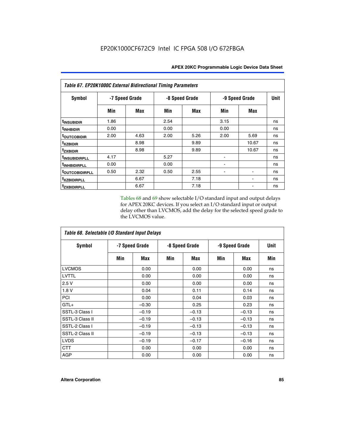| Table 67. EP20K1000C External Bidirectional Timing Parameters |                |      |                |      |                |            |             |
|---------------------------------------------------------------|----------------|------|----------------|------|----------------|------------|-------------|
| Symbol                                                        | -7 Speed Grade |      | -8 Speed Grade |      | -9 Speed Grade |            | <b>Unit</b> |
|                                                               | Min            | Max  | Min            | Max  | Min            | <b>Max</b> |             |
| t <sub>INSUBIDIR</sub>                                        | 1.86           |      | 2.54           |      | 3.15           |            | ns          |
| <sup>t</sup> INHBIDIR                                         | 0.00           |      | 0.00           |      | 0.00           |            | ns          |
| <sup>t</sup> OUTCOBIDIR                                       | 2.00           | 4.63 | 2.00           | 5.26 | 2.00           | 5.69       | ns          |
| txzbidir                                                      |                | 8.98 |                | 9.89 |                | 10.67      | ns          |
| <b>tzxbidir</b>                                               |                | 8.98 |                | 9.89 |                | 10.67      | ns          |
| <sup>t</sup> INSUBIDIRPLL                                     | 4.17           |      | 5.27           |      |                |            | ns          |
| t <sub>INHBIDIRPLL</sub>                                      | 0.00           |      | 0.00           |      |                |            | ns          |
| <b><i>LOUTCOBIDIRPLL</i></b>                                  | 0.50           | 2.32 | 0.50           | 2.55 |                |            | ns          |
| <i>txzBIDIRPLL</i>                                            |                | 6.67 |                | 7.18 |                |            | ns          |
| tzxbidirpll                                                   |                | 6.67 |                | 7.18 |                |            | ns          |

Tables 68 and 69 show selectable I/O standard input and output delays for APEX 20KC devices. If you select an I/O standard input or output delay other than LVCMOS, add the delay for the selected speed grade to the LVCMOS value.

| Table 68. Selectable I/O Standard Input Delays |                |         |                |         |                |         |             |  |
|------------------------------------------------|----------------|---------|----------------|---------|----------------|---------|-------------|--|
| <b>Symbol</b>                                  | -7 Speed Grade |         | -8 Speed Grade |         | -9 Speed Grade |         | <b>Unit</b> |  |
|                                                | Min            | Max     | Min            | Max     | Min            | Max     | Min         |  |
| <b>LVCMOS</b>                                  |                | 0.00    |                | 0.00    |                | 0.00    | ns          |  |
| LVTTL                                          |                | 0.00    |                | 0.00    |                | 0.00    | ns          |  |
| 2.5V                                           |                | 0.00    |                | 0.00    |                | 0.00    | ns          |  |
| 1.8 V                                          |                | 0.04    |                | 0.11    |                | 0.14    | ns          |  |
| PCI                                            |                | 0.00    |                | 0.04    |                | 0.03    | ns          |  |
| $GTL+$                                         |                | $-0.30$ |                | 0.25    |                | 0.23    | ns          |  |
| SSTL-3 Class I                                 |                | $-0.19$ |                | $-0.13$ |                | $-0.13$ | ns          |  |
| SSTL-3 Class II                                |                | $-0.19$ |                | $-0.13$ |                | $-0.13$ | ns          |  |
| SSTL-2 Class I                                 |                | $-0.19$ |                | $-0.13$ |                | $-0.13$ | ns          |  |
| SSTL-2 Class II                                |                | $-0.19$ |                | $-0.13$ |                | $-0.13$ | ns          |  |
| <b>LVDS</b>                                    |                | $-0.19$ |                | $-0.17$ |                | $-0.16$ | ns          |  |
| <b>CTT</b>                                     |                | 0.00    |                | 0.00    |                | 0.00    | ns          |  |
| <b>AGP</b>                                     |                | 0.00    |                | 0.00    |                | 0.00    | ns          |  |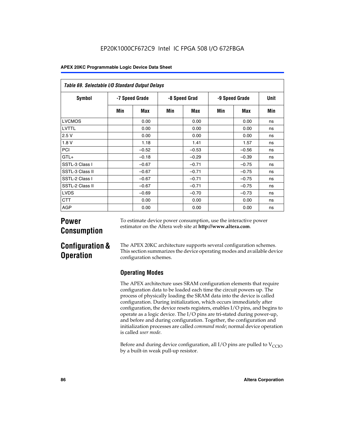| Table 69. Selectable I/O Standard Output Delays |                |         |               |         |                |            |      |
|-------------------------------------------------|----------------|---------|---------------|---------|----------------|------------|------|
| <b>Symbol</b>                                   | -7 Speed Grade |         | -8 Speed Grad |         | -9 Speed Grade |            | Unit |
|                                                 | Min            | Max     | Min           | Max     | Min            | <b>Max</b> | Min  |
| <b>LVCMOS</b>                                   |                | 0.00    |               | 0.00    |                | 0.00       | ns   |
| LVTTL                                           |                | 0.00    |               | 0.00    |                | 0.00       | ns   |
| 2.5V                                            |                | 0.00    |               | 0.00    |                | 0.00       | ns   |
| 1.8V                                            |                | 1.18    |               | 1.41    |                | 1.57       | ns   |
| PCI                                             |                | $-0.52$ |               | $-0.53$ |                | $-0.56$    | ns   |
| $GTL+$                                          |                | $-0.18$ |               | $-0.29$ |                | $-0.39$    | ns   |
| SSTL-3 Class I                                  |                | $-0.67$ |               | $-0.71$ |                | $-0.75$    | ns   |
| SSTL-3 Class II                                 |                | $-0.67$ |               | $-0.71$ |                | $-0.75$    | ns   |
| SSTL-2 Class I                                  |                | $-0.67$ |               | $-0.71$ |                | $-0.75$    | ns   |
| SSTL-2 Class II                                 |                | $-0.67$ |               | $-0.71$ |                | $-0.75$    | ns   |
| <b>LVDS</b>                                     |                | $-0.69$ |               | $-0.70$ |                | $-0.73$    | ns   |
| <b>CTT</b>                                      |                | 0.00    |               | 0.00    |                | 0.00       | ns   |
| AGP                                             |                | 0.00    |               | 0.00    |                | 0.00       | ns   |

# **Power Consumption**

To estimate device power consumption, use the interactive power estimator on the Altera web site at **http://www.altera.com**.

# **Configuration & Operation**

The APEX 20KC architecture supports several configuration schemes. This section summarizes the device operating modes and available device configuration schemes.

## **Operating Modes**

The APEX architecture uses SRAM configuration elements that require configuration data to be loaded each time the circuit powers up. The process of physically loading the SRAM data into the device is called configuration. During initialization, which occurs immediately after configuration, the device resets registers, enables I/O pins, and begins to operate as a logic device. The I/O pins are tri-stated during power-up, and before and during configuration. Together, the configuration and initialization processes are called *command mode*; normal device operation is called *user mode*.

Before and during device configuration, all I/O pins are pulled to  $V_{CCIO}$ by a built-in weak pull-up resistor.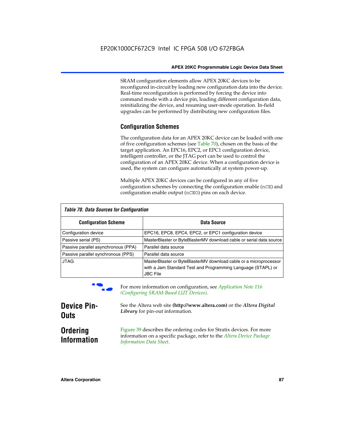SRAM configuration elements allow APEX 20KC devices to be reconfigured in-circuit by loading new configuration data into the device. Real-time reconfiguration is performed by forcing the device into command mode with a device pin, loading different configuration data, reinitializing the device, and resuming user-mode operation. In-field upgrades can be performed by distributing new configuration files.

#### **Configuration Schemes**

The configuration data for an APEX 20KC device can be loaded with one of five configuration schemes (see Table 70), chosen on the basis of the target application. An EPC16, EPC2, or EPC1 configuration device, intelligent controller, or the JTAG port can be used to control the configuration of an APEX 20KC device. When a configuration device is used, the system can configure automatically at system power-up.

Multiple APEX 20KC devices can be configured in any of five configuration schemes by connecting the configuration enable (nCE) and configuration enable output (nCEO) pins on each device.

| Table 70. Data Sources for Configuration |                                                                                                                                                      |  |  |  |  |
|------------------------------------------|------------------------------------------------------------------------------------------------------------------------------------------------------|--|--|--|--|
| <b>Configuration Scheme</b>              | Data Source                                                                                                                                          |  |  |  |  |
| Configuration device                     | EPC16, EPC8, EPC4, EPC2, or EPC1 configuration device                                                                                                |  |  |  |  |
| Passive serial (PS)                      | MasterBlaster or ByteBlasterMV download cable or serial data source                                                                                  |  |  |  |  |
| Passive parallel asynchronous (PPA)      | Parallel data source                                                                                                                                 |  |  |  |  |
| Passive parallel synchronous (PPS)       | Parallel data source                                                                                                                                 |  |  |  |  |
| <b>JTAG</b>                              | MasterBlaster or ByteBlasterMV download cable or a microprocessor<br>with a Jam Standard Test and Programming Language (STAPL) or<br><b>JBC File</b> |  |  |  |  |



For more information on configuration, see *Application Note* 116 *(Configuring SRAM-Based LUT Devices).*

| <b>Device Pin-</b>                    | See the Altera web site (http://www.altera.com) or the Altera Digital                                                                                                    |
|---------------------------------------|--------------------------------------------------------------------------------------------------------------------------------------------------------------------------|
| <b>Outs</b>                           | Library for pin-out information.                                                                                                                                         |
| <b>Ordering</b><br><b>Information</b> | Figure 39 describes the ordering codes for Stratix devices. For more<br>information on a specific package, refer to the Altera Device Package<br>Information Data Sheet. |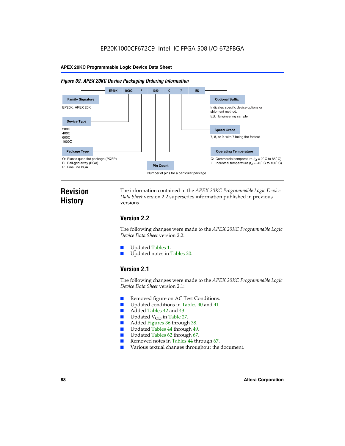#### *Figure 39. APEX 20KC Device Packaging Ordering Information*



# **Revision History**

The information contained in the *APEX 20KC Programmable Logic Device Data Sheet* version 2.2 supersedes information published in previous versions.

### **Version 2.2**

The following changes were made to the *APEX 20KC Programmable Logic Device Data Sheet* version 2.2:

- Updated Tables 1.
- Updated notes in Tables 20.

### **Version 2.1**

The following changes were made to the *APEX 20KC Programmable Logic Device Data Sheet* version 2.1:

- Removed figure on AC Test Conditions.
- Updated conditions in Tables 40 and 41.
- Added Tables 42 and 43.
- $\blacksquare$  Updated V<sub>OD</sub> in Table 27.<br>Added Figures 36 through
- Added Figures 36 through 38.
- Updated Tables 44 through 49.
- Updated Tables 62 through 67.
- Removed notes in Tables 44 through 67.
- Various textual changes throughout the document.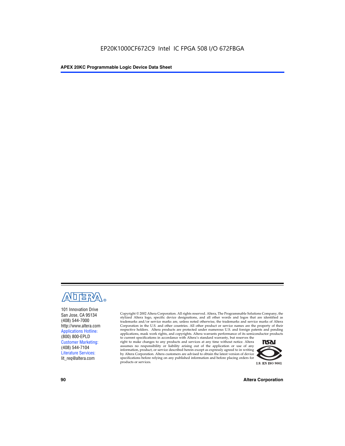

101 Innovation Drive San Jose, CA 95134 (408) 544-7000 http://www.altera.com Applications Hotline: (800) 800-EPLD Customer Marketing: (408) 544-7104 Literature Services: lit\_req@altera.com

Copyright © 2002 Altera Corporation. All rights reserved. Altera, The Programmable Solutions Company, the stylized Altera logo, specific device designations, and all other words and logos that are identified as trademarks and/or service marks are, unless noted otherwise, the trademarks and service marks of Altera Corporation in the U.S. and other countries. All other product or service names are the property of their respective holders. Altera products are protected under numerous U.S. and foreign patents and pending applications, mask work rights, and copyrights. Altera warrants performance of its semiconductor products

to current specifications in accordance with Altera's standard warranty, but reserves the right to make changes to any products and services at any time without notice. Altera assumes no responsibility or liability arising out of the application or use of any information, product, or service described herein except as expressly agreed to in writing by Altera Corporation. Altera customers are advised to obtain the latest version of device specifications before relying on any published information and before placing orders for products or services.



**90 Altera Corporation**